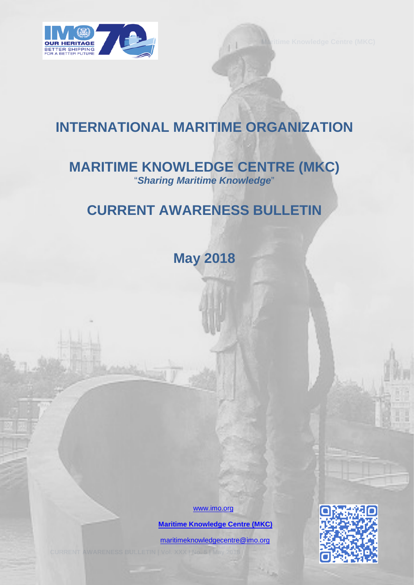

# **INTERNATIONAL MARITIME ORGANIZATION**

# **MARITIME KNOWLEDGE CENTRE (MKC)** "*Sharing Maritime Knowledge*"

# **CURRENT AWARENESS BULLETIN**

**May 2018** 

[www.imo.org](http://www.imo.org/)

 **[Maritime Knowledge Centre \(MKC\)](http://www.imo.org/en/KnowledgeCentre/Pages/Default.aspx)**

[maritimeknowledgecentre@imo.org](mailto:maritimeknowledgecentre@imo.org)

**CURRENT AWARENESS BULLETIN | Vol. XXX | No. 5 | May 2018** 0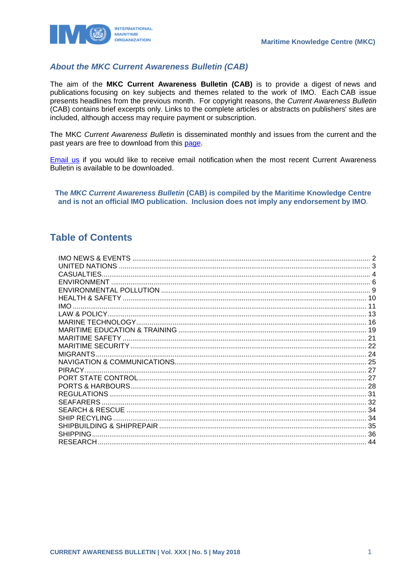

### **About the MKC Current Awareness Bulletin (CAB)**

The aim of the MKC Current Awareness Bulletin (CAB) is to provide a digest of news and publications focusing on key subjects and themes related to the work of IMO. Each CAB issue presents headlines from the previous month. For copyright reasons, the Current Awareness Bulletin (CAB) contains brief excerpts only. Links to the complete articles or abstracts on publishers' sites are included, although access may require payment or subscription.

The MKC Current Awareness Bulletin is disseminated monthly and issues from the current and the past vears are free to download from this page.

Email us if you would like to receive email notification when the most recent Current Awareness Bulletin is available to be downloaded.

The MKC Current Awareness Bulletin (CAB) is compiled by the Maritime Knowledge Centre and is not an official IMO publication. Inclusion does not imply any endorsement by IMO.

### **Table of Contents**

| CASUALTIES.        |  |
|--------------------|--|
|                    |  |
|                    |  |
|                    |  |
| IMO.               |  |
|                    |  |
|                    |  |
|                    |  |
|                    |  |
|                    |  |
|                    |  |
|                    |  |
| PIRACY.            |  |
|                    |  |
|                    |  |
| <b>REGULATIONS</b> |  |
|                    |  |
|                    |  |
|                    |  |
|                    |  |
| <b>SHIPPING</b>    |  |
|                    |  |
|                    |  |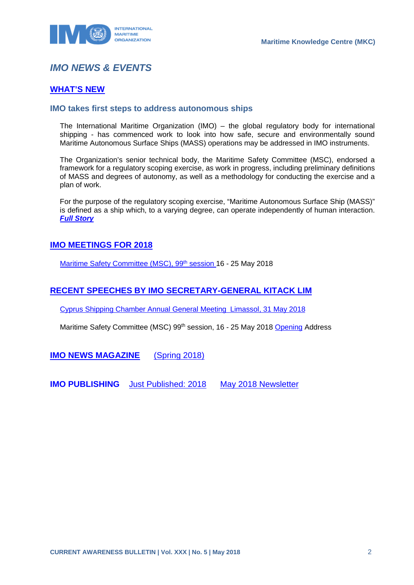

# <span id="page-2-0"></span>*IMO NEWS & EVENTS*

### **[WHAT'S NEW](http://www.imo.org/en/MediaCentre/WhatsNew/Pages/default.aspx)**

### **IMO takes first steps to address autonomous ships**

The International Maritime Organization (IMO) – the global regulatory body for international shipping - has commenced work to look into how safe, secure and environmentally sound Maritime Autonomous Surface Ships (MASS) operations may be addressed in IMO instruments.

The Organization's senior technical body, the Maritime Safety Committee (MSC), endorsed a framework for a regulatory scoping exercise, as work in progress, including preliminary definitions of MASS and degrees of autonomy, as well as a methodology for conducting the exercise and a plan of work.

For the purpose of the regulatory scoping exercise, "Maritime Autonomous Surface Ship (MASS)" is defined as a ship which, to a varying degree, can operate independently of human interaction. *[Full Story](http://www.imo.org/en/MediaCentre/PressBriefings/Pages/08-MSC-99-MASS-scoping.aspx)*

### **[IMO MEETINGS FOR 2018](http://www.imo.org/en/MediaCentre/MeetingSummaries/Pages/Default.aspx)**

Maritime Safety Committee (MSC), 99<sup>th</sup> session 16 - 25 May 2018

### **[RECENT SPEECHES BY IMO SECRETARY-GENERAL KITACK LIM](http://www.imo.org/en/MediaCentre/SecretaryGeneral/SpeechesByTheSecretaryGeneral/Pages/Default.aspx)**

[Cyprus Shipping Chamber Annual General Meeting](http://www.imo.org/en/MediaCentre/SecretaryGeneral/SpeechesByTheSecretaryGeneral/Pages/CyprusShippingChamber2018.aspx) Limassol, 31 May 2018

Maritime Safety Committee (MSC) 99<sup>th</sup> session, 16 - 25 May 2018 [Opening](http://www.imo.org/en/MediaCentre/SecretaryGeneral/Secretary-GeneralsSpeechesToMeetings/Pages/MSC-99-opening.aspx) Address

**[IMO NEWS MAGAZINE](http://www.imo.org/MediaCentre/MaritimeNewsMagazine/Pages/Home.aspx)** [\(Spring 2018\)](https://issuu.com/imo-news/docs/imo_news_-_spring_-_2018)

**IMO PUBLISHING** [Just Published: 2018](http://www.imo.org/Publications/Pages/JustPublished.aspx) [May 2018 Newsletter](http://www.imo.org/en/Publications/Documents/Newsletters%20and%20Mailers/Newsletters/may_b2c.html)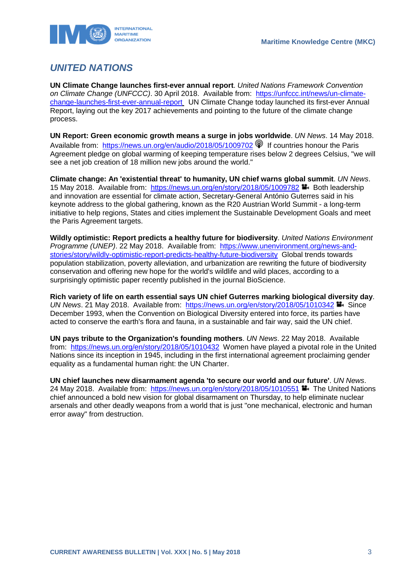

## <span id="page-3-0"></span>*UNITED NATIONS*

**UN Climate Change launches first-ever annual report**. *United Nations Framework Convention on Climate Change (UNFCCC)*. 30 April 2018. Available from: [https://unfccc.int/news/un-climate](https://unfccc.int/news/un-climate-change-launches-first-ever-annual-report)[change-launches-first-ever-annual-report](https://unfccc.int/news/un-climate-change-launches-first-ever-annual-report) UN Climate Change today launched its first-ever Annual Report, laying out the key 2017 achievements and pointing to the future of the climate change process.

**UN Report: Green economic growth means a surge in jobs worldwide**. *UN News*. 14 May 2018. Available from: <https://news.un.org/en/audio/2018/05/1009702> <sup>1</sup> If countries honour the Paris Agreement pledge on global warming of keeping temperature rises below 2 degrees Celsius, "we will see a net job creation of 18 million new jobs around the world."

**Climate change: An 'existential threat' to humanity, UN chief warns global summit**. *UN News*. 15 May 2018. Available from:<https://news.un.org/en/story/2018/05/1009782> Both leadership and innovation are essential for climate action, Secretary-General António Guterres said in his keynote address to the global gathering, known as the R20 Austrian World Summit - a long-term initiative to help regions, States and cities implement the Sustainable Development Goals and meet the Paris Agreement targets.

**Wildly optimistic: Report predicts a healthy future for biodiversity**. *United Nations Environment Programme (UNEP)*. 22 May 2018. Available from: [https://www.unenvironment.org/news-and](https://www.unenvironment.org/news-and-stories/story/wildly-optimistic-report-predicts-healthy-future-biodiversity)[stories/story/wildly-optimistic-report-predicts-healthy-future-biodiversity](https://www.unenvironment.org/news-and-stories/story/wildly-optimistic-report-predicts-healthy-future-biodiversity) Global trends towards population stabilization, poverty alleviation, and urbanization are rewriting the future of biodiversity conservation and offering new hope for the world's wildlife and wild places, according to a surprisingly optimistic paper recently published in the journal BioScience.

**Rich variety of life on earth essential says UN chief Guterres marking biological diversity day**. *UN News.* 21 May 2018. Available from: <https://news.un.org/en/story/2018/05/1010342> Since December 1993, when the Convention on Biological Diversity entered into force, its parties have acted to conserve the earth's flora and fauna, in a sustainable and fair way, said the UN chief.

**UN pays tribute to the Organization's founding mothers**. *UN News*. 22 May 2018. Available from: <https://news.un.org/en/story/2018/05/1010432> Women have played a pivotal role in the United Nations since its inception in 1945, including in the first international agreement proclaiming gender equality as a fundamental human right: the UN Charter.

**UN chief launches new disarmament agenda 'to secure our world and our future'**. *UN News*. 24 May 2018. Available from:<https://news.un.org/en/story/2018/05/1010551> The United Nations chief announced a bold new vision for global disarmament on Thursday, to help eliminate nuclear arsenals and other deadly weapons from a world that is just "one mechanical, electronic and human error away" from destruction.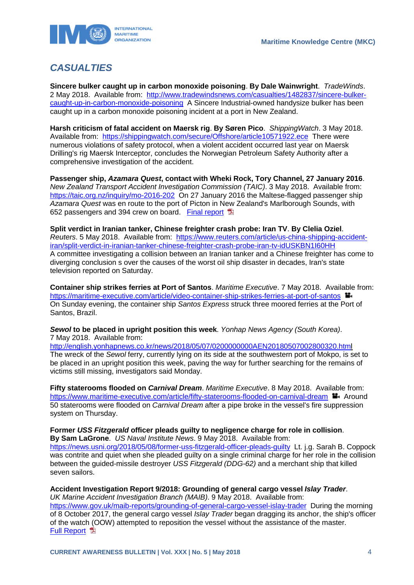

# <span id="page-4-0"></span>*CASUALTIES*

**Sincere bulker caught up in carbon monoxide poisoning**. **By Dale Wainwright**. *TradeWinds*. 2 May 2018. Available from: [http://www.tradewindsnews.com/casualties/1482837/sincere-bulker](http://www.tradewindsnews.com/casualties/1482837/sincere-bulker-caught-up-in-carbon-monoxide-poisoning)[caught-up-in-carbon-monoxide-poisoning](http://www.tradewindsnews.com/casualties/1482837/sincere-bulker-caught-up-in-carbon-monoxide-poisoning) A Sincere Industrial-owned handysize bulker has been caught up in a carbon monoxide poisoning incident at a port in New Zealand.

**Harsh criticism of fatal accident on Maersk rig**. **By Søren Pico**. *ShippingWatch*. 3 May 2018. Available from: <https://shippingwatch.com/secure/Offshore/article10571922.ece>There were numerous violations of safety protocol, when a violent accident occurred last year on Maersk Drilling's rig Maersk Interceptor, concludes the Norwegian Petroleum Safety Authority after a comprehensive investigation of the accident.

**Passenger ship,** *Azamara Quest***, contact with Wheki Rock, Tory Channel, 27 January 2016**. *New Zealand Transport Accident Investigation Commission (TAIC)*. 3 May 2018. Available from: <https://taic.org.nz/inquiry/mo-2016-202>On 27 January 2016 the Maltese-flagged passenger ship *Azamara Quest* was en route to the port of Picton in New Zealand's Marlborough Sounds, with 652 passengers and 394 crew on board. [Final report](https://taic.org.nz/sites/default/files/inquiry/documents/MO-2016-202%20Final.pdf) 

**Split verdict in Iranian tanker, Chinese freighter crash probe: Iran TV**. **By Clelia Oziel**. *Reuters*. 5 May 2018. Available from: [https://www.reuters.com/article/us-china-shipping-accident](https://www.reuters.com/article/us-china-shipping-accident-iran/split-verdict-in-iranian-tanker-chinese-freighter-crash-probe-iran-tv-idUSKBN1I60HH)[iran/split-verdict-in-iranian-tanker-chinese-freighter-crash-probe-iran-tv-idUSKBN1I60HH](https://www.reuters.com/article/us-china-shipping-accident-iran/split-verdict-in-iranian-tanker-chinese-freighter-crash-probe-iran-tv-idUSKBN1I60HH)  A committee investigating a collision between an Iranian tanker and a Chinese freighter has come to diverging conclusion s over the causes of the worst oil ship disaster in decades, Iran's state television reported on Saturday.

**Container ship strikes ferries at Port of Santos**. *Maritime Executive*. 7 May 2018. Available from: https://maritime-executive.com/article/video-container-ship-strikes-ferries-at-port-of-santos On Sunday evening, the container ship *Santos Express* struck three moored ferries at the Port of Santos, Brazil.

*Sewol* **to be placed in upright position this week**. *Yonhap News Agency (South Korea)*. 7 May 2018. Available from:

[http://english.yonhapnews.co.kr/news/2018/05/07/0200000000AEN20180507002800320.html](http://english.yonhapnews.co.kr/news/2018/05/07/0200000000AEN20180507002800320.htm) The wreck of the *Sewol* ferry, currently lying on its side at the southwestern port of Mokpo, is set to be placed in an upright position this week, paving the way for further searching for the remains of victims still missing, investigators said Monday.

**Fifty staterooms flooded on** *Carnival Dream*. *Maritime Executive*. 8 May 2018. Available from: <https://www.maritime-executive.com/article/fifty-staterooms-flooded-on-carnival-dream> $\blacksquare$  Around 50 staterooms were flooded on *Carnival Dream* after a pipe broke in the vessel's fire suppression system on Thursday.

**Former** *USS Fitzgerald* **officer pleads guilty to negligence charge for role in collision**. **By Sam LaGrone**. *US Naval Institute News*. 9 May 2018. Available from: <https://news.usni.org/2018/05/08/former-uss-fitzgerald-officer-pleads-guilty>Lt. j.g. Sarah B. Coppock was contrite and quiet when she pleaded guilty on a single criminal charge for her role in the collision between the guided-missile destroyer *USS Fitzgerald (DDG-62)* and a merchant ship that killed seven sailors.

**Accident Investigation Report 9/2018: Grounding of general cargo vessel** *Islay Trader*. *UK Marine Accident Investigation Branch (MAIB)*. 9 May 2018. Available from:

<https://www.gov.uk/maib-reports/grounding-of-general-cargo-vessel-islay-trader>During the morning of 8 October 2017, the general cargo vessel *Islay Trader* began dragging its anchor, the ship's officer of the watch (OOW) attempted to reposition the vessel without the assistance of the master. [Full Report](https://assets.publishing.service.gov.uk/media/5af16f7d40f0b652c101be51/MAIBInvReport09_2018.pdf) **E**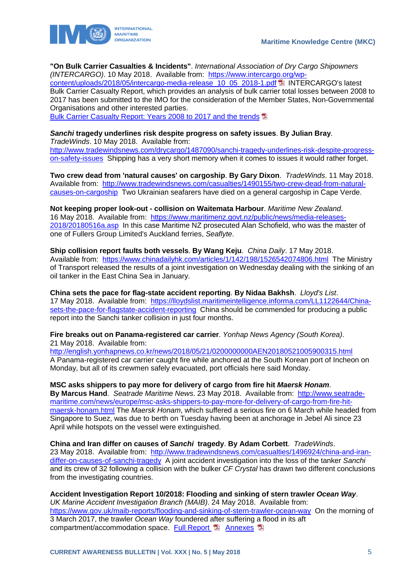



**"On Bulk Carrier Casualties & Incidents"**. *International Association of Dry Cargo Shipowners (INTERCARGO)*. 10 May 2018. Available from: [https://www.intercargo.org/wp-](https://www.intercargo.org/wp-content/uploads/2018/05/intercargo-media-release_10_05_2018-1.pdf)

[content/uploads/2018/05/intercargo-media-release\\_10\\_05\\_2018-1.pdf](https://www.intercargo.org/wp-content/uploads/2018/05/intercargo-media-release_10_05_2018-1.pdf) INTERCARGO's latest Bulk Carrier Casualty Report, which provides an analysis of bulk carrier total losses between 2008 to 2017 has been submitted to the IMO for the consideration of the Member States, Non-Governmental Organisations and other interested parties.

[Bulk Carrier Casualty Report: Years 2008 to 2017 and the trends](https://www.intercargo.org/wp-content/uploads/2018/05/bulk-carrier-casualty-report-2017.pdf)

### *Sanchi* **tragedy underlines risk despite progress on safety issues**. **By Julian Bray**.

*TradeWinds*. 10 May 2018. Available from: [http://www.tradewindsnews.com/drycargo/1487090/sanchi-tragedy-underlines-risk-despite-progress](http://www.tradewindsnews.com/drycargo/1487090/sanchi-tragedy-underlines-risk-despite-progress-on-safety-issues)[on-safety-issues](http://www.tradewindsnews.com/drycargo/1487090/sanchi-tragedy-underlines-risk-despite-progress-on-safety-issues) Shipping has a very short memory when it comes to issues it would rather forget.

**Two crew dead from 'natural causes' on cargoship**. **By Gary Dixon**. *TradeWinds*. 11 May 2018. Available from: [http://www.tradewindsnews.com/casualties/1490155/two-crew-dead-from-natural](http://www.tradewindsnews.com/casualties/1490155/two-crew-dead-from-natural-causes-on-cargoship)[causes-on-cargoship](http://www.tradewindsnews.com/casualties/1490155/two-crew-dead-from-natural-causes-on-cargoship) Two Ukrainian seafarers have died on a general cargoship in Cape Verde.

**Not keeping proper look-out - collision on Waitemata Harbour**. *Maritime New Zealand*. 16 May 2018. Available from: [https://www.maritimenz.govt.nz/public/news/media-releases-](https://www.maritimenz.govt.nz/public/news/media-releases-2018/20180516a.asp)[2018/20180516a.asp](https://www.maritimenz.govt.nz/public/news/media-releases-2018/20180516a.asp) In this case Maritime NZ prosecuted Alan Schofield, who was the master of one of Fullers Group Limited's Auckland ferries, *Seaflyte*.

**Ship collision report faults both vessels**. **By Wang Keju**. *China Daily*. 17 May 2018. Available from: <https://www.chinadailyhk.com/articles/1/142/198/1526542074806.html>The Ministry of Transport released the results of a joint investigation on Wednesday dealing with the sinking of an oil tanker in the East China Sea in January.

**China sets the pace for flag-state accident reporting**. **By Nidaa Bakhsh**. *Lloyd's List*. 17 May 2018. Available from: [https://lloydslist.maritimeintelligence.informa.com/LL1122644/China](https://lloydslist.maritimeintelligence.informa.com/LL1122644/China-sets-the-pace-for-flagstate-accident-reporting)[sets-the-pace-for-flagstate-accident-reporting](https://lloydslist.maritimeintelligence.informa.com/LL1122644/China-sets-the-pace-for-flagstate-accident-reporting) China should be commended for producing a public report into the Sanchi tanker collision in just four months.

**Fire breaks out on Panama-registered car carrier**. *Yonhap News Agency (South Korea)*. 21 May 2018. Available from:

<http://english.yonhapnews.co.kr/news/2018/05/21/0200000000AEN20180521005900315.html> A Panama-registered car carrier caught fire while anchored at the South Korean port of Incheon on Monday, but all of its crewmen safely evacuated, port officials here said Monday.

**MSC asks shippers to pay more for delivery of cargo from fire hit** *Maersk Honam*. **By Marcus Hand**. *Seatrade Maritime News*. 23 May 2018. Available from: [http://www.seatrade](http://www.seatrade-maritime.com/news/europe/msc-asks-shippers-to-pay-more-for-delivery-of-cargo-from-fire-hit-maersk-honam.html)[maritime.com/news/europe/msc-asks-shippers-to-pay-more-for-delivery-of-cargo-from-fire-hit](http://www.seatrade-maritime.com/news/europe/msc-asks-shippers-to-pay-more-for-delivery-of-cargo-from-fire-hit-maersk-honam.html)[maersk-honam.html](http://www.seatrade-maritime.com/news/europe/msc-asks-shippers-to-pay-more-for-delivery-of-cargo-from-fire-hit-maersk-honam.html) The *Maersk Honam*, which suffered a serious fire on 6 March while headed from Singapore to Suez, was due to berth on Tuesday having been at anchorage in Jebel Ali since 23 April while hotspots on the vessel were extinguished.

**China and Iran differ on causes of** *Sanchi* **tragedy**. **By Adam Corbett**. *TradeWinds*. 23 May 2018. Available from: [http://www.tradewindsnews.com/casualties/1496924/china-and-iran](http://www.tradewindsnews.com/casualties/1496924/china-and-iran-differ-on-causes-of-sanchi-tragedy)[differ-on-causes-of-sanchi-tragedy](http://www.tradewindsnews.com/casualties/1496924/china-and-iran-differ-on-causes-of-sanchi-tragedy) A joint accident investigation into the loss of the tanker *Sanchi* and its crew of 32 following a collision with the bulker *CF Crystal* has drawn two different conclusions from the investigating countries.

### **Accident Investigation Report 10/2018: Flooding and sinking of stern trawler** *Ocean Way*.

*UK Marine Accident Investigation Branch (MAIB)*. 24 May 2018. Available from: <https://www.gov.uk/maib-reports/flooding-and-sinking-of-stern-trawler-ocean-way>On the morning of 3 March 2017, the trawler *Ocean Way* foundered after suffering a flood in its aft compartment/accommodation space. [Full Report](https://assets.publishing.service.gov.uk/media/5afc1cb8ed915d0df4e8cebd/MAIBInvReport10-2018.pdf) **[Annexes](https://assets.publishing.service.gov.uk/media/5afc1d29e5274a25e4cc2980/OceanWay_Annexes.pdf)** A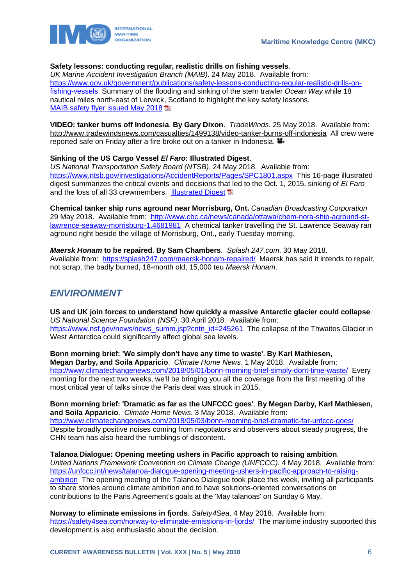

### **Safety lessons: conducting regular, realistic drills on fishing vessels**.

*UK Marine Accident Investigation Branch (MAIB)*. 24 May 2018. Available from: [https://www.gov.uk/government/publications/safety-lessons-conducting-regular-realistic-drills-on](https://www.gov.uk/government/publications/safety-lessons-conducting-regular-realistic-drills-on-fishing-vessels)[fishing-vessels](https://www.gov.uk/government/publications/safety-lessons-conducting-regular-realistic-drills-on-fishing-vessels) Summary of the flooding and sinking of the stern trawler *Ocean Way* while 18 nautical miles north-east of Lerwick, Scotland to highlight the key safety lessons. **[MAIB safety flyer issued](https://www.gov.uk/government/uploads/system/uploads/attachment_data/file/707605/OceanWay_FishingFlyer.pdf) May 2018** 

**VIDEO: tanker burns off Indonesia**. **By Gary Dixon**. *TradeWinds*. 25 May 2018. Available from: http://www.tradewindsnews.com/casualties/1499138/video-tanker-burns-off-indonesia All crew were reported safe on Friday after a fire broke out on a tanker in Indonesia. **■** 

#### **Sinking of the US Cargo Vessel** *El Faro***: Illustrated Digest**.

*US National Transportation Safety Board (NTSB)*. 24 May 2018. Available from: <https://www.ntsb.gov/investigations/AccidentReports/Pages/SPC1801.aspx>This 16-page illustrated digest summarizes the critical events and decisions that led to the Oct. 1, 2015, sinking of *El Faro* and the loss of all 33 crewmembers. [Illustrated Digest](https://www.ntsb.gov/investigations/AccidentReports/Reports/SPC1801.pdf) **D** 

**Chemical tanker ship runs aground near Morrisburg, Ont.** *Canadian Broadcasting Corporation*  29 May 2018. Available from: [http://www.cbc.ca/news/canada/ottawa/chem-nora-ship-aground-st](http://www.cbc.ca/news/canada/ottawa/chem-nora-ship-aground-st-lawrence-seaway-morrisburg-1.4681981)[lawrence-seaway-morrisburg-1.4681981](http://www.cbc.ca/news/canada/ottawa/chem-nora-ship-aground-st-lawrence-seaway-morrisburg-1.4681981) A chemical tanker travelling the St. Lawrence Seaway ran aground right beside the village of Morrisburg, Ont., early Tuesday morning.

*Maersk Honam* **to be repaired**. **By Sam Chambers**. *Splash 247.com*. 30 May 2018. Available from: <https://splash247.com/maersk-honam-repaired/>Maersk has said it intends to repair, not scrap, the badly burned, 18-month old, 15,000 teu *Maersk Honam*.

### <span id="page-6-0"></span>*ENVIRONMENT*

**US and UK join forces to understand how quickly a massive Antarctic glacier could collapse**. *US National Science Foundation (NSF)*. 30 April 2018. Available from: [https://www.nsf.gov/news/news\\_summ.jsp?cntn\\_id=245261](https://www.nsf.gov/news/news_summ.jsp?cntn_id=245261) The collapse of the Thwaites Glacier in West Antarctica could significantly affect global sea levels.

**Bonn morning brief: 'We simply don't have any time to waste'**. **By Karl Mathiesen, Megan Darby, and Soila Apparicio**. *Climate Home News*. 1 May 2018. Available from: <http://www.climatechangenews.com/2018/05/01/bonn-morning-brief-simply-dont-time-waste/>Every morning for the next two weeks, we'll be bringing you all the coverage from the first meeting of the most critical year of talks since the Paris deal was struck in 2015.

**Bonn morning brief: 'Dramatic as far as the UNFCCC goes'**. **By Megan Darby, Karl Mathiesen, and Soila Apparicio**. *Climate Home News*. 3 May 2018. Available from: <http://www.climatechangenews.com/2018/05/03/bonn-morning-brief-dramatic-far-unfccc-goes/> Despite broadly positive noises coming from negotiators and observers about steady progress, the CHN team has also heard the rumblings of discontent.

**Talanoa Dialogue: Opening meeting ushers in Pacific approach to raising ambition**. *United Nations Framework Convention on Climate Change (UNFCCC)*. 4 May 2018. Available from: [https://unfccc.int/news/talanoa-dialogue-opening-meeting-ushers-in-pacific-approach-to-raising](https://unfccc.int/news/talanoa-dialogue-opening-meeting-ushers-in-pacific-approach-to-raising-ambition)[ambition](https://unfccc.int/news/talanoa-dialogue-opening-meeting-ushers-in-pacific-approach-to-raising-ambition) The opening meeting of the Talanoa Dialogue took place this week, inviting all participants to share stories around climate ambition and to have solutions-oriented conversations on contributions to the Paris Agreement's goals at the 'May talanoas' on Sunday 6 May.

**Norway to eliminate emissions in fjords**. *Safety4Sea*. 4 May 2018. Available from: <https://safety4sea.com/norway-to-eliminate-emissions-in-fjords/>The maritime industry supported this development is also enthusiastic about the decision.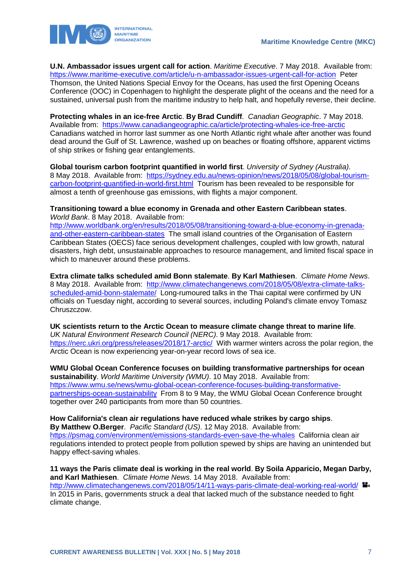

**U.N. Ambassador issues urgent call for action**. *Maritime Executive*. 7 May 2018. Available from: <https://www.maritime-executive.com/article/u-n-ambassador-issues-urgent-call-for-action>Peter Thomson, the United Nations Special Envoy for the Oceans, has used the first Opening Oceans Conference (OOC) in Copenhagen to highlight the desperate plight of the oceans and the need for a sustained, universal push from the maritime industry to help halt, and hopefully reverse, their decline.

**Protecting whales in an ice-free Arctic**. **By Brad Cundiff**. *Canadian Geographic*. 7 May 2018. Available from: <https://www.canadiangeographic.ca/article/protecting-whales-ice-free-arctic> Canadians watched in horror last summer as one North Atlantic right whale after another was found dead around the Gulf of St. Lawrence, washed up on beaches or floating offshore, apparent victims of ship strikes or fishing gear entanglements.

**Global tourism carbon footprint quantified in world first**. *University of Sydney (Australia)*. 8 May 2018. Available from: [https://sydney.edu.au/news-opinion/news/2018/05/08/global-tourism](https://sydney.edu.au/news-opinion/news/2018/05/08/global-tourism-carbon-footprint-quantified-in-world-first.html)[carbon-footprint-quantified-in-world-first.html](https://sydney.edu.au/news-opinion/news/2018/05/08/global-tourism-carbon-footprint-quantified-in-world-first.html) Tourism has been revealed to be responsible for almost a tenth of greenhouse gas emissions, with flights a major component.

**Transitioning toward a blue economy in Grenada and other Eastern Caribbean states**. *World Bank*. 8 May 2018. Available from:

[http://www.worldbank.org/en/results/2018/05/08/transitioning-toward-a-blue-economy-in-grenada](http://www.worldbank.org/en/results/2018/05/08/transitioning-toward-a-blue-economy-in-grenada-and-other-eastern-caribbean-states)[and-other-eastern-caribbean-states](http://www.worldbank.org/en/results/2018/05/08/transitioning-toward-a-blue-economy-in-grenada-and-other-eastern-caribbean-states) The small island countries of the Organisation of Eastern Caribbean States (OECS) face serious development challenges, coupled with low growth, natural disasters, high debt, unsustainable approaches to resource management, and limited fiscal space in which to maneuver around these problems.

**Extra climate talks scheduled amid Bonn stalemate**. **By Karl Mathiesen**. *Climate Home News*. 8 May 2018. Available from: [http://www.climatechangenews.com/2018/05/08/extra-climate-talks](http://www.climatechangenews.com/2018/05/08/extra-climate-talks-scheduled-amid-bonn-stalemate/)[scheduled-amid-bonn-stalemate/](http://www.climatechangenews.com/2018/05/08/extra-climate-talks-scheduled-amid-bonn-stalemate/) Long-rumoured talks in the Thai capital were confirmed by UN officials on Tuesday night, according to several sources, including Poland's climate envoy Tomasz Chruszczow.

**UK scientists return to the Arctic Ocean to measure climate change threat to marine life**. *UK Natural Environment Research Council (NERC)*. 9 May 2018. Available from: <https://nerc.ukri.org/press/releases/2018/17-arctic/>With warmer winters across the polar region, the Arctic Ocean is now experiencing year-on-year record lows of sea ice.

**WMU Global Ocean Conference focuses on building transformative partnerships for ocean sustainability**. *World Maritime University (WMU)*. 10 May 2018. Available from: [https://www.wmu.se/news/wmu-global-ocean-conference-focuses-building-transformative](https://www.wmu.se/news/wmu-global-ocean-conference-focuses-building-transformative-partnerships-ocean-sustainability)[partnerships-ocean-sustainability](https://www.wmu.se/news/wmu-global-ocean-conference-focuses-building-transformative-partnerships-ocean-sustainability) From 8 to 9 May, the WMU Global Ocean Conference brought together over 240 participants from more than 50 countries.

**How California's clean air regulations have reduced whale strikes by cargo ships**. **By Matthew O.Berger**. *Pacific Standard (US)*. 12 May 2018. Available from: <https://psmag.com/environment/emissions-standards-even-save-the-whales>California clean air regulations intended to protect people from pollution spewed by ships are having an unintended but happy effect-saving whales.

**11 ways the Paris climate deal is working in the real world**. **By Soila Apparicio, Megan Darby, and Karl Mathiesen**. *Climate Home News*. 14 May 2018. Available from: <http://www.climatechangenews.com/2018/05/14/11-ways-paris-climate-deal-working-real-world/> In 2015 in Paris, governments struck a deal that lacked much of the substance needed to fight climate change.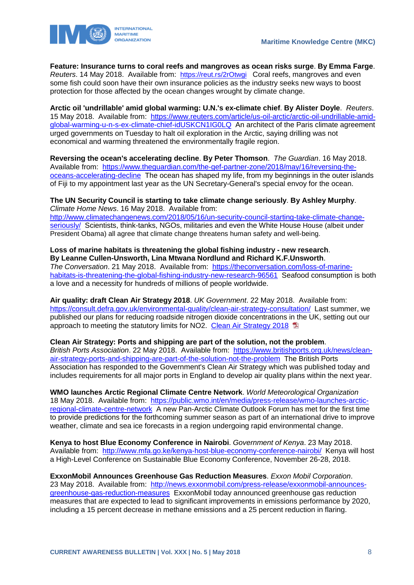

**Feature: Insurance turns to coral reefs and mangroves as ocean risks surge**. **By Emma Farge**. *Reuters*. 14 May 2018. Available from: <https://reut.rs/2rOtwgi> Coral reefs, mangroves and even some fish could soon have their own insurance policies as the industry seeks new ways to boost protection for those affected by the ocean changes wrought by climate change.

**Arctic oil 'undrillable' amid global warming: U.N.'s ex-climate chief**. **By Alister Doyle**. *Reuters*. 15 May 2018. Available from: [https://www.reuters.com/article/us-oil-arctic/arctic-oil-undrillable-amid](https://www.reuters.com/article/us-oil-arctic/arctic-oil-undrillable-amid-global-warming-u-n-s-ex-climate-chief-idUSKCN1IG0LQ)[global-warming-u-n-s-ex-climate-chief-idUSKCN1IG0LQ](https://www.reuters.com/article/us-oil-arctic/arctic-oil-undrillable-amid-global-warming-u-n-s-ex-climate-chief-idUSKCN1IG0LQ) An architect of the Paris climate agreement urged governments on Tuesday to halt oil exploration in the Arctic, saying drilling was not economical and warming threatened the environmentally fragile region.

**Reversing the ocean's accelerating decline**. **By Peter Thomson**. *The Guardian*. 16 May 2018. Available from: [https://www.theguardian.com/the-gef-partner-zone/2018/may/16/reversing-the](https://www.theguardian.com/the-gef-partner-zone/2018/may/16/reversing-the-oceans-accelerating-decline)[oceans-accelerating-decline](https://www.theguardian.com/the-gef-partner-zone/2018/may/16/reversing-the-oceans-accelerating-decline) The ocean has shaped my life, from my beginnings in the outer islands of Fiji to my appointment last year as the UN Secretary-General's special envoy for the ocean.

**The UN Security Council is starting to take climate change seriously**. **By Ashley Murphy**. *Climate Home News*. 16 May 2018. Available from:

[http://www.climatechangenews.com/2018/05/16/un-security-council-starting-take-climate-change](http://www.climatechangenews.com/2018/05/16/un-security-council-starting-take-climate-change-seriously/)[seriously/](http://www.climatechangenews.com/2018/05/16/un-security-council-starting-take-climate-change-seriously/) Scientists, think-tanks, NGOs, militaries and even the White House House (albeit under President Obama) all agree that climate change threatens human safety and well-being.

**Loss of marine habitats is threatening the global fishing industry - new research**. **By Leanne Cullen-Unsworth, Lina Mtwana Nordlund and Richard K.F.Unsworth**.

*The Conversation*. 21 May 2018. Available from: [https://theconversation.com/loss-of-marine](https://theconversation.com/loss-of-marine-habitats-is-threatening-the-global-fishing-industry-new-research-96561)[habitats-is-threatening-the-global-fishing-industry-new-research-96561](https://theconversation.com/loss-of-marine-habitats-is-threatening-the-global-fishing-industry-new-research-96561) Seafood consumption is both a love and a necessity for hundreds of millions of people worldwide.

**Air quality: draft Clean Air Strategy 2018**. *UK Government*. 22 May 2018. Available from: <https://consult.defra.gov.uk/environmental-quality/clean-air-strategy-consultation/>Last summer, we published our plans for reducing roadside nitrogen dioxide concentrations in the UK, setting out our approach to meeting the statutory limits for NO2. Clean [Air Strategy 2018](https://consult.defra.gov.uk/environmental-quality/clean-air-strategy-consultation/user_uploads/clean-air-strategy-2018-consultation.pdf)

**Clean Air Strategy: Ports and shipping are part of the solution, not the problem**. *British Ports Association*. 22 May 2018. Available from: [https://www.britishports.org.uk/news/clean](https://www.britishports.org.uk/news/clean-air-strategy-ports-and-shipping-are-part-of-the-solution-not-the-problem)[air-strategy-ports-and-shipping-are-part-of-the-solution-not-the-problem](https://www.britishports.org.uk/news/clean-air-strategy-ports-and-shipping-are-part-of-the-solution-not-the-problem) The British Ports Association has responded to the Government's Clean Air Strategy which was published today and includes requirements for all major ports in England to develop air quality plans within the next year.

**WMO launches Arctic Regional Climate Centre Network**. *World Meteorological Organization*  18 May 2018. Available from: [https://public.wmo.int/en/media/press-release/wmo-launches-arctic](https://public.wmo.int/en/media/press-release/wmo-launches-arctic-regional-climate-centre-network)[regional-climate-centre-network](https://public.wmo.int/en/media/press-release/wmo-launches-arctic-regional-climate-centre-network) A new Pan-Arctic Climate Outlook Forum has met for the first time to provide predictions for the forthcoming summer season as part of an international drive to improve weather, climate and sea ice forecasts in a region undergoing rapid environmental change.

**Kenya to host Blue Economy Conference in Nairobi**. *Government of Kenya*. 23 May 2018. Available from: <http://www.mfa.go.ke/kenya-host-blue-economy-conference-nairobi/>Kenya will host a High-Level Conference on Sustainable Blue Economy Conference, November 26-28, 2018.

**ExxonMobil Announces Greenhouse Gas Reduction Measures**. *Exxon Mobil Corporation*. 23 May 2018. Available from: [http://news.exxonmobil.com/press-release/exxonmobil-announces](http://news.exxonmobil.com/press-release/exxonmobil-announces-greenhouse-gas-reduction-measures)[greenhouse-gas-reduction-measures](http://news.exxonmobil.com/press-release/exxonmobil-announces-greenhouse-gas-reduction-measures) ExxonMobil today announced greenhouse gas reduction measures that are expected to lead to significant improvements in emissions performance by 2020, including a 15 percent decrease in methane emissions and a 25 percent reduction in flaring.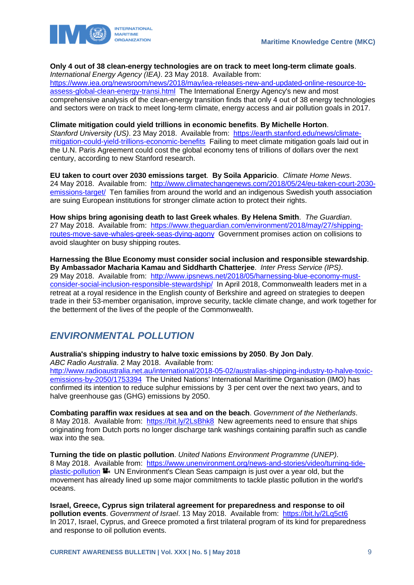

### **Only 4 out of 38 clean-energy technologies are on track to meet long-term climate goals**.

*International Energy Agency (IEA)*. 23 May 2018. Available from: [https://www.iea.org/newsroom/news/2018/may/iea-releases-new-and-updated-online-resource-to](https://www.iea.org/newsroom/news/2018/may/iea-releases-new-and-updated-online-resource-to-assess-global-clean-energy-transi.html)[assess-global-clean-energy-transi.html](https://www.iea.org/newsroom/news/2018/may/iea-releases-new-and-updated-online-resource-to-assess-global-clean-energy-transi.html) The International Energy Agency's new and most comprehensive analysis of the clean-energy transition finds that only 4 out of 38 energy technologies and sectors were on track to meet long-term climate, energy access and air pollution goals in 2017.

# **Climate mitigation could yield trillions in economic benefits**. **By Michelle Horton**.

*Stanford University (US)*. 23 May 2018. Available from: [https://earth.stanford.edu/news/climate](https://earth.stanford.edu/news/climate-mitigation-could-yield-trillions-economic-benefits)[mitigation-could-yield-trillions-economic-benefits](https://earth.stanford.edu/news/climate-mitigation-could-yield-trillions-economic-benefits) Failing to meet climate mitigation goals laid out in the U.N. Paris Agreement could cost the global economy tens of trillions of dollars over the next century, according to new Stanford research.

**EU taken to court over 2030 emissions target**. **By Soila Apparicio**. *Climate Home News*. 24 May 2018. Available from: [http://www.climatechangenews.com/2018/05/24/eu-taken-court-2030](http://www.climatechangenews.com/2018/05/24/eu-taken-court-2030-emissions-target/) [emissions-target/](http://www.climatechangenews.com/2018/05/24/eu-taken-court-2030-emissions-target/) Ten families from around the world and an indigenous Swedish youth association are suing European institutions for stronger climate action to protect their rights.

**How ships bring agonising death to last Greek whales**. **By Helena Smith**. *The Guardian*. 27 May 2018. Available from: [https://www.theguardian.com/environment/2018/may/27/shipping](https://www.theguardian.com/environment/2018/may/27/shipping-routes-move-save-whales-greek-seas-dying-agony)[routes-move-save-whales-greek-seas-dying-agony](https://www.theguardian.com/environment/2018/may/27/shipping-routes-move-save-whales-greek-seas-dying-agony) Government promises action on collisions to avoid slaughter on busy shipping routes.

**Harnessing the Blue Economy must consider social inclusion and responsible stewardship**. **By Ambassador Macharia Kamau and Siddharth Chatterjee**. *Inter Press Service (IPS)*. 29 May 2018. Available from: [http://www.ipsnews.net/2018/05/harnessing-blue-economy-must](http://www.ipsnews.net/2018/05/harnessing-blue-economy-must-consider-social-inclusion-responsible-stewardship/)[consider-social-inclusion-responsible-stewardship/](http://www.ipsnews.net/2018/05/harnessing-blue-economy-must-consider-social-inclusion-responsible-stewardship/) In April 2018, Commonwealth leaders met in a retreat at a royal residence in the English county of Berkshire and agreed on strategies to deepen trade in their 53-member organisation, improve security, tackle climate change, and work together for the betterment of the lives of the people of the Commonwealth.

## <span id="page-9-0"></span>*ENVIRONMENTAL POLLUTION*

**Australia's shipping industry to halve toxic emissions by 2050**. **By Jon Daly**. *ABC Radio Australia*. 2 May 2018. Available from:

[http://www.radioaustralia.net.au/international/2018-05-02/australias-shipping-industry-to-halve-toxic](http://www.radioaustralia.net.au/international/2018-05-02/australias-shipping-industry-to-halve-toxic-emissions-by-2050/1753394)[emissions-by-2050/1753394](http://www.radioaustralia.net.au/international/2018-05-02/australias-shipping-industry-to-halve-toxic-emissions-by-2050/1753394) The United Nations' International Maritime Organisation (IMO) has confirmed its intention to reduce sulphur emissions by 3 per cent over the next two years, and to halve greenhouse gas (GHG) emissions by 2050.

**Combating paraffin wax residues at sea and on the beach**. *Government of the Netherlands*. 8 May 2018. Available from: <https://bit.ly/2LsBhk8> New agreements need to ensure that ships originating from Dutch ports no longer discharge tank washings containing paraffin such as candle wax into the sea.

**Turning the tide on plastic pollution**. *United Nations Environment Programme (UNEP)*. 8 May 2018. Available from: [https://www.unenvironment.org/news-and-stories/video/turning-tide](https://www.unenvironment.org/news-and-stories/video/turning-tide-plastic-pollution)[plastic-pollution](https://www.unenvironment.org/news-and-stories/video/turning-tide-plastic-pollution) UN Environment's Clean Seas campaign is just over a year old, but the movement has already lined up some major commitments to tackle plastic pollution in the world's oceans.

**Israel, Greece, Cyprus sign trilateral agreement for preparedness and response to oil pollution events**. *Government of Israel*. 13 May 2018. Available from: <https://bit.ly/2Lq5ct6> In 2017, Israel, Cyprus, and Greece promoted a first trilateral program of its kind for preparedness and response to oil pollution events.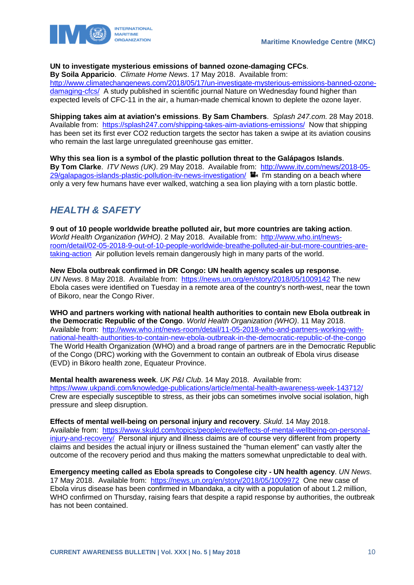

### **UN to investigate mysterious emissions of banned ozone-damaging CFCs**.

**By Soila Apparicio**. *Climate Home News*. 17 May 2018. Available from:

[http://www.climatechangenews.com/2018/05/17/un-investigate-mysterious-emissions-banned-ozone](http://www.climatechangenews.com/2018/05/17/un-investigate-mysterious-emissions-banned-ozone-damaging-cfcs/)[damaging-cfcs/](http://www.climatechangenews.com/2018/05/17/un-investigate-mysterious-emissions-banned-ozone-damaging-cfcs/) A study published in scientific journal Nature on Wednesday found higher than expected levels of CFC-11 in the air, a human-made chemical known to deplete the ozone layer.

**Shipping takes aim at aviation's emissions**. **By Sam Chambers**. *Splash 247.com*. 28 May 2018. Available from: <https://splash247.com/shipping-takes-aim-aviations-emissions/>Now that shipping has been set its first ever CO2 reduction targets the sector has taken a swipe at its aviation cousins who remain the last large unregulated greenhouse gas emitter.

**Why this sea lion is a symbol of the plastic pollution threat to the Galápagos Islands**. **By Tom Clarke**. *ITV News (UK)*. 29 May 2018. Available from: [http://www.itv.com/news/2018-05-](http://www.itv.com/news/2018-05-29/galapagos-islands-plastic-pollution-itv-news-investigation/) [29/galapagos-islands-plastic-pollution-itv-news-investigation/](http://www.itv.com/news/2018-05-29/galapagos-islands-plastic-pollution-itv-news-investigation/)  $\blacksquare$  I'm standing on a beach where only a very few humans have ever walked, watching a sea lion playing with a torn plastic bottle.

# <span id="page-10-0"></span>*HEALTH & SAFETY*

**9 out of 10 people worldwide breathe polluted air, but more countries are taking action**. *World Health Organization (WHO)*. 2 May 2018. Available from: [http://www.who.int/news](http://www.who.int/news-room/detail/02-05-2018-9-out-of-10-people-worldwide-breathe-polluted-air-but-more-countries-are-taking-action)[room/detail/02-05-2018-9-out-of-10-people-worldwide-breathe-polluted-air-but-more-countries-are](http://www.who.int/news-room/detail/02-05-2018-9-out-of-10-people-worldwide-breathe-polluted-air-but-more-countries-are-taking-action)[taking-action](http://www.who.int/news-room/detail/02-05-2018-9-out-of-10-people-worldwide-breathe-polluted-air-but-more-countries-are-taking-action) Air pollution levels remain dangerously high in many parts of the world.

**New Ebola outbreak confirmed in DR Congo: UN health agency scales up response**. *UN News*. 8 May 2018. Available from: <https://news.un.org/en/story/2018/05/1009142> The new Ebola cases were identified on Tuesday in a remote area of the country's north-west, near the town of Bikoro, near the Congo River.

**WHO and partners working with national health authorities to contain new Ebola outbreak in the Democratic Republic of the Congo**. *World Health Organization (WHO)*. 11 May 2018. Available from: [http://www.who.int/news-room/detail/11-05-2018-who-and-partners-working-with](http://www.who.int/news-room/detail/11-05-2018-who-and-partners-working-with-national-health-authorities-to-contain-new-ebola-outbreak-in-the-democratic-republic-of-the-congo)[national-health-authorities-to-contain-new-ebola-outbreak-in-the-democratic-republic-of-the-congo](http://www.who.int/news-room/detail/11-05-2018-who-and-partners-working-with-national-health-authorities-to-contain-new-ebola-outbreak-in-the-democratic-republic-of-the-congo) The World Health Organization (WHO) and a broad range of partners are in the Democratic Republic of the Congo (DRC) working with the Government to contain an outbreak of Ebola virus disease (EVD) in Bikoro health zone, Equateur Province.

**Mental health awareness week**. *UK P&I Club*. 14 May 2018. Available from: <https://www.ukpandi.com/knowledge-publications/article/mental-health-awareness-week-143712/> Crew are especially susceptible to stress, as their jobs can sometimes involve social isolation, high pressure and sleep disruption.

**Effects of mental well-being on personal injury and recovery**. *Skuld*. 14 May 2018. Available from: [https://www.skuld.com/topics/people/crew/effects-of-mental-wellbeing-on-personal](https://www.skuld.com/topics/people/crew/effects-of-mental-wellbeing-on-personal-injury-and-recovery/)[injury-and-recovery/](https://www.skuld.com/topics/people/crew/effects-of-mental-wellbeing-on-personal-injury-and-recovery/) Personal injury and illness claims are of course very different from property claims and besides the actual injury or illness sustained the "human element" can vastly alter the outcome of the recovery period and thus making the matters somewhat unpredictable to deal with.

**Emergency meeting called as Ebola spreads to Congolese city - UN health agency**. *UN News*. 17 May 2018. Available from:<https://news.un.org/en/story/2018/05/1009972>One new case of Ebola virus disease has been confirmed in Mbandaka, a city with a population of about 1.2 million, WHO confirmed on Thursday, raising fears that despite a rapid response by authorities, the outbreak has not been contained.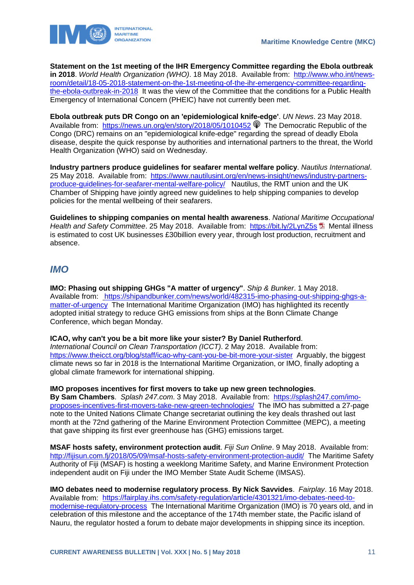

**Statement on the 1st meeting of the IHR Emergency Committee regarding the Ebola outbreak in 2018**. *World Health Organization (WHO)*. 18 May 2018. Available from: [http://www.who.int/news](http://www.who.int/news-room/detail/18-05-2018-statement-on-the-1st-meeting-of-the-ihr-emergency-committee-regarding-the-ebola-outbreak-in-2018)[room/detail/18-05-2018-statement-on-the-1st-meeting-of-the-ihr-emergency-committee-regarding](http://www.who.int/news-room/detail/18-05-2018-statement-on-the-1st-meeting-of-the-ihr-emergency-committee-regarding-the-ebola-outbreak-in-2018)[the-ebola-outbreak-in-2018](http://www.who.int/news-room/detail/18-05-2018-statement-on-the-1st-meeting-of-the-ihr-emergency-committee-regarding-the-ebola-outbreak-in-2018) It was the view of the Committee that the conditions for a Public Health Emergency of International Concern (PHEIC) have not currently been met.

**Ebola outbreak puts DR Congo on an 'epidemiological knife-edge'**. *UN News*. 23 May 2018. Available from: <https://news.un.org/en/story/2018/05/1010452>  $\mathcal P$  The Democratic Republic of the Congo (DRC) remains on an "epidemiological knife-edge" regarding the spread of deadly Ebola disease, despite the quick response by authorities and international partners to the threat, the World Health Organization (WHO) said on Wednesday.

**Industry partners produce guidelines for seafarer mental welfare policy**. *Nautilus International*. 25 May 2018. Available from: [https://www.nautilusint.org/en/news-insight/news/industry-partners](https://www.nautilusint.org/en/news-insight/news/industry-partners-produce-guidelines-for-seafarer-mental-welfare-policy/)[produce-guidelines-for-seafarer-mental-welfare-policy/](https://www.nautilusint.org/en/news-insight/news/industry-partners-produce-guidelines-for-seafarer-mental-welfare-policy/) Nautilus, the RMT union and the UK Chamber of Shipping have jointly agreed new guidelines to help shipping companies to develop policies for the mental wellbeing of their seafarers.

**Guidelines to shipping companies on mental health awareness**. *National Maritime Occupational*  Health and Safety Committee. 25 May 2018. Available from: <https://bit.ly/2LynZ5s> La Mental illness is estimated to cost UK businesses £30billion every year, through lost production, recruitment and absence.

### <span id="page-11-0"></span>*IMO*

**IMO: Phasing out shipping GHGs "A matter of urgency"**. *Ship & Bunker*. 1 May 2018. Available from: [https://shipandbunker.com/news/world/482315-imo-phasing-out-shipping-ghgs-a](https://shipandbunker.com/news/world/482315-imo-phasing-out-shipping-ghgs-a-matter-of-urgency)[matter-of-urgency](https://shipandbunker.com/news/world/482315-imo-phasing-out-shipping-ghgs-a-matter-of-urgency) The International Maritime Organization (IMO) has highlighted its recently adopted initial strategy to reduce GHG emissions from ships at the Bonn Climate Change Conference, which began Monday.

**ICAO, why can't you be a bit more like your sister? By Daniel Rutherford**.

*International Council on Clean Transportation (ICCT)*. 2 May 2018. Available from: <https://www.theicct.org/blog/staff/icao-why-cant-you-be-bit-more-your-sister>Arguably, the biggest climate news so far in 2018 is the International Maritime Organization, or IMO, finally adopting a global climate framework for international shipping.

**IMO proposes incentives for first movers to take up new green technologies**.

**By Sam Chambers**. *Splash 247.com*. 3 May 2018. Available from: [https://splash247.com/imo](https://splash247.com/imo-proposes-incentives-first-movers-take-new-green-technologies/)[proposes-incentives-first-movers-take-new-green-technologies/](https://splash247.com/imo-proposes-incentives-first-movers-take-new-green-technologies/) The IMO has submitted a 27-page note to the United Nations Climate Change secretariat outlining the key deals thrashed out last month at the 72nd gathering of the Marine Environment Protection Committee (MEPC), a meeting that gave shipping its first ever greenhouse has (GHG) emissions target.

**MSAF hosts safety, environment protection audit**. *Fiji Sun Online*. 9 May 2018. Available from: <http://fijisun.com.fj/2018/05/09/msaf-hosts-safety-environment-protection-audit/>The Maritime Safety Authority of Fiji (MSAF) is hosting a weeklong Maritime Safety, and Marine Environment Protection independent audit on Fiji under the IMO Member State Audit Scheme (IMSAS).

**IMO debates need to modernise regulatory process**. **By Nick Savvides**. *Fairplay*. 16 May 2018. Available from: [https://fairplay.ihs.com/safety-regulation/article/4301321/imo-debates-need-to](https://fairplay.ihs.com/safety-regulation/article/4301321/imo-debates-need-to-modernise-regulatory-process)[modernise-regulatory-process](https://fairplay.ihs.com/safety-regulation/article/4301321/imo-debates-need-to-modernise-regulatory-process) The International Maritime Organization (IMO) is 70 years old, and in celebration of this milestone and the acceptance of the 174th member state, the Pacific island of Nauru, the regulator hosted a forum to debate major developments in shipping since its inception.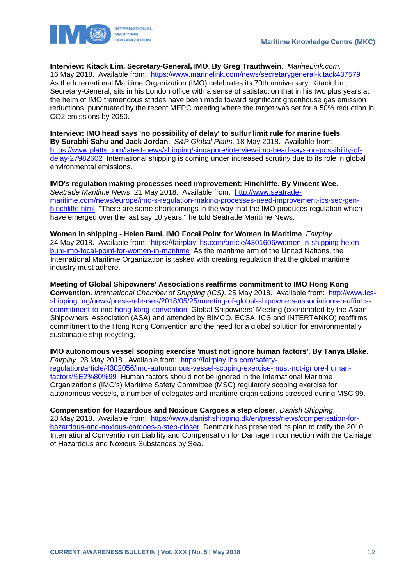



**Interview: Kitack Lim, Secretary-General, IMO**. **By Greg Trauthwein**. *MarineLink.com*. 16 May 2018. Available from:<https://www.marinelink.com/news/secretarygeneral-kitack437579> As the International Maritime Organization (IMO) celebrates its 70th anniversary, Kitack Lim, Secretary-General, sits in his London office with a sense of satisfaction that in his two plus years at the helm of IMO tremendous strides have been made toward significant greenhouse gas emission reductions, punctuated by the recent MEPC meeting where the target was set for a 50% reduction in CO2 emissions by 2050.

**Interview: IMO head says 'no possibility of delay' to sulfur limit rule for marine fuels**. **By Surabhi Sahu and Jack Jordan**. *S&P Global Platts*. 18 May 2018. Available from: [https://www.platts.com/latest-news/shipping/singapore/interview-imo-head-says-no-possibility-of](https://www.platts.com/latest-news/shipping/singapore/interview-imo-head-says-no-possibility-of-delay-27982602)[delay-27982602](https://www.platts.com/latest-news/shipping/singapore/interview-imo-head-says-no-possibility-of-delay-27982602) International shipping is coming under increased scrutiny due to its role in global environmental emissions.

**IMO's regulation making processes need improvement: Hinchliffe**. **By Vincent Wee**. *Seatrade Maritime News*. 21 May 2018. Available from: [http://www.seatrade](http://www.seatrade-maritime.com/news/europe/imo-s-regulation-making-processes-need-improvement-ics-sec-gen-hinchliffe.html)[maritime.com/news/europe/imo-s-regulation-making-processes-need-improvement-ics-sec-gen](http://www.seatrade-maritime.com/news/europe/imo-s-regulation-making-processes-need-improvement-ics-sec-gen-hinchliffe.html)[hinchliffe.html](http://www.seatrade-maritime.com/news/europe/imo-s-regulation-making-processes-need-improvement-ics-sec-gen-hinchliffe.html) "There are some shortcomings in the way that the IMO produces regulation which have emerged over the last say 10 years," he told Seatrade Maritime News.

**Women in shipping - Helen Buni, IMO Focal Point for Women in Maritime**. *Fairplay*. 24 May 2018. Available from: [https://fairplay.ihs.com/article/4301606/women-in-shipping-helen](https://fairplay.ihs.com/article/4301606/women-in-shipping-helen-buni-imo-focal-point-for-women-in-maritime)[buni-imo-focal-point-for-women-in-maritime](https://fairplay.ihs.com/article/4301606/women-in-shipping-helen-buni-imo-focal-point-for-women-in-maritime) As the maritime arm of the United Nations, the International Maritime Organization is tasked with creating regulation that the global maritime industry must adhere.

**Meeting of Global Shipowners' Associations reaffirms commitment to IMO Hong Kong Convention**. *International Chamber of Shipping (ICS)*. 25 May 2018. Available from: [http://www.ics](http://www.ics-shipping.org/news/press-releases/2018/05/25/meeting-of-global-shipowners-associations-reaffirms-commitment-to-imo-hong-kong-convention)[shipping.org/news/press-releases/2018/05/25/meeting-of-global-shipowners-associations-reaffirms](http://www.ics-shipping.org/news/press-releases/2018/05/25/meeting-of-global-shipowners-associations-reaffirms-commitment-to-imo-hong-kong-convention)[commitment-to-imo-hong-kong-convention](http://www.ics-shipping.org/news/press-releases/2018/05/25/meeting-of-global-shipowners-associations-reaffirms-commitment-to-imo-hong-kong-convention) Global Shipowners' Meeting (coordinated by the Asian Shipowners' Association (ASA) and attended by BIMCO, ECSA, ICS and INTERTANKO) reaffirms commitment to the Hong Kong Convention and the need for a global solution for environmentally sustainable ship recycling.

**IMO autonomous vessel scoping exercise 'must not ignore human factors'**. **By Tanya Blake**. *Fairplay*. 28 May 2018. Available from: [https://fairplay.ihs.com/safety](https://fairplay.ihs.com/safety-regulation/article/4302056/imo-autonomous-vessel-scoping-exercise-must-not-ignore-human-factors%E2%80%99)[regulation/article/4302056/imo-autonomous-vessel-scoping-exercise-must-not-ignore-human](https://fairplay.ihs.com/safety-regulation/article/4302056/imo-autonomous-vessel-scoping-exercise-must-not-ignore-human-factors%E2%80%99)[factors%E2%80%99](https://fairplay.ihs.com/safety-regulation/article/4302056/imo-autonomous-vessel-scoping-exercise-must-not-ignore-human-factors%E2%80%99) Human factors should not be ignored in the International Maritime Organization's (IMO's) Maritime Safety Committee (MSC) regulatory scoping exercise for autonomous vessels, a number of delegates and maritime organisations stressed during MSC 99.

**Compensation for Hazardous and Noxious Cargoes a step closer**. *Danish Shipping*. 28 May 2018. Available from: [https://www.danishshipping.dk/en/press/news/compensation-for](https://www.danishshipping.dk/en/press/news/compensation-for-hazardous-and-noxious-cargoes-a-step-closer)[hazardous-and-noxious-cargoes-a-step-closer](https://www.danishshipping.dk/en/press/news/compensation-for-hazardous-and-noxious-cargoes-a-step-closer) Denmark has presented its plan to ratify the 2010 International Convention on Liability and Compensation for Damage in connection with the Carriage of Hazardous and Noxious Substances by Sea.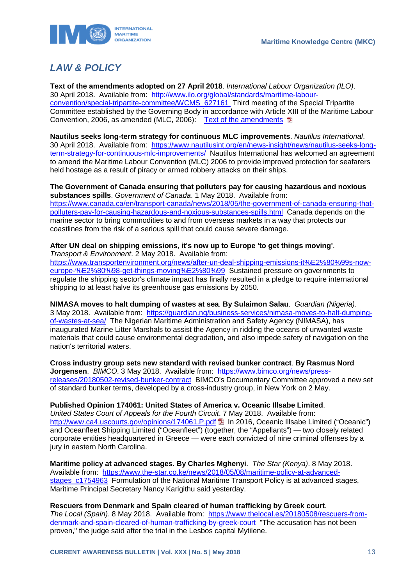

# <span id="page-13-0"></span>*LAW & POLICY*

**Text of the amendments adopted on 27 April 2018**. *International Labour Organization (ILO)*. 30 April 2018. Available from: [http://www.ilo.org/global/standards/maritime-labour](http://www.ilo.org/global/standards/maritime-labour-convention/special-tripartite-committee/WCMS_627161)[convention/special-tripartite-committee/WCMS\\_627161](http://www.ilo.org/global/standards/maritime-labour-convention/special-tripartite-committee/WCMS_627161) Third meeting of the Special Tripartite Committee established by the Governing Body in accordance with Article XIII of the Maritime Labour Convention, 2006, as amended (MLC, 2006): [Text of the amendments](http://www.ilo.org/wcmsp5/groups/public/---ed_norm/---normes/documents/meetingdocument/wcms_627161.pdf)

**Nautilus seeks long-term strategy for continuous MLC improvements**. *Nautilus International*. 30 April 2018. Available from: [https://www.nautilusint.org/en/news-insight/news/nautilus-seeks-long](https://www.nautilusint.org/en/news-insight/news/nautilus-seeks-long-term-strategy-for-continuous-mlc-improvements/)[term-strategy-for-continuous-mlc-improvements/](https://www.nautilusint.org/en/news-insight/news/nautilus-seeks-long-term-strategy-for-continuous-mlc-improvements/) Nautilus International has welcomed an agreement to amend the Maritime Labour Convention (MLC) 2006 to provide improved protection for seafarers held hostage as a result of piracy or armed robbery attacks on their ships.

#### **The Government of Canada ensuring that polluters pay for causing hazardous and noxious substances spills**. *Government of Canada*. 1 May 2018. Available from:

[https://www.canada.ca/en/transport-canada/news/2018/05/the-government-of-canada-ensuring-that](https://www.canada.ca/en/transport-canada/news/2018/05/the-government-of-canada-ensuring-that-polluters-pay-for-causing-hazardous-and-noxious-substances-spills.html)[polluters-pay-for-causing-hazardous-and-noxious-substances-spills.html](https://www.canada.ca/en/transport-canada/news/2018/05/the-government-of-canada-ensuring-that-polluters-pay-for-causing-hazardous-and-noxious-substances-spills.html) Canada depends on the marine sector to bring commodities to and from overseas markets in a way that protects our coastlines from the risk of a serious spill that could cause severe damage.

### **After UN deal on shipping emissions, it's now up to Europe 'to get things moving'**. *Transport & Environment*. 2 May 2018. Available from:

[https://www.transportenvironment.org/news/after-un-deal-shipping-emissions-it%E2%80%99s-now](https://www.transportenvironment.org/news/after-un-deal-shipping-emissions-it%E2%80%99s-now-europe-%E2%80%98-get-things-moving%E2%80%99)[europe-%E2%80%98-get-things-moving%E2%80%99](https://www.transportenvironment.org/news/after-un-deal-shipping-emissions-it%E2%80%99s-now-europe-%E2%80%98-get-things-moving%E2%80%99) Sustained pressure on governments to regulate the shipping sector's climate impact has finally resulted in a pledge to require international shipping to at least halve its greenhouse gas emissions by 2050.

**NIMASA moves to halt dumping of wastes at sea**. **By Sulaimon Salau**. *Guardian (Nigeria)*. 3 May 2018. Available from: [https://guardian.ng/business-services/nimasa-moves-to-halt-dumping](https://guardian.ng/business-services/nimasa-moves-to-halt-dumping-of-wastes-at-sea/)[of-wastes-at-sea/](https://guardian.ng/business-services/nimasa-moves-to-halt-dumping-of-wastes-at-sea/) The Nigerian Maritime Administration and Safety Agency (NIMASA), has inaugurated Marine Litter Marshals to assist the Agency in ridding the oceans of unwanted waste materials that could cause environmental degradation, and also impede safety of navigation on the nation's territorial waters.

**Cross industry group sets new standard with revised bunker contract**. **By Rasmus Nord Jorgensen**. *BIMCO*. 3 May 2018. Available from: [https://www.bimco.org/news/press](https://www.bimco.org/news/press-releases/20180502-revised-bunker-contract)[releases/20180502-revised-bunker-contract](https://www.bimco.org/news/press-releases/20180502-revised-bunker-contract) BIMCO's Documentary Committee approved a new set of standard bunker terms, developed by a cross-industry group, in New York on 2 May.

**Published Opinion 174061: United States of America v. Oceanic Illsabe Limited**.

*United States Court of Appeals for the Fourth Circuit*. 7 May 2018. Available from: <http://www.ca4.uscourts.gov/opinions/174061.P.pdf> 1 In 2016, Oceanic Illsabe Limited ("Oceanic") and Oceanfleet Shipping Limited ("Oceanfleet") (together, the "Appellants") — two closely related corporate entities headquartered in Greece — were each convicted of nine criminal offenses by a jury in eastern North Carolina.

**Maritime policy at advanced stages**. **By Charles Mghenyi**. *The Star (Kenya)*. 8 May 2018. Available from: [https://www.the-star.co.ke/news/2018/05/08/maritime-policy-at-advanced](https://www.the-star.co.ke/news/2018/05/08/maritime-policy-at-advanced-stages_c1754963)stages c1754963 Formulation of the National Maritime Transport Policy is at advanced stages, Maritime Principal Secretary Nancy Karigithu said yesterday.

**Rescuers from Denmark and Spain cleared of human trafficking by Greek court**. *The Local (Spain)*. 8 May 2018. Available from: [https://www.thelocal.es/20180508/rescuers-from](https://www.thelocal.es/20180508/rescuers-from-denmark-and-spain-cleared-of-human-trafficking-by-greek-court)[denmark-and-spain-cleared-of-human-trafficking-by-greek-court](https://www.thelocal.es/20180508/rescuers-from-denmark-and-spain-cleared-of-human-trafficking-by-greek-court) "The accusation has not been proven," the judge said after the trial in the Lesbos capital Mytilene.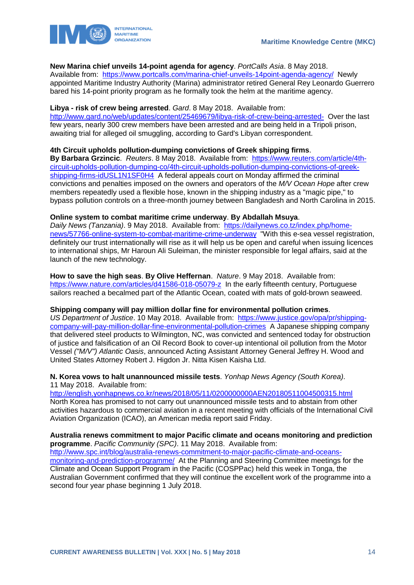

### **New Marina chief unveils 14-point agenda for agency**. *PortCalls Asia*. 8 May 2018.

Available from: <https://www.portcalls.com/marina-chief-unveils-14point-agenda-agency/>Newly appointed Maritime Industry Authority (Marina) administrator retired General Rey Leonardo Guerrero bared his 14-point priority program as he formally took the helm at the maritime agency.

### **Libya - risk of crew being arrested**. *Gard*. 8 May 2018. Available from:

<http://www.gard.no/web/updates/content/25469679/libya-risk-of-crew-being-arrested->Over the last few years, nearly 300 crew members have been arrested and are being held in a Tripoli prison, awaiting trial for alleged oil smuggling, according to Gard's Libyan correspondent.

### **4th Circuit upholds pollution-dumping convictions of Greek shipping firms**.

**By Barbara Grzincic**. *Reuters*. 8 May 2018. Available from: [https://www.reuters.com/article/4th](https://www.reuters.com/article/4th-circuit-upholds-pollution-dumping-co/4th-circuit-upholds-pollution-dumping-convictions-of-greek-shipping-firms-idUSL1N1SF0H4)[circuit-upholds-pollution-dumping-co/4th-circuit-upholds-pollution-dumping-convictions-of-greek](https://www.reuters.com/article/4th-circuit-upholds-pollution-dumping-co/4th-circuit-upholds-pollution-dumping-convictions-of-greek-shipping-firms-idUSL1N1SF0H4)[shipping-firms-idUSL1N1SF0H4](https://www.reuters.com/article/4th-circuit-upholds-pollution-dumping-co/4th-circuit-upholds-pollution-dumping-convictions-of-greek-shipping-firms-idUSL1N1SF0H4) A federal appeals court on Monday affirmed the criminal convictions and penalties imposed on the owners and operators of the *M/V Ocean Hope* after crew members repeatedly used a flexible hose, known in the shipping industry as a "magic pipe," to bypass pollution controls on a three-month journey between Bangladesh and North Carolina in 2015.

### **Online system to combat maritime crime underway**. **By Abdallah Msuya**.

*Daily News (Tanzania)*. 9 May 2018. Available from: [https://dailynews.co.tz/index.php/home](https://dailynews.co.tz/index.php/home-news/57766-online-system-to-combat-maritime-crime-underway)[news/57766-online-system-to-combat-maritime-crime-underway](https://dailynews.co.tz/index.php/home-news/57766-online-system-to-combat-maritime-crime-underway) "With this e-sea vessel registration, definitely our trust internationally will rise as it will help us be open and careful when issuing licences to international ships, Mr Haroun Ali Suleiman, the minister responsible for legal affairs, said at the launch of the new technology.

**How to save the high seas**. **By Olive Heffernan**. *Nature*. 9 May 2018. Available from: <https://www.nature.com/articles/d41586-018-05079-z>In the early fifteenth century, Portuguese sailors reached a becalmed part of the Atlantic Ocean, coated with mats of gold-brown seaweed.

#### **Shipping company will pay million dollar fine for environmental pollution crimes**.

*US Department of Justice*. 10 May 2018. Available from: [https://www.justice.gov/opa/pr/shipping](https://www.justice.gov/opa/pr/shipping-company-will-pay-million-dollar-fine-environmental-pollution-crimes)[company-will-pay-million-dollar-fine-environmental-pollution-crimes](https://www.justice.gov/opa/pr/shipping-company-will-pay-million-dollar-fine-environmental-pollution-crimes) A Japanese shipping company that delivered steel products to Wilmington, NC, was convicted and sentenced today for obstruction of justice and falsification of an Oil Record Book to cover-up intentional oil pollution from the Motor Vessel *("M/V") Atlantic Oasis*, announced Acting Assistant Attorney General Jeffrey H. Wood and United States Attorney Robert J. Higdon Jr. Nitta Kisen Kaisha Ltd.

### **N. Korea vows to halt unannounced missile tests**. *Yonhap News Agency (South Korea)*. 11 May 2018. Available from:

<http://english.yonhapnews.co.kr/news/2018/05/11/0200000000AEN20180511004500315.html> North Korea has promised to not carry out unannounced missile tests and to abstain from other activities hazardous to commercial aviation in a recent meeting with officials of the International Civil Aviation Organization (ICAO), an American media report said Friday.

### **Australia renews commitment to major Pacific climate and oceans monitoring and prediction programme**. *Pacific Community (SPC)*. 11 May 2018. Available from:

[http://www.spc.int/blog/australia-renews-commitment-to-major-pacific-climate-and-oceans](http://www.spc.int/blog/australia-renews-commitment-to-major-pacific-climate-and-oceans-monitoring-and-prediction-programme/)[monitoring-and-prediction-programme/](http://www.spc.int/blog/australia-renews-commitment-to-major-pacific-climate-and-oceans-monitoring-and-prediction-programme/) At the Planning and Steering Committee meetings for the Climate and Ocean Support Program in the Pacific (COSPPac) held this week in Tonga, the Australian Government confirmed that they will continue the excellent work of the programme into a second four year phase beginning 1 July 2018.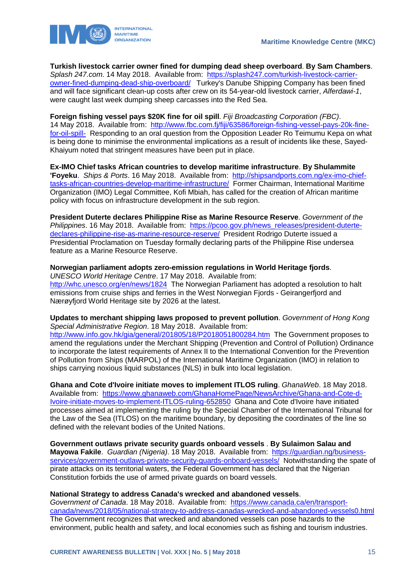

**Turkish livestock carrier owner fined for dumping dead sheep overboard**. **By Sam Chambers**. *Splash 247.com*. 14 May 2018. Available from: [https://splash247.com/turkish-livestock-carrier](https://splash247.com/turkish-livestock-carrier-owner-fined-dumping-dead-ship-overboard/)[owner-fined-dumping-dead-ship-overboard/](https://splash247.com/turkish-livestock-carrier-owner-fined-dumping-dead-ship-overboard/) Turkey's Danube Shipping Company has been fined and will face significant clean-up costs after crew on its 54-year-old livestock carrier, *Alferdawi-1*, were caught last week dumping sheep carcasses into the Red Sea.

**Foreign fishing vessel pays \$20K fine for oil spill**. *Fiji Broadcasting Corporation (FBC)*. 14 May 2018. Available from: [http://www.fbc.com.fj/fiji/63586/foreign-fishing-vessel-pays-20k-fine](http://www.fbc.com.fj/fiji/63586/foreign-fishing-vessel-pays-20k-fine-for-oil-spill-)[for-oil-spill-](http://www.fbc.com.fj/fiji/63586/foreign-fishing-vessel-pays-20k-fine-for-oil-spill-) Responding to an oral question from the Opposition Leader Ro Teimumu Kepa on what is being done to minimise the environmental implications as a result of incidents like these, Sayed-Khaiyum noted that stringent measures have been put in place.

**Ex-IMO Chief tasks African countries to develop maritime infrastructure**. **By Shulammite 'Foyeku**. *Ships & Ports*. 16 May 2018. Available from: [http://shipsandports.com.ng/ex-imo-chief](http://shipsandports.com.ng/ex-imo-chief-tasks-african-countries-develop-maritime-infrastructure/)[tasks-african-countries-develop-maritime-infrastructure/](http://shipsandports.com.ng/ex-imo-chief-tasks-african-countries-develop-maritime-infrastructure/) Former Chairman, International Maritime Organization (IMO) Legal Committee, Kofi Mbiah, has called for the creation of African maritime policy with focus on infrastructure development in the sub region.

**President Duterte declares Philippine Rise as Marine Resource Reserve**. *Government of the Philippines*. 16 May 2018. Available from: [https://pcoo.gov.ph/news\\_releases/president-duterte](https://pcoo.gov.ph/news_releases/president-duterte-declares-philippine-rise-as-marine-resource-reserve/)[declares-philippine-rise-as-marine-resource-reserve/](https://pcoo.gov.ph/news_releases/president-duterte-declares-philippine-rise-as-marine-resource-reserve/) President Rodrigo Duterte issued a Presidential Proclamation on Tuesday formally declaring parts of the Philippine Rise undersea feature as a Marine Resource Reserve.

### **Norwegian parliament adopts zero-emission regulations in World Heritage fjords**.

*UNESCO World Heritage Centre*. 17 May 2018. Available from: <http://whc.unesco.org/en/news/1824>The Norwegian Parliament has adopted a resolution to halt emissions from cruise ships and ferries in the West Norwegian Fjords - Geirangerfjord and Nærøyfjord World Heritage site by 2026 at the latest.

**Updates to merchant shipping laws proposed to prevent pollution**. *Government of Hong Kong Special Administrative Region*. 18 May 2018. Available from: <http://www.info.gov.hk/gia/general/201805/18/P2018051800284.htm>The Government proposes to amend the regulations under the Merchant Shipping (Prevention and Control of Pollution) Ordinance to incorporate the latest requirements of Annex II to the International Convention for the Prevention of Pollution from Ships (MARPOL) of the International Maritime Organization (IMO) in relation to ships carrying noxious liquid substances (NLS) in bulk into local legislation.

**Ghana and Cote d'Ivoire initiate moves to implement ITLOS ruling**. *GhanaWeb*. 18 May 2018. Available from: [https://www.ghanaweb.com/GhanaHomePage/NewsArchive/Ghana-and-Cote-d-](https://www.ghanaweb.com/GhanaHomePage/NewsArchive/Ghana-and-Cote-d-Ivoire-initiate-moves-to-implement-ITLOS-ruling-652850)[Ivoire-initiate-moves-to-implement-ITLOS-ruling-652850](https://www.ghanaweb.com/GhanaHomePage/NewsArchive/Ghana-and-Cote-d-Ivoire-initiate-moves-to-implement-ITLOS-ruling-652850) Ghana and Cote d'Ivoire have initiated processes aimed at implementing the ruling by the Special Chamber of the International Tribunal for the Law of the Sea (ITLOS) on the maritime boundary, by depositing the coordinates of the line so defined with the relevant bodies of the United Nations.

**Government outlaws private security guards onboard vessels** . **By Sulaimon Salau and Mayowa Fakile**. *Guardian (Nigeria)*. 18 May 2018. Available from: [https://guardian.ng/business](https://guardian.ng/business-services/government-outlaws-private-security-guards-onboard-vessels/)[services/government-outlaws-private-security-guards-onboard-vessels/](https://guardian.ng/business-services/government-outlaws-private-security-guards-onboard-vessels/) Notwithstanding the spate of pirate attacks on its territorial waters, the Federal Government has declared that the Nigerian Constitution forbids the use of armed private guards on board vessels.

### **National Strategy to address Canada's wrecked and abandoned vessels**.

*Government of Canada*. 18 May 2018. Available from: [https://www.canada.ca/en/transport](https://www.canada.ca/en/transport-canada/news/2018/05/national-strategy-to-address-canadas-wrecked-and-abandoned-vessels0.html)[canada/news/2018/05/national-strategy-to-address-canadas-wrecked-and-abandoned-vessels0.html](https://www.canada.ca/en/transport-canada/news/2018/05/national-strategy-to-address-canadas-wrecked-and-abandoned-vessels0.html) The Government recognizes that wrecked and abandoned vessels can pose hazards to the environment, public health and safety, and local economies such as fishing and tourism industries.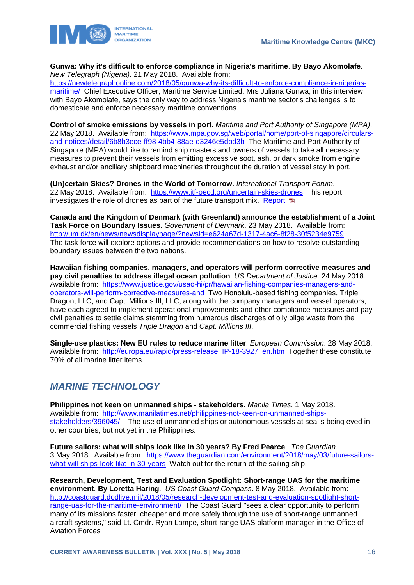

**Gunwa: Why it's difficult to enforce compliance in Nigeria's maritime**. **By Bayo Akomolafe**. *New Telegraph (Nigeria)*. 21 May 2018. Available from:

[https://newtelegraphonline.com/2018/05/gunwa-why-its-difficult-to-enforce-compliance-in-nigerias](https://newtelegraphonline.com/2018/05/gunwa-why-its-difficult-to-enforce-compliance-in-nigerias-maritime/)[maritime/](https://newtelegraphonline.com/2018/05/gunwa-why-its-difficult-to-enforce-compliance-in-nigerias-maritime/) Chief Executive Officer, Maritime Service Limited, Mrs Juliana Gunwa, in this interview with Bayo Akomolafe, says the only way to address Nigeria's maritime sector's challenges is to domesticate and enforce necessary maritime conventions.

**Control of smoke emissions by vessels in port**. *Maritime and Port Authority of Singapore (MPA)*. 22 May 2018. Available from: [https://www.mpa.gov.sg/web/portal/home/port-of-singapore/circulars](https://www.mpa.gov.sg/web/portal/home/port-of-singapore/circulars-and-notices/detail/6b8b3ece-ff98-4bb4-88ae-d3246e5dbd3b)[and-notices/detail/6b8b3ece-ff98-4bb4-88ae-d3246e5dbd3b](https://www.mpa.gov.sg/web/portal/home/port-of-singapore/circulars-and-notices/detail/6b8b3ece-ff98-4bb4-88ae-d3246e5dbd3b) The Maritime and Port Authority of Singapore (MPA) would like to remind ship masters and owners of vessels to take all necessary measures to prevent their vessels from emitting excessive soot, ash, or dark smoke from engine exhaust and/or ancillary shipboard machineries throughout the duration of vessel stay in port.

**(Un)certain Skies? Drones in the World of Tomorrow**. *International Transport Forum*. 22 May 2018. Available from:<https://www.itf-oecd.org/uncertain-skies-drones>This report investigates the role of drones as part of the future transport mix. [Report](https://www.itf-oecd.org/sites/default/files/docs/uncertain-skies-drones.pdf)  $\mathbb{\bar{B}}$ 

**Canada and the Kingdom of Denmark (with Greenland) announce the establishment of a Joint Task Force on Boundary Issues**. *Government of Denmark*. 23 May 2018. Available from: <http://um.dk/en/news/newsdisplaypage/?newsid=e624a67d-1317-4ac6-8f28-30f5234e9759> The task force will explore options and provide recommendations on how to resolve outstanding boundary issues between the two nations.

**Hawaiian fishing companies, managers, and operators will perform corrective measures and pay civil penalties to address illegal ocean pollution**. *US Department of Justice*. 24 May 2018. Available from: [https://www.justice.gov/usao-hi/pr/hawaiian-fishing-companies-managers-and](https://www.justice.gov/usao-hi/pr/hawaiian-fishing-companies-managers-and-operators-will-perform-corrective-measures-and)[operators-will-perform-corrective-measures-and](https://www.justice.gov/usao-hi/pr/hawaiian-fishing-companies-managers-and-operators-will-perform-corrective-measures-and) Two Honolulu-based fishing companies, Triple Dragon, LLC, and Capt. Millions III, LLC, along with the company managers and vessel operators, have each agreed to implement operational improvements and other compliance measures and pay civil penalties to settle claims stemming from numerous discharges of oily bilge waste from the commercial fishing vessels *Triple Dragon* and *Capt. Millions III*.

**Single-use plastics: New EU rules to reduce marine litter**. *European Commission*. 28 May 2018. Available from: http://europa.eu/rapid/press-release IP-18-3927 en.htm Together these constitute 70% of all marine litter items.

# <span id="page-16-0"></span>*MARINE TECHNOLOGY*

**Philippines not keen on unmanned ships - stakeholders**. *Manila Times*. 1 May 2018. Available from: [http://www.manilatimes.net/philippines-not-keen-on-unmanned-ships](http://www.manilatimes.net/philippines-not-keen-on-unmanned-ships-stakeholders/396045/)[stakeholders/396045/](http://www.manilatimes.net/philippines-not-keen-on-unmanned-ships-stakeholders/396045/) The use of unmanned ships or autonomous vessels at sea is being eyed in other countries, but not yet in the Philippines.

**Future sailors: what will ships look like in 30 years? By Fred Pearce**. *The Guardian*. 3 May 2018. Available from: [https://www.theguardian.com/environment/2018/may/03/future-sailors](https://www.theguardian.com/environment/2018/may/03/future-sailors-what-will-ships-look-like-in-30-years)[what-will-ships-look-like-in-30-years](https://www.theguardian.com/environment/2018/may/03/future-sailors-what-will-ships-look-like-in-30-years) Watch out for the return of the sailing ship.

**Research, Development, Test and Evaluation Spotlight: Short-range UAS for the maritime environment**. **By Loretta Haring**. *US Coast Guard Compass*. 8 May 2018. Available from: [http://coastguard.dodlive.mil/2018/05/research-development-test-and-evaluation-spotlight-short](http://coastguard.dodlive.mil/2018/05/research-development-test-and-evaluation-spotlight-short-range-uas-for-the-maritime-environment/)[range-uas-for-the-maritime-environment/](http://coastguard.dodlive.mil/2018/05/research-development-test-and-evaluation-spotlight-short-range-uas-for-the-maritime-environment/) The Coast Guard "sees a clear opportunity to perform many of its missions faster, cheaper and more safely through the use of short-range unmanned aircraft systems," said Lt. Cmdr. Ryan Lampe, short-range UAS platform manager in the Office of Aviation Forces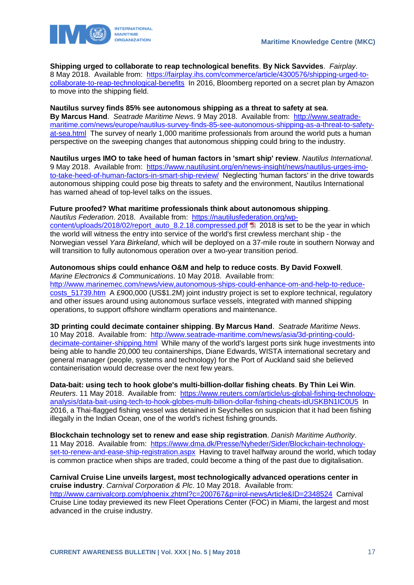

**Shipping urged to collaborate to reap technological benefits**. **By Nick Savvides**. *Fairplay*. 8 May 2018. Available from: [https://fairplay.ihs.com/commerce/article/4300576/shipping-urged-to](https://fairplay.ihs.com/commerce/article/4300576/shipping-urged-to-collaborate-to-reap-technological-benefits)[collaborate-to-reap-technological-benefits](https://fairplay.ihs.com/commerce/article/4300576/shipping-urged-to-collaborate-to-reap-technological-benefits) In 2016, Bloomberg reported on a secret plan by Amazon to move into the shipping field.

#### **Nautilus survey finds 85% see autonomous shipping as a threat to safety at sea**.

**By Marcus Hand**. *Seatrade Maritime News*. 9 May 2018. Available from: [http://www.seatrade](http://www.seatrade-maritime.com/news/europe/nautilus-survey-finds-85-see-autonomous-shipping-as-a-threat-to-safety-at-sea.html)[maritime.com/news/europe/nautilus-survey-finds-85-see-autonomous-shipping-as-a-threat-to-safety](http://www.seatrade-maritime.com/news/europe/nautilus-survey-finds-85-see-autonomous-shipping-as-a-threat-to-safety-at-sea.html)[at-sea.html](http://www.seatrade-maritime.com/news/europe/nautilus-survey-finds-85-see-autonomous-shipping-as-a-threat-to-safety-at-sea.html) The survey of nearly 1,000 maritime professionals from around the world puts a human perspective on the sweeping changes that autonomous shipping could bring to the industry.

**Nautilus urges IMO to take heed of human factors in 'smart ship' review**. *Nautilus International*. 9 May 2018. Available from: [https://www.nautilusint.org/en/news-insight/news/nautilus-urges-imo](https://www.nautilusint.org/en/news-insight/news/nautilus-urges-imo-to-take-heed-of-human-factors-in-smart-ship-review/)[to-take-heed-of-human-factors-in-smart-ship-review/](https://www.nautilusint.org/en/news-insight/news/nautilus-urges-imo-to-take-heed-of-human-factors-in-smart-ship-review/) Neglecting 'human factors' in the drive towards autonomous shipping could pose big threats to safety and the environment, Nautilus International has warned ahead of top-level talks on the issues.

### **Future proofed? What maritime professionals think about autonomous shipping**.

*Nautilus Federation*. 2018. Available from: [https://nautilusfederation.org/wp](https://nautilusfederation.org/wp-content/uploads/2018/02/report_auto_8.2.18.compressed.pdf)[content/uploads/2018/02/report\\_auto\\_8.2.18.compressed.pdf](https://nautilusfederation.org/wp-content/uploads/2018/02/report_auto_8.2.18.compressed.pdf) 2018 is set to be the year in which the world will witness the entry into service of the world's first crewless merchant ship - the Norwegian vessel *Yara Birkeland*, which will be deployed on a 37-mile route in southern Norway and will transition to fully autonomous operation over a two-year transition period.

### **Autonomous ships could enhance O&M and help to reduce costs**. **By David Foxwell**.

*Marine Electronics & Communications*. 10 May 2018. Available from:

[http://www.marinemec.com/news/view,autonomous-ships-could-enhance-om-and-help-to-reduce](http://www.marinemec.com/news/view,autonomous-ships-could-enhance-om-and-help-to-reduce-costs_51739.htm)costs 51739.htm A £900,000 (US\$1.2M) joint industry project is set to explore technical, regulatory and other issues around using autonomous surface vessels, integrated with manned shipping operations, to support offshore windfarm operations and maintenance.

**3D printing could decimate container shipping**. **By Marcus Hand**. *Seatrade Maritime News*. 10 May 2018. Available from: [http://www.seatrade-maritime.com/news/asia/3d-printing-could](http://www.seatrade-maritime.com/news/asia/3d-printing-could-decimate-container-shipping.html)[decimate-container-shipping.html](http://www.seatrade-maritime.com/news/asia/3d-printing-could-decimate-container-shipping.html) While many of the world's largest ports sink huge investments into being able to handle 20,000 teu containerships, Diane Edwards, WISTA international secretary and general manager (people, systems and technology) for the Port of Auckland said she believed containerisation would decrease over the next few years.

**Data-bait: using tech to hook globe's multi-billion-dollar fishing cheats**. **By Thin Lei Win**. *Reuters*. 11 May 2018. Available from: [https://www.reuters.com/article/us-global-fishing-technology](https://www.reuters.com/article/us-global-fishing-technology-analysis/data-bait-using-tech-to-hook-globes-multi-billion-dollar-fishing-cheats-idUSKBN1IC0U5)[analysis/data-bait-using-tech-to-hook-globes-multi-billion-dollar-fishing-cheats-idUSKBN1IC0U5](https://www.reuters.com/article/us-global-fishing-technology-analysis/data-bait-using-tech-to-hook-globes-multi-billion-dollar-fishing-cheats-idUSKBN1IC0U5) In 2016, a Thai-flagged fishing vessel was detained in Seychelles on suspicion that it had been fishing illegally in the Indian Ocean, one of the world's richest fishing grounds.

**Blockchain technology set to renew and ease ship registration**. *Danish Maritime Authority*. 11 May 2018. Available from: [https://www.dma.dk/Presse/Nyheder/Sider/Blockchain-technology](https://www.dma.dk/Presse/Nyheder/Sider/Blockchain-technology-set-to-renew-and-ease-ship-registration.aspx)[set-to-renew-and-ease-ship-registration.aspx](https://www.dma.dk/Presse/Nyheder/Sider/Blockchain-technology-set-to-renew-and-ease-ship-registration.aspx) Having to travel halfway around the world, which today is common practice when ships are traded, could become a thing of the past due to digitalisation.

**Carnival Cruise Line unveils largest, most technologically advanced operations center in cruise industry**. *Carnival Corporation & Plc*. 10 May 2018. Available from: <http://www.carnivalcorp.com/phoenix.zhtml?c=200767&p=irol-newsArticle&ID=2348524>Carnival Cruise Line today previewed its new Fleet Operations Center (FOC) in Miami, the largest and most advanced in the cruise industry.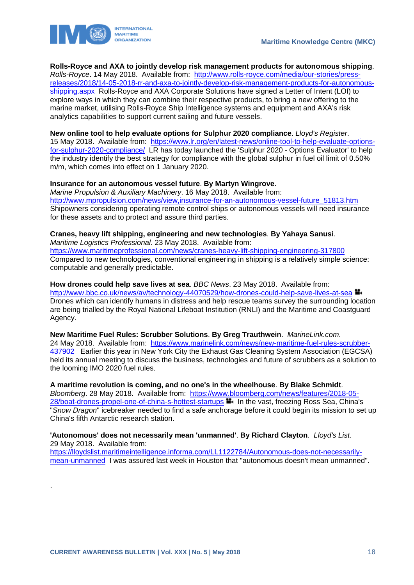

**Rolls-Royce and AXA to jointly develop risk management products for autonomous shipping**. *Rolls-Royce*. 14 May 2018. Available from: [http://www.rolls-royce.com/media/our-stories/press](http://www.rolls-royce.com/media/our-stories/press-releases/2018/14-05-2018-rr-and-axa-to-jointly-develop-risk-management-products-for-autonomous-shipping.aspx)[releases/2018/14-05-2018-rr-and-axa-to-jointly-develop-risk-management-products-for-autonomous](http://www.rolls-royce.com/media/our-stories/press-releases/2018/14-05-2018-rr-and-axa-to-jointly-develop-risk-management-products-for-autonomous-shipping.aspx)[shipping.aspx](http://www.rolls-royce.com/media/our-stories/press-releases/2018/14-05-2018-rr-and-axa-to-jointly-develop-risk-management-products-for-autonomous-shipping.aspx) Rolls-Royce and AXA Corporate Solutions have signed a Letter of Intent (LOI) to explore ways in which they can combine their respective products, to bring a new offering to the marine market, utilising Rolls-Royce Ship Intelligence systems and equipment and AXA's risk analytics capabilities to support current sailing and future vessels.

**New online tool to help evaluate options for Sulphur 2020 compliance**. *Lloyd's Register*. 15 May 2018. Available from: [https://www.lr.org/en/latest-news/online-tool-to-help-evaluate-options](https://www.lr.org/en/latest-news/online-tool-to-help-evaluate-options-for-sulphur-2020-compliance/)[for-sulphur-2020-compliance/](https://www.lr.org/en/latest-news/online-tool-to-help-evaluate-options-for-sulphur-2020-compliance/) LR has today launched the 'Sulphur 2020 - Options Evaluator' to help the industry identify the best strategy for compliance with the global sulphur in fuel oil limit of 0.50% m/m, which comes into effect on 1 January 2020.

### **Insurance for an autonomous vessel future**. **By Martyn Wingrove**.

*Marine Propulsion & Auxiliary Machinery*. 16 May 2018. Available from: [http://www.mpropulsion.com/news/view,insurance-for-an-autonomous-vessel-future\\_51813.htm](http://www.mpropulsion.com/news/view,insurance-for-an-autonomous-vessel-future_51813.htm) Shipowners considering operating remote control ships or autonomous vessels will need insurance for these assets and to protect and assure third parties.

#### **Cranes, heavy lift shipping, engineering and new technologies**. **By Yahaya Sanusi**. *Maritime Logistics Professional*. 23 May 2018. Available from:

<https://www.maritimeprofessional.com/news/cranes-heavy-lift-shipping-engineering-317800> Compared to new technologies, conventional engineering in shipping is a relatively simple science: computable and generally predictable.

**How drones could help save lives at sea**. *BBC News*. 23 May 2018. Available from: <http://www.bbc.co.uk/news/av/technology-44070529/how-drones-could-help-save-lives-at-sea> Drones which can identify humans in distress and help rescue teams survey the surrounding location are being trialled by the Royal National Lifeboat Institution (RNLI) and the Maritime and Coastguard Agency.

**New Maritime Fuel Rules: Scrubber Solutions**. **By Greg Trauthwein**. *MarineLink.com*. 24 May 2018. Available from: [https://www.marinelink.com/news/new-maritime-fuel-rules-scrubber-](https://www.marinelink.com/news/new-maritime-fuel-rules-scrubber-437902)[437902](https://www.marinelink.com/news/new-maritime-fuel-rules-scrubber-437902) Earlier this year in New York City the Exhaust Gas Cleaning System Association (EGCSA) held its annual meeting to discuss the business, technologies and future of scrubbers as a solution to the looming IMO 2020 fuel rules.

**A maritime revolution is coming, and no one's in the wheelhouse**. **By Blake Schmidt**. *Bloomberg*. 28 May 2018. Available from: [https://www.bloomberg.com/news/features/2018-05-](https://www.bloomberg.com/news/features/2018-05-28/boat-drones-propel-one-of-china-s-hottest-startups) [28/boat-drones-propel-one-of-china-s-hottest-startups](https://www.bloomberg.com/news/features/2018-05-28/boat-drones-propel-one-of-china-s-hottest-startups) **II** In the vast, freezing Ross Sea, China's "*Snow Dragon*" icebreaker needed to find a safe anchorage before it could begin its mission to set up China's fifth Antarctic research station.

**'Autonomous' does not necessarily mean 'unmanned'**. **By Richard Clayton**. *Lloyd's List*. 29 May 2018. Available from:

[https://lloydslist.maritimeintelligence.informa.com/LL1122784/Autonomous-does-not-necessarily](https://lloydslist.maritimeintelligence.informa.com/LL1122784/Autonomous-does-not-necessarily-mean-unmanned)[mean-unmanned](https://lloydslist.maritimeintelligence.informa.com/LL1122784/Autonomous-does-not-necessarily-mean-unmanned) I was assured last week in Houston that "autonomous doesn't mean unmanned".

.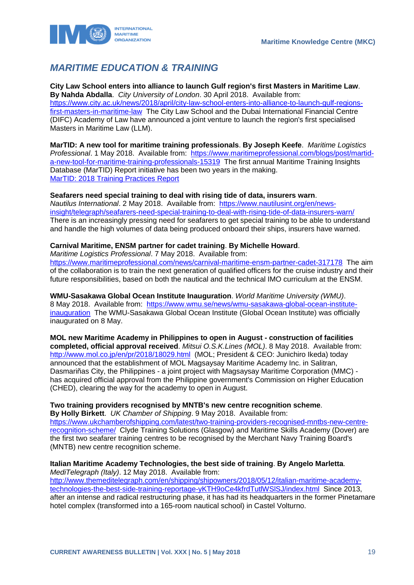

# <span id="page-19-0"></span>*MARITIME EDUCATION & TRAINING*

**City Law School enters into alliance to launch Gulf region's first Masters in Maritime Law**. **By Nahda Abdalla**. *City University of London*. 30 April 2018. Available from: [https://www.city.ac.uk/news/2018/april/city-law-school-enters-into-alliance-to-launch-gulf-regions](https://www.city.ac.uk/news/2018/april/city-law-school-enters-into-alliance-to-launch-gulf-regions-first-masters-in-maritime-law)[first-masters-in-maritime-law](https://www.city.ac.uk/news/2018/april/city-law-school-enters-into-alliance-to-launch-gulf-regions-first-masters-in-maritime-law) The City Law School and the Dubai International Financial Centre (DIFC) Academy of Law have announced a joint venture to launch the region's first specialised Masters in Maritime Law (LLM).

**MarTID: A new tool for maritime training professionals**. **By Joseph Keefe**. *Maritime Logistics Professional*. 1 May 2018. Available from: [https://www.maritimeprofessional.com/blogs/post/martid](https://www.maritimeprofessional.com/blogs/post/martid-a-new-tool-for-maritime-training-professionals-15319)[a-new-tool-for-maritime-training-professionals-15319](https://www.maritimeprofessional.com/blogs/post/martid-a-new-tool-for-maritime-training-professionals-15319) The first annual Maritime Training Insights Database (MarTID) Report initiative has been two years in the making. [MarTID: 2018 Training Practices Report](https://magazines.marinelink.com/NWM/Others/MarTID2018/)

### **Seafarers need special training to deal with rising tide of data, insurers warn**.

*Nautilus International*. 2 May 2018. Available from: [https://www.nautilusint.org/en/news](https://www.nautilusint.org/en/news-insight/telegraph/seafarers-need-special-training-to-deal-with-rising-tide-of-data-insurers-warn/)[insight/telegraph/seafarers-need-special-training-to-deal-with-rising-tide-of-data-insurers-warn/](https://www.nautilusint.org/en/news-insight/telegraph/seafarers-need-special-training-to-deal-with-rising-tide-of-data-insurers-warn/) There is an increasingly pressing need for seafarers to get special training to be able to understand and handle the high volumes of data being produced onboard their ships, insurers have warned.

### **Carnival Maritime, ENSM partner for cadet training**. **By Michelle Howard**.

*Maritime Logistics Professional*. 7 May 2018. Available from:

<https://www.maritimeprofessional.com/news/carnival-maritime-ensm-partner-cadet-317178>The aim of the collaboration is to train the next generation of qualified officers for the cruise industry and their future responsibilities, based on both the nautical and the technical IMO curriculum at the ENSM.

**WMU-Sasakawa Global Ocean Institute Inauguration**. *World Maritime University (WMU)*. 8 May 2018. Available from: [https://www.wmu.se/news/wmu-sasakawa-global-ocean-institute](https://www.wmu.se/news/wmu-sasakawa-global-ocean-institute-inauguration)[inauguration](https://www.wmu.se/news/wmu-sasakawa-global-ocean-institute-inauguration) The WMU-Sasakawa Global Ocean Institute (Global Ocean Institute) was officially inaugurated on 8 May.

**MOL new Maritime Academy in Philippines to open in August - construction of facilities completed, official approval received**. *Mitsui O.S.K.Lines (MOL)*. 8 May 2018. Available from: <http://www.mol.co.jp/en/pr/2018/18029.html>(MOL; President & CEO: Junichiro Ikeda) today announced that the establishment of MOL Magsaysay Maritime Academy Inc. in Salitran, Dasmariñas City, the Philippines - a joint project with Magsaysay Maritime Corporation (MMC) has acquired official approval from the Philippine government's Commission on Higher Education (CHED), clearing the way for the academy to open in August.

**Two training providers recognised by MNTB's new centre recognition scheme**.

**By Holly Birkett**. *UK Chamber of Shipping*. 9 May 2018. Available from: [https://www.ukchamberofshipping.com/latest/two-training-providers-recognised-mntbs-new-centre](https://www.ukchamberofshipping.com/latest/two-training-providers-recognised-mntbs-new-centre-recognition-scheme/)[recognition-scheme/](https://www.ukchamberofshipping.com/latest/two-training-providers-recognised-mntbs-new-centre-recognition-scheme/) Clyde Training Solutions (Glasgow) and Maritime Skills Academy (Dover) are the first two seafarer training centres to be recognised by the Merchant Navy Training Board's (MNTB) new centre recognition scheme.

#### **Italian Maritime Academy Technologies, the best side of training**. **By Angelo Marletta**. *MediTelegraph (Italy)*. 12 May 2018. Available from:

[http://www.themeditelegraph.com/en/shipping/shipowners/2018/05/12/italian-maritime-academy](http://www.themeditelegraph.com/en/shipping/shipowners/2018/05/12/italian-maritime-academy-technologies-the-best-side-training-reportage-yKTH9oCe4kfrdTutlWSlSJ/index.html)[technologies-the-best-side-training-reportage-yKTH9oCe4kfrdTutlWSlSJ/index.html](http://www.themeditelegraph.com/en/shipping/shipowners/2018/05/12/italian-maritime-academy-technologies-the-best-side-training-reportage-yKTH9oCe4kfrdTutlWSlSJ/index.html) Since 2013, after an intense and radical restructuring phase, it has had its headquarters in the former Pinetamare hotel complex (transformed into a 165-room nautical school) in Castel Volturno.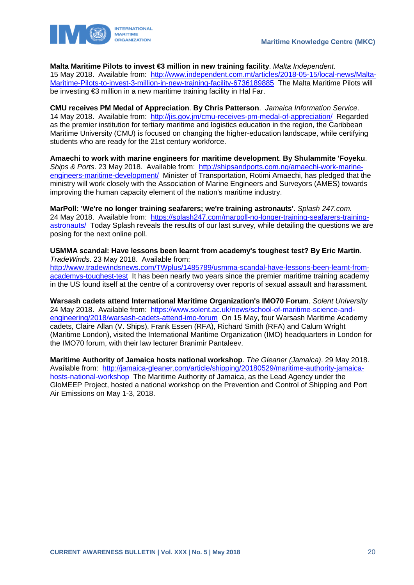**Malta Maritime Pilots to invest €3 million in new training facility**. *Malta Independent*. 15 May 2018. Available from: [http://www.independent.com.mt/articles/2018-05-15/local-news/Malta-](http://www.independent.com.mt/articles/2018-05-15/local-news/Malta-Maritime-Pilots-to-invest-3-million-in-new-training-facility-6736189885)[Maritime-Pilots-to-invest-3-million-in-new-training-facility-6736189885](http://www.independent.com.mt/articles/2018-05-15/local-news/Malta-Maritime-Pilots-to-invest-3-million-in-new-training-facility-6736189885) The Malta Maritime Pilots will

be investing €3 million in a new maritime training facility in Hal Far.

**CMU receives PM Medal of Appreciation**. **By Chris Patterson**. *Jamaica Information Service*. 14 May 2018. Available from:<http://jis.gov.jm/cmu-receives-pm-medal-of-appreciation/>Regarded as the premier institution for tertiary maritime and logistics education in the region, the Caribbean Maritime University (CMU) is focused on changing the higher-education landscape, while certifying students who are ready for the 21st century workforce.

**Amaechi to work with marine engineers for maritime development**. **By Shulammite 'Foyeku**. *Ships & Ports*. 23 May 2018. Available from: [http://shipsandports.com.ng/amaechi-work-marine](http://shipsandports.com.ng/amaechi-work-marine-engineers-maritime-development/)[engineers-maritime-development/](http://shipsandports.com.ng/amaechi-work-marine-engineers-maritime-development/) Minister of Transportation, Rotimi Amaechi, has pledged that the ministry will work closely with the Association of Marine Engineers and Surveyors (AMES) towards improving the human capacity element of the nation's maritime industry.

**MarPoll: 'We're no longer training seafarers; we're training astronauts'**. *Splash 247.com*. 24 May 2018. Available from: [https://splash247.com/marpoll-no-longer-training-seafarers-training](https://splash247.com/marpoll-no-longer-training-seafarers-training-astronauts/)[astronauts/](https://splash247.com/marpoll-no-longer-training-seafarers-training-astronauts/) Today Splash reveals the results of our last survey, while detailing the questions we are posing for the next online poll.

**USMMA scandal: Have lessons been learnt from academy's toughest test? By Eric Martin**. *TradeWinds*. 23 May 2018. Available from:

[http://www.tradewindsnews.com/TWplus/1485789/usmma-scandal-have-lessons-been-learnt-from](http://www.tradewindsnews.com/TWplus/1485789/usmma-scandal-have-lessons-been-learnt-from-academys-toughest-test)[academys-toughest-test](http://www.tradewindsnews.com/TWplus/1485789/usmma-scandal-have-lessons-been-learnt-from-academys-toughest-test) It has been nearly two years since the premier maritime training academy in the US found itself at the centre of a controversy over reports of sexual assault and harassment.

**Warsash cadets attend International Maritime Organization's IMO70 Forum**. *Solent University*  24 May 2018. Available from: [https://www.solent.ac.uk/news/school-of-maritime-science-and](https://www.solent.ac.uk/news/school-of-maritime-science-and-engineering/2018/warsash-cadets-attend-imo-forum)[engineering/2018/warsash-cadets-attend-imo-forum](https://www.solent.ac.uk/news/school-of-maritime-science-and-engineering/2018/warsash-cadets-attend-imo-forum) On 15 May, four Warsash Maritime Academy cadets, Claire Allan (V. Ships), Frank Essen (RFA), Richard Smith (RFA) and Calum Wright (Maritime London), visited the International Maritime Organization (IMO) headquarters in London for the IMO70 forum, with their law lecturer Branimir Pantaleev.

**Maritime Authority of Jamaica hosts national workshop**. *The Gleaner (Jamaica)*. 29 May 2018. Available from: [http://jamaica-gleaner.com/article/shipping/20180529/maritime-authority-jamaica](http://jamaica-gleaner.com/article/shipping/20180529/maritime-authority-jamaica-hosts-national-workshop)[hosts-national-workshop](http://jamaica-gleaner.com/article/shipping/20180529/maritime-authority-jamaica-hosts-national-workshop) The Maritime Authority of Jamaica, as the Lead Agency under the GloMEEP Project, hosted a national workshop on the Prevention and Control of Shipping and Port Air Emissions on May 1-3, 2018.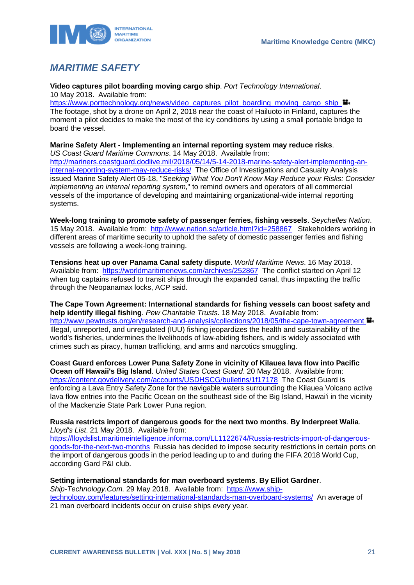

# <span id="page-21-0"></span>*MARITIME SAFETY*

**Video captures pilot boarding moving cargo ship**. *Port Technology International*. 10 May 2018. Available from:

https://www.porttechnology.org/news/video\_captures\_pilot\_boarding\_moving\_cargo\_ship The footage, shot by a drone on April 2, 2018 near the coast of Hailuoto in Finland, captures the moment a pilot decides to make the most of the icy conditions by using a small portable bridge to board the vessel.

### **Marine Safety Alert - Implementing an internal reporting system may reduce risks**.

*US Coast Guard Maritime Commons*. 14 May 2018. Available from: [http://mariners.coastguard.dodlive.mil/2018/05/14/5-14-2018-marine-safety-alert-implementing-an](http://mariners.coastguard.dodlive.mil/2018/05/14/5-14-2018-marine-safety-alert-implementing-an-internal-reporting-system-may-reduce-risks/)[internal-reporting-system-may-reduce-risks/](http://mariners.coastguard.dodlive.mil/2018/05/14/5-14-2018-marine-safety-alert-implementing-an-internal-reporting-system-may-reduce-risks/) The Office of Investigations and Casualty Analysis issued Marine Safety Alert 05-18, "*Seeking What You Don't Know May Reduce your Risks: Consider implementing an internal reporting system*," to remind owners and operators of all commercial vessels of the importance of developing and maintaining organizational-wide internal reporting systems.

**Week-long training to promote safety of passenger ferries, fishing vessels**. *Seychelles Nation*. 15 May 2018. Available from:<http://www.nation.sc/article.html?id=258867>Stakeholders working in different areas of maritime security to uphold the safety of domestic passenger ferries and fishing vessels are following a week-long training.

**Tensions heat up over Panama Canal safety dispute**. *World Maritime News*. 16 May 2018. Available from: <https://worldmaritimenews.com/archives/252867>The conflict started on April 12 when tug captains refused to transit ships through the expanded canal, thus impacting the traffic through the Neopanamax locks, ACP said.

**The Cape Town Agreement: International standards for fishing vessels can boost safety and help identify illegal fishing**. *Pew Charitable Trusts*. 18 May 2018. Available from: <http://www.pewtrusts.org/en/research-and-analysis/collections/2018/05/the-cape-town-agreement> Illegal, unreported, and unregulated (IUU) fishing jeopardizes the health and sustainability of the world's fisheries, undermines the livelihoods of law-abiding fishers, and is widely associated with crimes such as piracy, human trafficking, and arms and narcotics smuggling.

**Coast Guard enforces Lower Puna Safety Zone in vicinity of Kilauea lava flow into Pacific Ocean off Hawaii's Big Island**. *United States Coast Guard*. 20 May 2018. Available from: <https://content.govdelivery.com/accounts/USDHSCG/bulletins/1f17178>The Coast Guard is enforcing a Lava Entry Safety Zone for the navigable waters surrounding the Kilauea Volcano active lava flow entries into the Pacific Ocean on the southeast side of the Big Island, Hawai'i in the vicinity of the Mackenzie State Park Lower Puna region.

**Russia restricts import of dangerous goods for the next two months**. **By Inderpreet Walia**. *Lloyd's List*. 21 May 2018. Available from:

[https://lloydslist.maritimeintelligence.informa.com/LL1122674/Russia-restricts-import-of-dangerous](https://lloydslist.maritimeintelligence.informa.com/LL1122674/Russia-restricts-import-of-dangerous-goods-for-the-next-two-months)[goods-for-the-next-two-months](https://lloydslist.maritimeintelligence.informa.com/LL1122674/Russia-restricts-import-of-dangerous-goods-for-the-next-two-months) Russia has decided to impose security restrictions in certain ports on the import of dangerous goods in the period leading up to and during the FIFA 2018 World Cup, according Gard P&I club.

### **Setting international standards for man overboard systems**. **By Elliot Gardner**.

*Ship-Technology.Com.* 29 May 2018. Available from: [https://www.ship](https://www.ship-technology.com/features/setting-international-standards-man-overboard-systems/)[technology.com/features/setting-international-standards-man-overboard-systems/](https://www.ship-technology.com/features/setting-international-standards-man-overboard-systems/) An average of 21 man overboard incidents occur on cruise ships every year.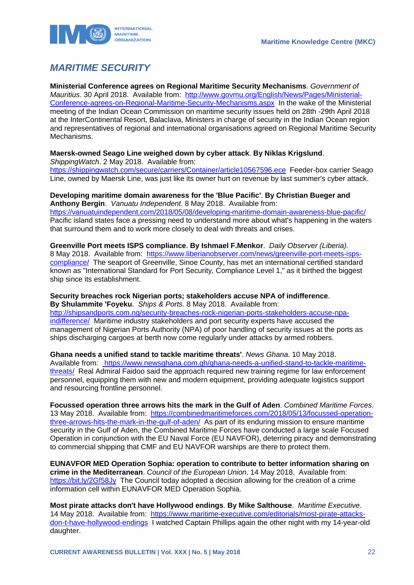

# <span id="page-22-0"></span>*MARITIME SECURITY*

**Ministerial Conference agrees on Regional Maritime Security Mechanisms**. *Government of Mauritius*. 30 April 2018. Available from: [http://www.govmu.org/English/News/Pages/Ministerial-](http://www.govmu.org/English/News/Pages/Ministerial-Conference-agrees-on-Regional-Maritime-Security-Mechanisms.aspx)[Conference-agrees-on-Regional-Maritime-Security-Mechanisms.aspx](http://www.govmu.org/English/News/Pages/Ministerial-Conference-agrees-on-Regional-Maritime-Security-Mechanisms.aspx) In the wake of the Ministerial meeting of the Indian Ocean Commission on maritime security issues held on 28th -29th April 2018 at the InterContinental Resort, Balaclava, Ministers in charge of security in the Indian Ocean region and representatives of regional and international organisations agreed on Regional Maritime Security Mechanisms.

### **Maersk-owned Seago Line weighed down by cyber attack**. **By Niklas Krigslund**.

*ShippingWatch*. 2 May 2018. Available from: <https://shippingwatch.com/secure/carriers/Container/article10567596.ece>Feeder-box carrier Seago

Line, owned by Maersk Line, was just like its owner hurt on revenue by last summer's cyber attack.

### **Developing maritime domain awareness for the 'Blue Pacific'**. **By Christian Bueger and Anthony Bergin**. *Vanuatu Independent*. 8 May 2018. Available from:

<https://vanuatuindependent.com/2018/05/08/developing-maritime-domain-awareness-blue-pacific/> Pacific island states face a pressing need to understand more about what's happening in the waters that surround them and to work more closely to deal with threats and crises.

### **Greenville Port meets ISPS compliance**. **By Ishmael F.Menkor**. *Daily Observer (Liberia)*.

8 May 2018. Available from: [https://www.liberianobserver.com/news/greenville-port-meets-isps](https://www.liberianobserver.com/news/greenville-port-meets-isps-compliance/)[compliance/](https://www.liberianobserver.com/news/greenville-port-meets-isps-compliance/) The seaport of Greenville, Sinoe County, has met an international certified standard known as "International Standard for Port Security, Compliance Level 1," as it birthed the biggest ship since its establishment.

#### **Security breaches rock Nigerian ports; stakeholders accuse NPA of indifference**. **By Shulammite 'Foyeku**. *Ships & Ports*. 8 May 2018. Available from:

[http://shipsandports.com.ng/security-breaches-rock-nigerian-ports-stakeholders-accuse-npa](http://shipsandports.com.ng/security-breaches-rock-nigerian-ports-stakeholders-accuse-npa-indifference/)[indifference/](http://shipsandports.com.ng/security-breaches-rock-nigerian-ports-stakeholders-accuse-npa-indifference/) Maritime industry stakeholders and port security experts have accused the management of Nigerian Ports Authority (NPA) of poor handling of security issues at the ports as ships discharging cargoes at berth now come regularly under attacks by armed robbers.

**Ghana needs a unified stand to tackle maritime threats'**. *News Ghana*. 10 May 2018. Available from: [https://www.newsghana.com.gh/ghana-needs-a-unified-stand-to-tackle-maritime](https://www.newsghana.com.gh/ghana-needs-a-unified-stand-to-tackle-maritime-threats/)[threats/](https://www.newsghana.com.gh/ghana-needs-a-unified-stand-to-tackle-maritime-threats/) Real Admiral Faidoo said the approach required new training regime for law enforcement personnel, equipping them with new and modern equipment, providing adequate logistics support and resourcing frontline personnel.

**Focussed operation three arrows hits the mark in the Gulf of Aden**. *Combined Maritime Forces*. 13 May 2018. Available from: [https://combinedmaritimeforces.com/2018/05/13/focussed-operation](https://combinedmaritimeforces.com/2018/05/13/focussed-operation-three-arrows-hits-the-mark-in-the-gulf-of-aden/)[three-arrows-hits-the-mark-in-the-gulf-of-aden/](https://combinedmaritimeforces.com/2018/05/13/focussed-operation-three-arrows-hits-the-mark-in-the-gulf-of-aden/) As part of its enduring mission to ensure maritime security in the Gulf of Aden, the Combined Maritime Forces have conducted a large scale Focused Operation in conjunction with the EU Naval Force (EU NAVFOR), deterring piracy and demonstrating to commercial shipping that CMF and EU NAVFOR warships are there to protect them.

**EUNAVFOR MED Operation Sophia: operation to contribute to better information sharing on crime in the Mediterranean**. *Council of the European Union*. 14 May 2018. Available from: <https://bit.ly/2Gf58Jy> The Council today adopted a decision allowing for the creation of a crime information cell within EUNAVFOR MED Operation Sophia.

**Most pirate attacks don't have Hollywood endings**. **By Mike Salthouse**. *Maritime Executive*. 14 May 2018. Available from: [https://www.maritime-executive.com/editorials/most-pirate-attacks](https://www.maritime-executive.com/editorials/most-pirate-attacks-don-t-have-hollywood-endings)[don-t-have-hollywood-endings](https://www.maritime-executive.com/editorials/most-pirate-attacks-don-t-have-hollywood-endings) I watched Captain Phillips again the other night with my 14-year-old daughter.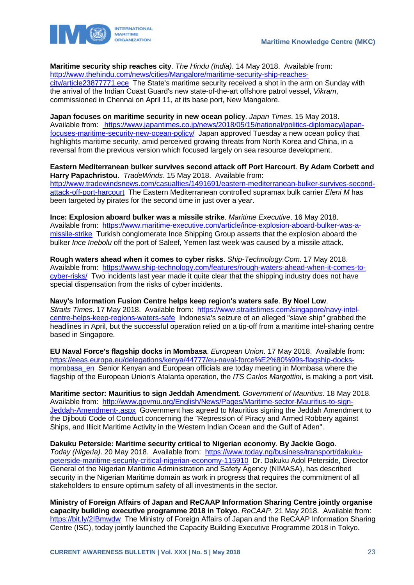

**Maritime security ship reaches city**. *The Hindu (India)*. 14 May 2018. Available from: [http://www.thehindu.com/news/cities/Mangalore/maritime-security-ship-reaches](http://www.thehindu.com/news/cities/Mangalore/maritime-security-ship-reaches-city/article23877771.ece)[city/article23877771.ece](http://www.thehindu.com/news/cities/Mangalore/maritime-security-ship-reaches-city/article23877771.ece) The State's maritime security received a shot in the arm on Sunday with the arrival of the Indian Coast Guard's new state-of-the-art offshore patrol vessel, *Vikram*, commissioned in Chennai on April 11, at its base port, New Mangalore.

**Japan focuses on maritime security in new ocean policy**. *Japan Times*. 15 May 2018. Available from: [https://www.japantimes.co.jp/news/2018/05/15/national/politics-diplomacy/japan](https://www.japantimes.co.jp/news/2018/05/15/national/politics-diplomacy/japan-focuses-maritime-security-new-ocean-policy/)[focuses-maritime-security-new-ocean-policy/](https://www.japantimes.co.jp/news/2018/05/15/national/politics-diplomacy/japan-focuses-maritime-security-new-ocean-policy/) Japan approved Tuesday a new ocean policy that highlights maritime security, amid perceived growing threats from North Korea and China, in a reversal from the previous version which focused largely on sea resource development.

**Eastern Mediterranean bulker survives second attack off Port Harcourt**. **By Adam Corbett and Harry Papachristou**. *TradeWinds*. 15 May 2018. Available from: [http://www.tradewindsnews.com/casualties/1491691/eastern-mediterranean-bulker-survives-second](http://www.tradewindsnews.com/casualties/1491691/eastern-mediterranean-bulker-survives-second-attack-off-port-harcourt)[attack-off-port-harcourt](http://www.tradewindsnews.com/casualties/1491691/eastern-mediterranean-bulker-survives-second-attack-off-port-harcourt) The Eastern Mediterranean controlled supramax bulk carrier *Eleni M* has been targeted by pirates for the second time in just over a year.

**Ince: Explosion aboard bulker was a missile strike**. *Maritime Executive*. 16 May 2018. Available from: [https://www.maritime-executive.com/article/ince-explosion-aboard-bulker-was-a](https://www.maritime-executive.com/article/ince-explosion-aboard-bulker-was-a-missile-strike)[missile-strike](https://www.maritime-executive.com/article/ince-explosion-aboard-bulker-was-a-missile-strike) Turkish conglomerate Ince Shipping Group asserts that the explosion aboard the bulker *Ince Inebolu* off the port of Saleef, Yemen last week was caused by a missile attack.

**Rough waters ahead when it comes to cyber risks**. *Ship-Technology.Com*. 17 May 2018. Available from: [https://www.ship-technology.com/features/rough-waters-ahead-when-it-comes-to](https://www.ship-technology.com/features/rough-waters-ahead-when-it-comes-to-cyber-risks/)[cyber-risks/](https://www.ship-technology.com/features/rough-waters-ahead-when-it-comes-to-cyber-risks/) Two incidents last year made it quite clear that the shipping industry does not have special dispensation from the risks of cyber incidents.

**Navy's Information Fusion Centre helps keep region's waters safe**. **By Noel Low**. *Straits Times*. 17 May 2018. Available from: [https://www.straitstimes.com/singapore/navy-intel](https://www.straitstimes.com/singapore/navy-intel-centre-helps-keep-regions-waters-safe)[centre-helps-keep-regions-waters-safe](https://www.straitstimes.com/singapore/navy-intel-centre-helps-keep-regions-waters-safe) Indonesia's seizure of an alleged "slave ship" grabbed the headlines in April, but the successful operation relied on a tip-off from a maritime intel-sharing centre based in Singapore.

**EU Naval Force's flagship docks in Mombasa**. *European Union*. 17 May 2018. Available from: [https://eeas.europa.eu/delegations/kenya/44777/eu-naval-force%E2%80%99s-flagship-docks](https://eeas.europa.eu/delegations/kenya/44777/eu-naval-force%E2%80%99s-flagship-docks-mombasa_en)mombasa en Senior Kenyan and European officials are today meeting in Mombasa where the flagship of the European Union's Atalanta operation, the *ITS Carlos Margottini*, is making a port visit.

**Maritime sector: Mauritius to sign Jeddah Amendment**. *Government of Mauritius*. 18 May 2018. Available from: [http://www.govmu.org/English/News/Pages/Maritime-sector-Mauritius-to-sign-](http://www.govmu.org/English/News/Pages/Maritime-sector-Mauritius-to-sign-Jeddah-Amendment-.aspx)[Jeddah-Amendment-.aspx](http://www.govmu.org/English/News/Pages/Maritime-sector-Mauritius-to-sign-Jeddah-Amendment-.aspx) Government has agreed to Mauritius signing the Jeddah Amendment to the Djibouti Code of Conduct concerning the "Repression of Piracy and Armed Robbery against Ships, and Illicit Maritime Activity in the Western Indian Ocean and the Gulf of Aden".

**Dakuku Peterside: Maritime security critical to Nigerian economy**. **By Jackie Gogo**. *Today (Nigeria)*. 20 May 2018. Available from: [https://www.today.ng/business/transport/dakuku](https://www.today.ng/business/transport/dakuku-peterside-maritime-security-critical-nigerian-economy-115910)[peterside-maritime-security-critical-nigerian-economy-115910](https://www.today.ng/business/transport/dakuku-peterside-maritime-security-critical-nigerian-economy-115910) Dr. Dakuku Adol Peterside, Director General of the Nigerian Maritime Administration and Safety Agency (NIMASA), has described security in the Nigerian Maritime domain as work in progress that requires the commitment of all stakeholders to ensure optimum safety of all investments in the sector.

**Ministry of Foreign Affairs of Japan and ReCAAP Information Sharing Centre jointly organise capacity building executive programme 2018 in Tokyo**. *ReCAAP*. 21 May 2018. Available from: <https://bit.ly/2IBmwdw> The Ministry of Foreign Affairs of Japan and the ReCAAP Information Sharing Centre (ISC), today jointly launched the Capacity Building Executive Programme 2018 in Tokyo.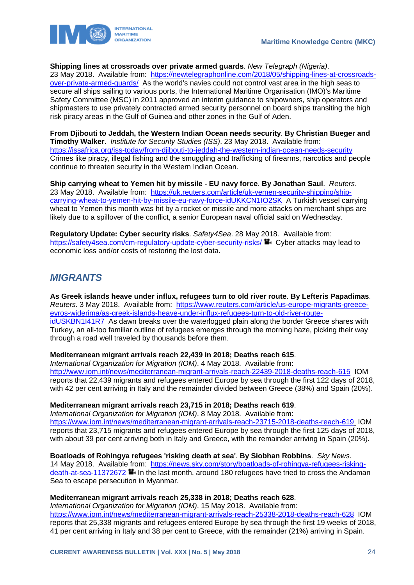

### **Shipping lines at crossroads over private armed guards**. *New Telegraph (Nigeria)*.

23 May 2018. Available from: [https://newtelegraphonline.com/2018/05/shipping-lines-at-crossroads](https://newtelegraphonline.com/2018/05/shipping-lines-at-crossroads-over-private-armed-guards/)[over-private-armed-guards/](https://newtelegraphonline.com/2018/05/shipping-lines-at-crossroads-over-private-armed-guards/) As the world's navies could not control vast area in the high seas to secure all ships sailing to various ports, the International Maritime Organisation (IMO)'s Maritime Safety Committee (MSC) in 2011 approved an interim guidance to shipowners, ship operators and shipmasters to use privately contracted armed security personnel on board ships transiting the high risk piracy areas in the Gulf of Guinea and other zones in the Gulf of Aden.

**From Djibouti to Jeddah, the Western Indian Ocean needs security**. **By Christian Bueger and Timothy Walker**. *Institute for Security Studies (ISS)*. 23 May 2018. Available from: <https://issafrica.org/iss-today/from-djibouti-to-jeddah-the-western-indian-ocean-needs-security> Crimes like piracy, illegal fishing and the smuggling and trafficking of firearms, narcotics and people continue to threaten security in the Western Indian Ocean.

**Ship carrying wheat to Yemen hit by missile - EU navy force**. **By Jonathan Saul**. *Reuters*. 23 May 2018. Available from: [https://uk.reuters.com/article/uk-yemen-security-shipping/ship](https://uk.reuters.com/article/uk-yemen-security-shipping/ship-carrying-wheat-to-yemen-hit-by-missile-eu-navy-force-idUKKCN1IO2SK)[carrying-wheat-to-yemen-hit-by-missile-eu-navy-force-idUKKCN1IO2SK](https://uk.reuters.com/article/uk-yemen-security-shipping/ship-carrying-wheat-to-yemen-hit-by-missile-eu-navy-force-idUKKCN1IO2SK) A Turkish vessel carrying wheat to Yemen this month was hit by a rocket or missile and more attacks on merchant ships are likely due to a spillover of the conflict, a senior European naval official said on Wednesday.

**Regulatory Update: Cyber security risks**. *Safety4Sea*. 28 May 2018. Available from: <https://safety4sea.com/cm-regulatory-update-cyber-security-risks/> Cyber attacks may lead to economic loss and/or costs of restoring the lost data.

### <span id="page-24-0"></span>*MIGRANTS*

**As Greek islands heave under influx, refugees turn to old river route**. **By Lefteris Papadimas**. *Reuters*. 3 May 2018. Available from: [https://www.reuters.com/article/us-europe-migrants-greece](https://www.reuters.com/article/us-europe-migrants-greece-evros-widerima/as-greek-islands-heave-under-influx-refugees-turn-to-old-river-route-idUSKBN1I41R7)[evros-widerima/as-greek-islands-heave-under-influx-refugees-turn-to-old-river-route](https://www.reuters.com/article/us-europe-migrants-greece-evros-widerima/as-greek-islands-heave-under-influx-refugees-turn-to-old-river-route-idUSKBN1I41R7)[idUSKBN1I41R7](https://www.reuters.com/article/us-europe-migrants-greece-evros-widerima/as-greek-islands-heave-under-influx-refugees-turn-to-old-river-route-idUSKBN1I41R7) As dawn breaks over the waterlogged plain along the border Greece shares with Turkey, an all-too familiar outline of refugees emerges through the morning haze, picking their way through a road well traveled by thousands before them.

### **Mediterranean migrant arrivals reach 22,439 in 2018; Deaths reach 615**.

*International Organization for Migration (IOM)*. 4 May 2018. Available from: <http://www.iom.int/news/mediterranean-migrant-arrivals-reach-22439-2018-deaths-reach-615>IOM reports that 22,439 migrants and refugees entered Europe by sea through the first 122 days of 2018, with 42 per cent arriving in Italy and the remainder divided between Greece (38%) and Spain (20%).

**Mediterranean migrant arrivals reach 23,715 in 2018; Deaths reach 619**.

*International Organization for Migration (IOM)*. 8 May 2018. Available from: <https://www.iom.int/news/mediterranean-migrant-arrivals-reach-23715-2018-deaths-reach-619> IOM reports that 23,715 migrants and refugees entered Europe by sea through the first 125 days of 2018, with about 39 per cent arriving both in Italy and Greece, with the remainder arriving in Spain (20%).

**Boatloads of Rohingya refugees 'risking death at sea'**. **By Siobhan Robbins**. *Sky News*. 14 May 2018. Available from: [https://news.sky.com/story/boatloads-of-rohingya-refugees-risking](https://news.sky.com/story/boatloads-of-rohingya-refugees-risking-death-at-sea-11372672)[death-at-sea-11372672](https://news.sky.com/story/boatloads-of-rohingya-refugees-risking-death-at-sea-11372672) **I**I In the last month, around 180 refugees have tried to cross the Andaman Sea to escape persecution in Myanmar.

### **Mediterranean migrant arrivals reach 25,338 in 2018; Deaths reach 628**.

*International Organization for Migration (IOM)*. 15 May 2018. Available from: <https://www.iom.int/news/mediterranean-migrant-arrivals-reach-25338-2018-deaths-reach-628>IOM reports that 25,338 migrants and refugees entered Europe by sea through the first 19 weeks of 2018, 41 per cent arriving in Italy and 38 per cent to Greece, with the remainder (21%) arriving in Spain.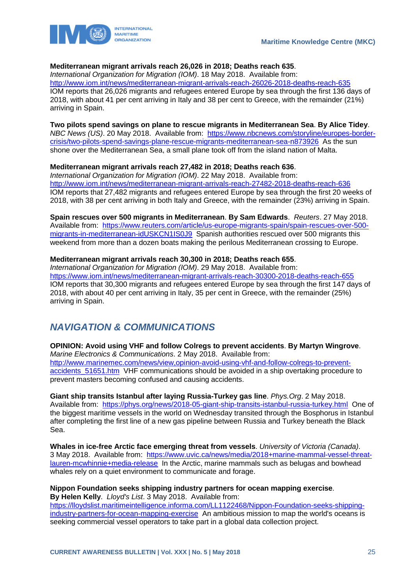

### **Mediterranean migrant arrivals reach 26,026 in 2018; Deaths reach 635**.

*International Organization for Migration (IOM)*. 18 May 2018. Available from: <http://www.iom.int/news/mediterranean-migrant-arrivals-reach-26026-2018-deaths-reach-635> IOM reports that 26,026 migrants and refugees entered Europe by sea through the first 136 days of 2018, with about 41 per cent arriving in Italy and 38 per cent to Greece, with the remainder (21%) arriving in Spain.

### **Two pilots spend savings on plane to rescue migrants in Mediterranean Sea**. **By Alice Tidey**.

*NBC News (US)*. 20 May 2018. Available from: [https://www.nbcnews.com/storyline/europes-border](https://www.nbcnews.com/storyline/europes-border-crisis/two-pilots-spend-savings-plane-rescue-migrants-mediterranean-sea-n873926)[crisis/two-pilots-spend-savings-plane-rescue-migrants-mediterranean-sea-n873926](https://www.nbcnews.com/storyline/europes-border-crisis/two-pilots-spend-savings-plane-rescue-migrants-mediterranean-sea-n873926) As the sun shone over the Mediterranean Sea, a small plane took off from the island nation of Malta.

### **Mediterranean migrant arrivals reach 27,482 in 2018; Deaths reach 636**.

*International Organization for Migration (IOM)*. 22 May 2018. Available from: <http://www.iom.int/news/mediterranean-migrant-arrivals-reach-27482-2018-deaths-reach-636> IOM reports that 27,482 migrants and refugees entered Europe by sea through the first 20 weeks of 2018, with 38 per cent arriving in both Italy and Greece, with the remainder (23%) arriving in Spain.

**Spain rescues over 500 migrants in Mediterranean**. **By Sam Edwards**. *Reuters*. 27 May 2018. Available from: [https://www.reuters.com/article/us-europe-migrants-spain/spain-rescues-over-500](https://www.reuters.com/article/us-europe-migrants-spain/spain-rescues-over-500-migrants-in-mediterranean-idUSKCN1IS0J9) [migrants-in-mediterranean-idUSKCN1IS0J9](https://www.reuters.com/article/us-europe-migrants-spain/spain-rescues-over-500-migrants-in-mediterranean-idUSKCN1IS0J9) Spanish authorities rescued over 500 migrants this weekend from more than a dozen boats making the perilous Mediterranean crossing to Europe.

### **Mediterranean migrant arrivals reach 30,300 in 2018; Deaths reach 655**.

*International Organization for Migration (IOM)*. 29 May 2018. Available from: <https://www.iom.int/news/mediterranean-migrant-arrivals-reach-30300-2018-deaths-reach-655> IOM reports that 30,300 migrants and refugees entered Europe by sea through the first 147 days of 2018, with about 40 per cent arriving in Italy, 35 per cent in Greece, with the remainder (25%) arriving in Spain.

## <span id="page-25-0"></span>*NAVIGATION & COMMUNICATIONS*

**OPINION: Avoid using VHF and follow Colregs to prevent accidents**. **By Martyn Wingrove**. *Marine Electronics & Communications*. 2 May 2018. Available from: [http://www.marinemec.com/news/view,opinion-avoid-using-vhf-and-follow-colregs-to-prevent](http://www.marinemec.com/news/view,opinion-avoid-using-vhf-and-follow-colregs-to-prevent-accidents_51651.htm)[accidents\\_51651.htm](http://www.marinemec.com/news/view,opinion-avoid-using-vhf-and-follow-colregs-to-prevent-accidents_51651.htm) VHF communications should be avoided in a ship overtaking procedure to prevent masters becoming confused and causing accidents.

**Giant ship transits Istanbul after laying Russia-Turkey gas line**. *Phys.Org*. 2 May 2018. Available from: <https://phys.org/news/2018-05-giant-ship-transits-istanbul-russia-turkey.html>One of the biggest maritime vessels in the world on Wednesday transited through the Bosphorus in Istanbul after completing the first line of a new gas pipeline between Russia and Turkey beneath the Black Sea.

**Whales in ice-free Arctic face emerging threat from vessels**. *University of Victoria (Canada)*. 3 May 2018. Available from: [https://www.uvic.ca/news/media/2018+marine-mammal-vessel-threat](https://www.uvic.ca/news/media/2018+marine-mammal-vessel-threat-lauren-mcwhinnie+media-release)[lauren-mcwhinnie+media-release](https://www.uvic.ca/news/media/2018+marine-mammal-vessel-threat-lauren-mcwhinnie+media-release) In the Arctic, marine mammals such as belugas and bowhead whales rely on a quiet environment to communicate and forage.

**Nippon Foundation seeks shipping industry partners for ocean mapping exercise**. **By Helen Kelly**. *Lloyd's List*. 3 May 2018. Available from:

[https://lloydslist.maritimeintelligence.informa.com/LL1122468/Nippon-Foundation-seeks-shipping](https://lloydslist.maritimeintelligence.informa.com/LL1122468/Nippon-Foundation-seeks-shipping-industry-partners-for-ocean-mapping-exercise)[industry-partners-for-ocean-mapping-exercise](https://lloydslist.maritimeintelligence.informa.com/LL1122468/Nippon-Foundation-seeks-shipping-industry-partners-for-ocean-mapping-exercise) An ambitious mission to map the world's oceans is seeking commercial vessel operators to take part in a global data collection project.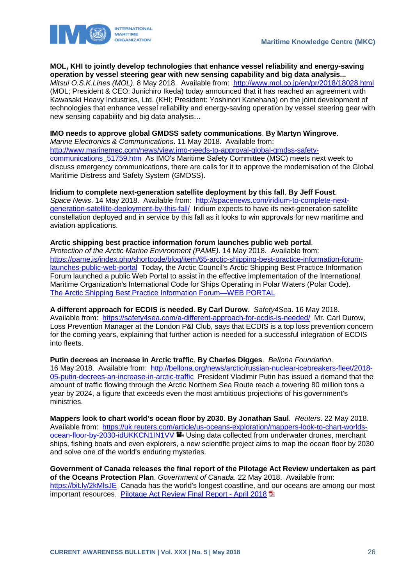

#### **MOL, KHI to jointly develop technologies that enhance vessel reliability and energy-saving operation by vessel steering gear with new sensing capability and big data analysis...**

*Mitsui O.S.K.Lines (MOL)*. 8 May 2018. Available from: <http://www.mol.co.jp/en/pr/2018/18028.html> (MOL; President & CEO: Junichiro Ikeda) today announced that it has reached an agreement with Kawasaki Heavy Industries, Ltd. (KHI; President: Yoshinori Kanehana) on the joint development of technologies that enhance vessel reliability and energy-saving operation by vessel steering gear with new sensing capability and big data analysis…

### **IMO needs to approve global GMDSS safety communications**. **By Martyn Wingrove**.

*Marine Electronics & Communications*. 11 May 2018. Available from: [http://www.marinemec.com/news/view,imo-needs-to-approval-global-gmdss-safety](http://www.marinemec.com/news/view,imo-needs-to-approval-global-gmdss-safety-communications_51759.htm)[communications\\_51759.htm](http://www.marinemec.com/news/view,imo-needs-to-approval-global-gmdss-safety-communications_51759.htm) As IMO's Maritime Safety Committee (MSC) meets next week to discuss emergency communications, there are calls for it to approve the modernisation of the Global Maritime Distress and Safety System (GMDSS).

### **Iridium to complete next-generation satellite deployment by this fall**. **By Jeff Foust**.

*Space News*. 14 May 2018. Available from: [http://spacenews.com/iridium-to-complete-next](http://spacenews.com/iridium-to-complete-next-generation-satellite-deployment-by-this-fall/)[generation-satellite-deployment-by-this-fall/](http://spacenews.com/iridium-to-complete-next-generation-satellite-deployment-by-this-fall/) Iridium expects to have its next-generation satellite constellation deployed and in service by this fall as it looks to win approvals for new maritime and aviation applications.

### **Arctic shipping best practice information forum launches public web portal**.

*Protection of the Arctic Marine Environment (PAME)*. 14 May 2018. Available from: [https://pame.is/index.php/shortcode/blog/item/65-arctic-shipping-best-practice-information-forum](https://pame.is/index.php/shortcode/blog/item/65-arctic-shipping-best-practice-information-forum-launches-public-web-portal)[launches-public-web-portal](https://pame.is/index.php/shortcode/blog/item/65-arctic-shipping-best-practice-information-forum-launches-public-web-portal) Today, the Arctic Council's Arctic Shipping Best Practice Information Forum launched a public Web Portal to assist in the effective implementation of the International Maritime Organization's International Code for Ships Operating in Polar Waters (Polar Code). [The Arctic Shipping Best Practice Information Forum—WEB PORTAL](https://pame.is/arcticshippingforum) 

**A different approach for ECDIS is needed**. **By Carl Durow**. *Safety4Sea*. 16 May 2018. Available from: <https://safety4sea.com/a-different-approach-for-ecdis-is-needed/>Mr. Carl Durow, Loss Prevention Manager at the London P&I Club, says that ECDIS is a top loss prevention concern for the coming years, explaining that further action is needed for a successful integration of ECDIS into fleets.

**Putin decrees an increase in Arctic traffic**. **By Charles Digges**. *Bellona Foundation*. 16 May 2018. Available from: [http://bellona.org/news/arctic/russian-nuclear-icebreakers-fleet/2018-](http://bellona.org/news/arctic/russian-nuclear-icebreakers-fleet/2018-05-putin-decrees-an-increase-in-arctic-traffic) [05-putin-decrees-an-increase-in-arctic-traffic](http://bellona.org/news/arctic/russian-nuclear-icebreakers-fleet/2018-05-putin-decrees-an-increase-in-arctic-traffic) President Vladimir Putin has issued a demand that the amount of traffic flowing through the Arctic Northern Sea Route reach a towering 80 million tons a year by 2024, a figure that exceeds even the most ambitious projections of his government's ministries.

**Mappers look to chart world's ocean floor by 2030**. **By Jonathan Saul**. *Reuters*. 22 May 2018. Available from: [https://uk.reuters.com/article/us-oceans-exploration/mappers-look-to-chart-worlds](https://uk.reuters.com/article/us-oceans-exploration/mappers-look-to-chart-worlds-ocean-floor-by-2030-idUKKCN1IN1VV)[ocean-floor-by-2030-idUKKCN1IN1VV](https://uk.reuters.com/article/us-oceans-exploration/mappers-look-to-chart-worlds-ocean-floor-by-2030-idUKKCN1IN1VV) **U** Using data collected from underwater drones, merchant ships, fishing boats and even explorers, a new scientific project aims to map the ocean floor by 2030 and solve one of the world's enduring mysteries.

**Government of Canada releases the final report of the Pilotage Act Review undertaken as part of the Oceans Protection Plan**. *Government of Canada*. 22 May 2018. Available from: <https://bit.ly/2kMlsJE>Canada has the world's longest coastline, and our oceans are among our most important resources. [Pilotage Act Review Final Report -](http://www.tc.gc.ca/documents/17308_TC_Pilotage_Act_Review_v7_FINAL.pdf) April 2018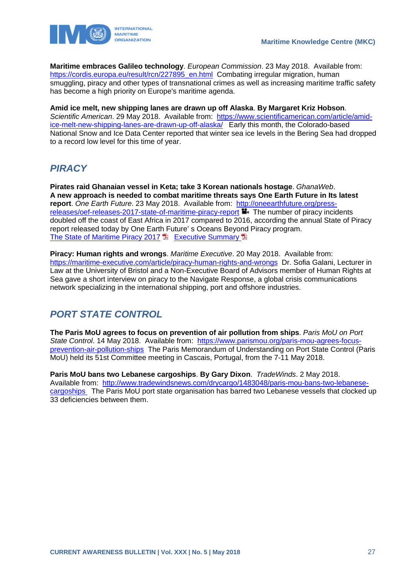

**Maritime embraces Galileo technology**. *European Commission*. 23 May 2018. Available from: [https://cordis.europa.eu/result/rcn/227895\\_en.html](https://cordis.europa.eu/result/rcn/227895_en.html) Combating irregular migration, human smuggling, piracy and other types of transnational crimes as well as increasing maritime traffic safety has become a high priority on Europe's maritime agenda.

**Amid ice melt, new shipping lanes are drawn up off Alaska**. **By Margaret Kriz Hobson**. *Scientific American*. 29 May 2018. Available from: [https://www.scientificamerican.com/article/amid](https://www.scientificamerican.com/article/amid-ice-melt-new-shipping-lanes-are-drawn-up-off-alaska/)[ice-melt-new-shipping-lanes-are-drawn-up-off-alaska/](https://www.scientificamerican.com/article/amid-ice-melt-new-shipping-lanes-are-drawn-up-off-alaska/) Early this month, the Colorado-based National Snow and Ice Data Center reported that winter sea ice levels in the Bering Sea had dropped to a record low level for this time of year.

### <span id="page-27-0"></span>*PIRACY*

**Pirates raid Ghanaian vessel in Keta; take 3 Korean nationals hostage**. *GhanaWeb*. **A new approach is needed to combat maritime threats says One Earth Future in Its latest report**. *One Earth Future*. 23 May 2018. Available from: [http://oneearthfuture.org/press](http://oneearthfuture.org/press-releases/oef-releases-2017-state-of-maritime-piracy-report)[releases/oef-releases-2017-state-of-maritime-piracy-report](http://oneearthfuture.org/press-releases/oef-releases-2017-state-of-maritime-piracy-report) **T** The number of piracy incidents doubled off the coast of East Africa in 2017 compared to 2016, according the annual State of Piracy report released today by One Earth Future' s Oceans Beyond Piracy program. [The State of Maritime Piracy 2017](http://oceansbeyondpiracy.org/reports/sop) **[Executive Summary](https://drive.google.com/file/d/1a8-cQJm49IxD9Sqv5Jp7WEZwoPCbgl8k/view) Executive** 

**Piracy: Human rights and wrongs**. *Maritime Executive*. 20 May 2018. Available from: <https://maritime-executive.com/article/piracy-human-rights-and-wrongs>Dr. Sofia Galani, Lecturer in Law at the University of Bristol and a Non-Executive Board of Advisors member of Human Rights at Sea gave a short interview on piracy to the Navigate Response, a global crisis communications network specializing in the international shipping, port and offshore industries.

# <span id="page-27-1"></span>*PORT STATE CONTROL*

**The Paris MoU agrees to focus on prevention of air pollution from ships**. *Paris MoU on Port State Control*. 14 May 2018. Available from: [https://www.parismou.org/paris-mou-agrees-focus](https://www.parismou.org/paris-mou-agrees-focus-prevention-air-pollution-ships)[prevention-air-pollution-ships](https://www.parismou.org/paris-mou-agrees-focus-prevention-air-pollution-ships) The Paris Memorandum of Understanding on Port State Control (Paris MoU) held its 51st Committee meeting in Cascais, Portugal, from the 7-11 May 2018.

**Paris MoU bans two Lebanese cargoships**. **By Gary Dixon**. *TradeWinds*. 2 May 2018. Available from: [http://www.tradewindsnews.com/drycargo/1483048/paris-mou-bans-two-lebanese](http://www.tradewindsnews.com/drycargo/1483048/paris-mou-bans-two-lebanese-cargoships)[cargoships](http://www.tradewindsnews.com/drycargo/1483048/paris-mou-bans-two-lebanese-cargoships) The Paris MoU port state organisation has barred two Lebanese vessels that clocked up 33 deficiencies between them.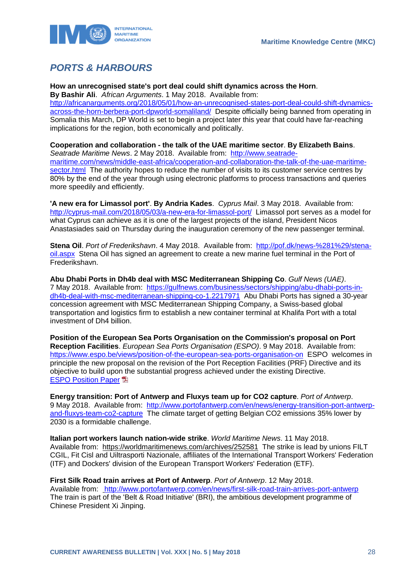

# <span id="page-28-0"></span>*PORTS & HARBOURS*

**How an unrecognised state's port deal could shift dynamics across the Horn**.

**By Bashir Ali**. *African Arguments*. 1 May 2018. Available from: [http://africanarguments.org/2018/05/01/how-an-unrecognised-states-port-deal-could-shift-dynamics](http://africanarguments.org/2018/05/01/how-an-unrecognised-states-port-deal-could-shift-dynamics-across-the-horn-berbera-port-dpworld-somaliland/)[across-the-horn-berbera-port-dpworld-somaliland/](http://africanarguments.org/2018/05/01/how-an-unrecognised-states-port-deal-could-shift-dynamics-across-the-horn-berbera-port-dpworld-somaliland/) Despite officially being banned from operating in Somalia this March, DP World is set to begin a project later this year that could have far-reaching implications for the region, both economically and politically.

**Cooperation and collaboration - the talk of the UAE maritime sector**. **By Elizabeth Bains**. *Seatrade Maritime News*. 2 May 2018. Available from: [http://www.seatrade](http://www.seatrade-maritime.com/news/middle-east-africa/cooperation-and-collaboration-the-talk-of-the-uae-maritime-sector.html)[maritime.com/news/middle-east-africa/cooperation-and-collaboration-the-talk-of-the-uae-maritime](http://www.seatrade-maritime.com/news/middle-east-africa/cooperation-and-collaboration-the-talk-of-the-uae-maritime-sector.html)[sector.html](http://www.seatrade-maritime.com/news/middle-east-africa/cooperation-and-collaboration-the-talk-of-the-uae-maritime-sector.html) The authority hopes to reduce the number of visits to its customer service centres by 80% by the end of the year through using electronic platforms to process transactions and queries more speedily and efficiently.

**'A new era for Limassol port'**. **By Andria Kades**. *Cyprus Mail*. 3 May 2018. Available from: <http://cyprus-mail.com/2018/05/03/a-new-era-for-limassol-port/>Limassol port serves as a model for what Cyprus can achieve as it is one of the largest projects of the island, President Nicos Anastasiades said on Thursday during the inauguration ceremony of the new passenger terminal.

**Stena Oil**. *Port of Frederikshavn*. 4 May 2018. Available from: [http://pof.dk/news-%281%29/stena](http://pof.dk/news-%281%29/stena-oil.aspx)[oil.aspx](http://pof.dk/news-%281%29/stena-oil.aspx) Stena Oil has signed an agreement to create a new marine fuel terminal in the Port of Frederikshavn.

**Abu Dhabi Ports in Dh4b deal with MSC Mediterranean Shipping Co**. *Gulf News (UAE)*. 7 May 2018. Available from: [https://gulfnews.com/business/sectors/shipping/abu-dhabi-ports-in](https://gulfnews.com/business/sectors/shipping/abu-dhabi-ports-in-dh4b-deal-with-msc-mediterranean-shipping-co-1.2217971)[dh4b-deal-with-msc-mediterranean-shipping-co-1.2217971](https://gulfnews.com/business/sectors/shipping/abu-dhabi-ports-in-dh4b-deal-with-msc-mediterranean-shipping-co-1.2217971) Abu Dhabi Ports has signed a 30-year concession agreement with MSC Mediterranean Shipping Company, a Swiss-based global transportation and logistics firm to establish a new container terminal at Khalifa Port with a total investment of Dh4 billion.

**Position of the European Sea Ports Organisation on the Commission's proposal on Port Reception Facilities**. *European Sea Ports Organisation (ESPO)*. 9 May 2018. Available from: <https://www.espo.be/views/position-of-the-european-sea-ports-organisation-on>ESPO welcomes in principle the new proposal on the revision of the Port Reception Facilities (PRF) Directive and its objective to build upon the substantial progress achieved under the existing Directive. **[ESPO Position Paper](https://www.espo.be/media/2018.05.09_PR_ESPO%20position%20paper%20on%20PRF.pdf)** 

**Energy transition: Port of Antwerp and Fluxys team up for CO2 capture**. *Port of Antwerp*. 9 May 2018. Available from: [http://www.portofantwerp.com/en/news/energy-transition-port-antwerp](http://www.portofantwerp.com/en/news/energy-transition-port-antwerp-and-fluxys-team-co2-capture)[and-fluxys-team-co2-capture](http://www.portofantwerp.com/en/news/energy-transition-port-antwerp-and-fluxys-team-co2-capture) The climate target of getting Belgian CO2 emissions 35% lower by 2030 is a formidable challenge.

**Italian port workers launch nation-wide strike**. *World Maritime News*. 11 May 2018. Available from: https://worldmaritimenews.com/archives/252581 The strike is lead by unions FILT CGIL, Fit Cisl and Uiltrasporti Nazionale, affiliates of the International Transport Workers' Federation (ITF) and Dockers' division of the European Transport Workers' Federation (ETF).

**First Silk Road train arrives at Port of Antwerp**. *Port of Antwerp*. 12 May 2018. Available from: <http://www.portofantwerp.com/en/news/first-silk-road-train-arrives-port-antwerp> The train is part of the 'Belt & Road Initiative' (BRI), the ambitious development programme of Chinese President Xi Jinping.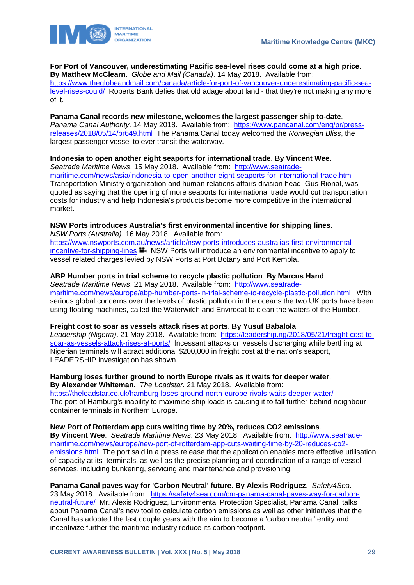

### **For Port of Vancouver, underestimating Pacific sea-level rises could come at a high price**.

**By Matthew McClearn**. *Globe and Mail (Canada)*. 14 May 2018. Available from: [https://www.theglobeandmail.com/canada/article-for-port-of-vancouver-underestimating-pacific-sea](https://www.theglobeandmail.com/canada/article-for-port-of-vancouver-underestimating-pacific-sea-level-rises-could/)[level-rises-could/](https://www.theglobeandmail.com/canada/article-for-port-of-vancouver-underestimating-pacific-sea-level-rises-could/) Roberts Bank defies that old adage about land - that they're not making any more of it.

### **Panama Canal records new milestone, welcomes the largest passenger ship to-date**.

*Panama Canal Authority*. 14 May 2018. Available from: [https://www.pancanal.com/eng/pr/press](https://www.pancanal.com/eng/pr/press-releases/2018/05/14/pr649.html)[releases/2018/05/14/pr649.html](https://www.pancanal.com/eng/pr/press-releases/2018/05/14/pr649.html) The Panama Canal today welcomed the *Norwegian Bliss*, the largest passenger vessel to ever transit the waterway.

### **Indonesia to open another eight seaports for international trade**. **By Vincent Wee**.

*Seatrade Maritime News*. 15 May 2018. Available from: [http://www.seatrade](http://www.seatrade-maritime.com/news/asia/indonesia-to-open-another-eight-seaports-for-international-trade.html)[maritime.com/news/asia/indonesia-to-open-another-eight-seaports-for-international-trade.html](http://www.seatrade-maritime.com/news/asia/indonesia-to-open-another-eight-seaports-for-international-trade.html) Transportation Ministry organization and human relations affairs division head, Gus Rional, was quoted as saying that the opening of more seaports for international trade would cut transportation costs for industry and help Indonesia's products become more competitive in the international market.

### **NSW Ports introduces Australia's first environmental incentive for shipping lines**.

*NSW Ports (Australia)*. 16 May 2018. Available from: [https://www.nswports.com.au/news/article/nsw-ports-introduces-australias-first-environmental](https://www.nswports.com.au/news/article/nsw-ports-introduces-australias-first-environmental-incentive-for-shipping-lines)[incentive-for-shipping-lines](https://www.nswports.com.au/news/article/nsw-ports-introduces-australias-first-environmental-incentive-for-shipping-lines)  $\blacksquare$ . NSW Ports will introduce an environmental incentive to apply to vessel related charges levied by NSW Ports at Port Botany and Port Kembla.

### **ABP Humber ports in trial scheme to recycle plastic pollution**. **By Marcus Hand**.

*Seatrade Maritime News*. 21 May 2018. Available from: [http://www.seatrade](http://www.seatrade-maritime.com/news/europe/abp-humber-ports-in-trial-scheme-to-recycle-plastic-pollution.html)[maritime.com/news/europe/abp-humber-ports-in-trial-scheme-to-recycle-plastic-pollution.html](http://www.seatrade-maritime.com/news/europe/abp-humber-ports-in-trial-scheme-to-recycle-plastic-pollution.html) With serious global concerns over the levels of plastic pollution in the oceans the two UK ports have been using floating machines, called the Waterwitch and Envirocat to clean the waters of the Humber.

### **Freight cost to soar as vessels attack rises at ports**. **By Yusuf Babalola**.

*Leadership (Nigeria)*. 21 May 2018. Available from: [https://leadership.ng/2018/05/21/freight-cost-to](https://leadership.ng/2018/05/21/freight-cost-to-soar-as-vessels-attack-rises-at-ports/)[soar-as-vessels-attack-rises-at-ports/](https://leadership.ng/2018/05/21/freight-cost-to-soar-as-vessels-attack-rises-at-ports/) Incessant attacks on vessels discharging while berthing at Nigerian terminals will attract additional \$200,000 in freight cost at the nation's seaport, LEADERSHIP investigation has shown.

#### **Hamburg loses further ground to north Europe rivals as it waits for deeper water**. **By Alexander Whiteman**. *The Loadstar*. 21 May 2018. Available from:

<https://theloadstar.co.uk/hamburg-loses-ground-north-europe-rivals-waits-deeper-water/> The port of Hamburg's inability to maximise ship loads is causing it to fall further behind neighbour container terminals in Northern Europe.

### **New Port of Rotterdam app cuts waiting time by 20%, reduces CO2 emissions**.

**By Vincent Wee**. *Seatrade Maritime News*. 23 May 2018. Available from: [http://www.seatrade](http://www.seatrade-maritime.com/news/europe/new-port-of-rotterdam-app-cuts-waiting-time-by-20-reduces-co2-emissions.html)[maritime.com/news/europe/new-port-of-rotterdam-app-cuts-waiting-time-by-20-reduces-co2](http://www.seatrade-maritime.com/news/europe/new-port-of-rotterdam-app-cuts-waiting-time-by-20-reduces-co2-emissions.html) [emissions.html](http://www.seatrade-maritime.com/news/europe/new-port-of-rotterdam-app-cuts-waiting-time-by-20-reduces-co2-emissions.html) The port said in a press release that the application enables more effective utilisation of capacity at its terminals, as well as the precise planning and coordination of a range of vessel services, including bunkering, servicing and maintenance and provisioning.

#### **Panama Canal paves way for 'Carbon Neutral' future**. **By Alexis Rodriguez**. *Safety4Sea*. 23 May 2018. Available from: [https://safety4sea.com/cm-panama-canal-paves-way-for-carbon-](https://safety4sea.com/cm-panama-canal-paves-way-for-carbon-neutral-future/)

[neutral-future/](https://safety4sea.com/cm-panama-canal-paves-way-for-carbon-neutral-future/) Mr. Alexis Rodriguez, Environmental Protection Specialist, Panama Canal, talks about Panama Canal's new tool to calculate carbon emissions as well as other initiatives that the Canal has adopted the last couple years with the aim to become a 'carbon neutral' entity and incentivize further the maritime industry reduce its carbon footprint.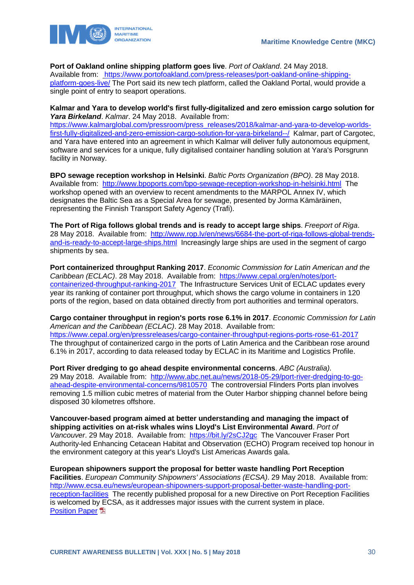### **Port of Oakland online shipping platform goes live**. *Port of Oakland*. 24 May 2018.

Available from: [https://www.portofoakland.com/press-releases/port-oakland-online-shipping](https://www.portofoakland.com/press-releases/port-oakland-online-shipping-platform-goes-live/)[platform-goes-live/](https://www.portofoakland.com/press-releases/port-oakland-online-shipping-platform-goes-live/) The Port said its new tech platform, called the Oakland Portal, would provide a single point of entry to seaport operations.

**Kalmar and Yara to develop world's first fully-digitalized and zero emission cargo solution for**  *Yara Birkeland*. *Kalmar*. 24 May 2018. Available from:

[https://www.kalmarglobal.com/pressroom/press\\_releases/2018/kalmar-and-yara-to-develop-worlds](https://www.kalmarglobal.com/pressroom/press_releases/2018/kalmar-and-yara-to-develop-worlds-first-fully-digitalized-and-zero-emission-cargo-solution-for-yara-birkeland--/)[first-fully-digitalized-and-zero-emission-cargo-solution-for-yara-birkeland--/](https://www.kalmarglobal.com/pressroom/press_releases/2018/kalmar-and-yara-to-develop-worlds-first-fully-digitalized-and-zero-emission-cargo-solution-for-yara-birkeland--/) Kalmar, part of Cargotec, and Yara have entered into an agreement in which Kalmar will deliver fully autonomous equipment, software and services for a unique, fully digitalised container handling solution at Yara's Porsgrunn facility in Norway.

**BPO sewage reception workshop in Helsinki**. *Baltic Ports Organization (BPO)*. 28 May 2018. Available from: <http://www.bpoports.com/bpo-sewage-reception-workshop-in-helsinki.html>The workshop opened with an overview to recent amendments to the MARPOL Annex IV, which designates the Baltic Sea as a Special Area for sewage, presented by Jorma Kämäräinen, representing the Finnish Transport Safety Agency (Trafi).

**The Port of Riga follows global trends and is ready to accept large ships**. *Freeport of Riga*. 28 May 2018. Available from: [http://www.rop.lv/en/news/6684-the-port-of-riga-follows-global-trends](http://www.rop.lv/en/news/6684-the-port-of-riga-follows-global-trends-and-is-ready-to-accept-large-ships.html)[and-is-ready-to-accept-large-ships.html](http://www.rop.lv/en/news/6684-the-port-of-riga-follows-global-trends-and-is-ready-to-accept-large-ships.html) Increasingly large ships are used in the segment of cargo shipments by sea.

**Port containerized throughput Ranking 2017**. *Economic Commission for Latin American and the Caribbean (ECLAC)*. 28 May 2018. Available from: [https://www.cepal.org/en/notes/port](https://www.cepal.org/en/notes/port-containerized-throughput-ranking-2017)[containerized-throughput-ranking-2017](https://www.cepal.org/en/notes/port-containerized-throughput-ranking-2017) The Infrastructure Services Unit of ECLAC updates every year its ranking of container port throughput, which shows the cargo volume in containers in 120 ports of the region, based on data obtained directly from port authorities and terminal operators.

**Cargo container throughput in region's ports rose 6.1% in 2017**. *Economic Commission for Latin American and the Caribbean (ECLAC)*. 28 May 2018. Available from: <https://www.cepal.org/en/pressreleases/cargo-container-throughput-regions-ports-rose-61-2017> The throughput of containerized cargo in the ports of Latin America and the Caribbean rose around 6.1% in 2017, according to data released today by ECLAC in its Maritime and Logistics Profile.

**Port River dredging to go ahead despite environmental concerns**. *ABC (Australia)*. 29 May 2018. Available from: [http://www.abc.net.au/news/2018-05-29/port-river-dredging-to-go](http://www.abc.net.au/news/2018-05-29/port-river-dredging-to-go-ahead-despite-environmental-concerns/9810570)[ahead-despite-environmental-concerns/9810570](http://www.abc.net.au/news/2018-05-29/port-river-dredging-to-go-ahead-despite-environmental-concerns/9810570) The controversial Flinders Ports plan involves removing 1.5 million cubic metres of material from the Outer Harbor shipping channel before being disposed 30 kilometres offshore.

**Vancouver-based program aimed at better understanding and managing the impact of shipping activities on at-risk whales wins Lloyd's List Environmental Award**. *Port of*  Vancouver. 29 May 2018. Available from: <https://bit.ly/2sCJ2gc>The Vancouver Fraser Port Authority-led Enhancing Cetacean Habitat and Observation (ECHO) Program received top honour in the environment category at this year's Lloyd's List Americas Awards gala.

**European shipowners support the proposal for better waste handling Port Reception Facilities**. *European Community Shipowners' Associations (ECSA)*. 29 May 2018. Available from: [http://www.ecsa.eu/news/european-shipowners-support-proposal-better-waste-handling-port](http://www.ecsa.eu/news/european-shipowners-support-proposal-better-waste-handling-port-reception-facilities)[reception-facilities](http://www.ecsa.eu/news/european-shipowners-support-proposal-better-waste-handling-port-reception-facilities) The recently published proposal for a new Directive on Port Reception Facilities is welcomed by ECSA, as it addresses major issues with the current system in place. **[Position Paper](http://www.ecsa.eu/sites/default/files/publications/FINAL%20ECSA%20Position%20Paper%20PRF%20Directive.pdf)**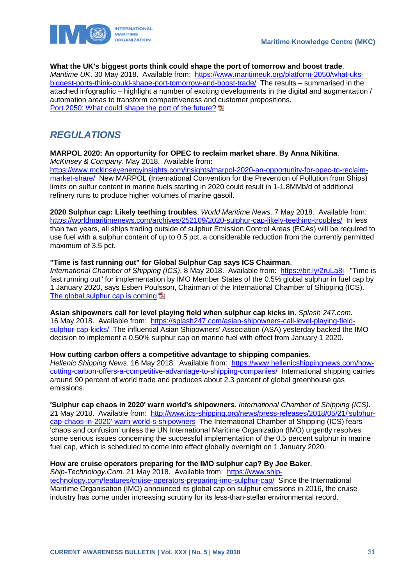



### **What the UK's biggest ports think could shape the port of tomorrow and boost trade**.

*Maritime UK*. 30 May 2018. Available from: [https://www.maritimeuk.org/platform-2050/what-uks](https://www.maritimeuk.org/platform-2050/what-uks-biggest-ports-think-could-shape-port-tomorrow-and-boost-trade/)[biggest-ports-think-could-shape-port-tomorrow-and-boost-trade/](https://www.maritimeuk.org/platform-2050/what-uks-biggest-ports-think-could-shape-port-tomorrow-and-boost-trade/) The results – summarised in the attached infographic – highlight a number of exciting developments in the digital and augmentation / automation areas to transform competitiveness and customer propositions. [Port 2050: What could shape the port of the future?](https://www.maritimeuk.org/documents/238/UKMPG_PORT_2050_SCREEN_002.pdf)

### <span id="page-31-0"></span>*REGULATIONS*

#### **MARPOL 2020: An opportunity for OPEC to reclaim market share**. **By Anna Nikitina**. *McKinsey & Company*. May 2018. Available from:

[https://www.mckinseyenergyinsights.com/insights/marpol-2020-an-opportunity-for-opec-to-reclaim](https://www.mckinseyenergyinsights.com/insights/marpol-2020-an-opportunity-for-opec-to-reclaim-market-share/)[market-share/](https://www.mckinseyenergyinsights.com/insights/marpol-2020-an-opportunity-for-opec-to-reclaim-market-share/) New MARPOL (International Convention for the Prevention of Pollution from Ships) limits on sulfur content in marine fuels starting in 2020 could result in 1-1.8MMb/d of additional refinery runs to produce higher volumes of marine gasoil.

**2020 Sulphur cap: Likely teething troubles**. *World Maritime News*. 7 May 2018. Available from: <https://worldmaritimenews.com/archives/252109/2020-sulphur-cap-likely-teething-troubles/>In less than two years, all ships trading outside of sulphur Emission Control Areas (ECAs) will be required to use fuel with a sulphur content of up to 0.5 pct, a considerable reduction from the currently permitted maximum of 3.5 pct.

### **"Time is fast running out" for Global Sulphur Cap says ICS Chairman**.

*International Chamber of Shipping (ICS)*. 8 May 2018. Available from: <https://bit.ly/2ruLa8i> "Time is fast running out" for implementation by IMO Member States of the 0.5% global sulphur in fuel cap by 1 January 2020, says Esben Poulsson, Chairman of the International Chamber of Shipping (ICS). [The global sulphur cap is coming](http://www.ics-shipping.org/docs/default-source/key-issues-2018/the-global-sulphur-cap-is-coming.pdf) **E** 

**Asian shipowners call for level playing field when sulphur cap kicks in**. *Splash 247.com*. 16 May 2018. Available from: [https://splash247.com/asian-shipowners-call-level-playing-field](https://splash247.com/asian-shipowners-call-level-playing-field-sulphur-cap-kicks/)[sulphur-cap-kicks/](https://splash247.com/asian-shipowners-call-level-playing-field-sulphur-cap-kicks/) The influential Asian Shipowners' Association (ASA) yesterday backed the IMO decision to implement a 0.50% sulphur cap on marine fuel with effect from January 1 2020.

### **How cutting carbon offers a competitive advantage to shipping companies**.

*Hellenic Shipping News*. 16 May 2018. Available from: [https://www.hellenicshippingnews.com/how](https://www.hellenicshippingnews.com/how-cutting-carbon-offers-a-competitive-advantage-to-shipping-companies/)[cutting-carbon-offers-a-competitive-advantage-to-shipping-companies/](https://www.hellenicshippingnews.com/how-cutting-carbon-offers-a-competitive-advantage-to-shipping-companies/) International shipping carries around 90 percent of world trade and produces about 2.3 percent of global greenhouse gas emissions.

**'Sulphur cap chaos in 2020' warn world's shipowners**. *International Chamber of Shipping (ICS)*. 21 May 2018. Available from: [http://www.ics-shipping.org/news/press-releases/2018/05/21/'sulphur](http://www.ics-shipping.org/news/press-releases/2018/05/21/)[cap-chaos-in-2020'-warn-world-s-shipowners](http://www.ics-shipping.org/news/press-releases/2018/05/21/) The International Chamber of Shipping (ICS) fears 'chaos and confusion' unless the UN International Maritime Organization (IMO) urgently resolves some serious issues concerning the successful implementation of the 0.5 percent sulphur in marine fuel cap, which is scheduled to come into effect globally overnight on 1 January 2020.

### **How are cruise operators preparing for the IMO sulphur cap? By Joe Baker**.

*Ship-Technology.Com*. 21 May 2018. Available from: [https://www.ship](https://www.ship-technology.com/features/cruise-operators-preparing-imo-sulphur-cap/)[technology.com/features/cruise-operators-preparing-imo-sulphur-cap/](https://www.ship-technology.com/features/cruise-operators-preparing-imo-sulphur-cap/) Since the International Maritime Organisation (IMO) announced its global cap on sulphur emissions in 2016, the cruise industry has come under increasing scrutiny for its less-than-stellar environmental record.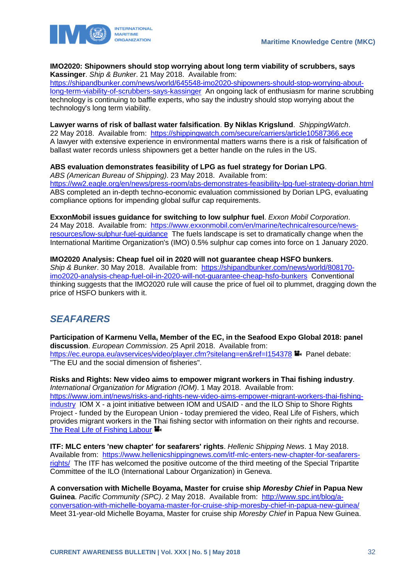

### **IMO2020: Shipowners should stop worrying about long term viability of scrubbers, says Kassinger**. *Ship & Bunker*. 21 May 2018. Available from:

[https://shipandbunker.com/news/world/645548-imo2020-shipowners-should-stop-worrying-about](https://shipandbunker.com/news/world/645548-imo2020-shipowners-should-stop-worrying-about-long-term-viability-of-scrubbers-says-kassinger)[long-term-viability-of-scrubbers-says-kassinger](https://shipandbunker.com/news/world/645548-imo2020-shipowners-should-stop-worrying-about-long-term-viability-of-scrubbers-says-kassinger) An ongoing lack of enthusiasm for marine scrubbing technology is continuing to baffle experts, who say the industry should stop worrying about the technology's long term viability.

#### **Lawyer warns of risk of ballast water falsification**. **By Niklas Krigslund**. *ShippingWatch*. 22 May 2018. Available from:<https://shippingwatch.com/secure/carriers/article10587366.ece> A lawyer with extensive experience in environmental matters warns there is a risk of falsification of ballast water records unless shipowners get a better handle on the rules in the US.

### **ABS evaluation demonstrates feasibility of LPG as fuel strategy for Dorian LPG**.

*ABS (American Bureau of Shipping)*. 23 May 2018. Available from: <https://ww2.eagle.org/en/news/press-room/abs-demonstrates-feasibility-lpg-fuel-strategy-dorian.html> ABS completed an in-depth techno-economic evaluation commissioned by Dorian LPG, evaluating compliance options for impending global sulfur cap requirements.

**ExxonMobil issues guidance for switching to low sulphur fuel**. *Exxon Mobil Corporation*. 24 May 2018. Available from: [https://www.exxonmobil.com/en/marine/technicalresource/news](https://www.exxonmobil.com/en/marine/technicalresource/news-resources/low-sulphur-fuel-guidance)[resources/low-sulphur-fuel-guidance](https://www.exxonmobil.com/en/marine/technicalresource/news-resources/low-sulphur-fuel-guidance) The fuels landscape is set to dramatically change when the International Maritime Organization's (IMO) 0.5% sulphur cap comes into force on 1 January 2020.

### **IMO2020 Analysis: Cheap fuel oil in 2020 will not guarantee cheap HSFO bunkers**. *Ship & Bunker*. 30 May 2018. Available from: [https://shipandbunker.com/news/world/808170](https://shipandbunker.com/news/world/808170-imo2020-analysis-cheap-fuel-oil-in-2020-will-not-guarantee-cheap-hsfo-bunkers) [imo2020-analysis-cheap-fuel-oil-in-2020-will-not-guarantee-cheap-hsfo-bunkers](https://shipandbunker.com/news/world/808170-imo2020-analysis-cheap-fuel-oil-in-2020-will-not-guarantee-cheap-hsfo-bunkers) Conventional thinking suggests that the IMO2020 rule will cause the price of fuel oil to plummet, dragging down the price of HSFO bunkers with it.

## <span id="page-32-0"></span>*SEAFARERS*

**Participation of Karmenu Vella, Member of the EC, in the Seafood Expo Global 2018: panel discussion**. *European Commission*. 25 April 2018. Available from: https://ec.europa.eu/avservices/video/player.cfm?sitelang=en&ref=1154378 Panel debate: "The EU and the social dimension of fisheries".

**Risks and Rights: New video aims to empower migrant workers in Thai fishing industry**. *International Organization for Migration (IOM)*. 1 May 2018. Available from: [https://www.iom.int/news/risks-and-rights-new-video-aims-empower-migrant-workers-thai-fishing](https://www.iom.int/news/risks-and-rights-new-video-aims-empower-migrant-workers-thai-fishing-industry)[industry](https://www.iom.int/news/risks-and-rights-new-video-aims-empower-migrant-workers-thai-fishing-industry) IOM X - a joint initiative between IOM and USAID - and the ILO Ship to Shore Rights Project - funded by the European Union - today premiered the video, Real Life of Fishers, which provides migrant workers in the Thai fishing sector with information on their rights and recourse. [The Real Life of Fishing Labour](http://iomx.org/FishingLabour/)

**ITF: MLC enters 'new chapter' for seafarers' rights**. *Hellenic Shipping News*. 1 May 2018. Available from: [https://www.hellenicshippingnews.com/itf-mlc-enters-new-chapter-for-seafarers](https://www.hellenicshippingnews.com/itf-mlc-enters-new-chapter-for-seafarers-rights/)[rights/](https://www.hellenicshippingnews.com/itf-mlc-enters-new-chapter-for-seafarers-rights/) The ITF has welcomed the positive outcome of the third meeting of the Special Tripartite Committee of the ILO (International Labour Organization) in Geneva.

**A conversation with Michelle Boyama, Master for cruise ship** *Moresby Chief* **in Papua New Guinea**. *Pacific Community (SPC)*. 2 May 2018. Available from: [http://www.spc.int/blog/a](http://www.spc.int/blog/a-conversation-with-michelle-boyama-master-for-cruise-ship-moresby-chief-in-papua-new-guinea/)[conversation-with-michelle-boyama-master-for-cruise-ship-moresby-chief-in-papua-new-guinea/](http://www.spc.int/blog/a-conversation-with-michelle-boyama-master-for-cruise-ship-moresby-chief-in-papua-new-guinea/) Meet 31-year-old Michelle Boyama, Master for cruise ship *Moresby Chief* in Papua New Guinea.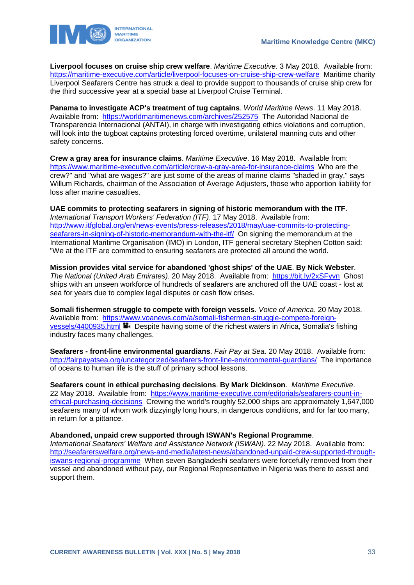

**Liverpool focuses on cruise ship crew welfare**. *Maritime Executive*. 3 May 2018. Available from: <https://maritime-executive.com/article/liverpool-focuses-on-cruise-ship-crew-welfare>Maritime charity Liverpool Seafarers Centre has struck a deal to provide support to thousands of cruise ship crew for the third successive year at a special base at Liverpool Cruise Terminal.

**Panama to investigate ACP's treatment of tug captains**. *World Maritime News*. 11 May 2018. Available from: <https://worldmaritimenews.com/archives/252575>The Autoridad Nacional de Transparencia Internacional (ANTAI), in charge with investigating ethics violations and corruption, will look into the tugboat captains protesting forced overtime, unilateral manning cuts and other safety concerns.

**Crew a gray area for insurance claims**. *Maritime Executive*. 16 May 2018. Available from: <https://www.maritime-executive.com/article/crew-a-gray-area-for-insurance-claims>Who are the crew?" and "what are wages?" are just some of the areas of marine claims "shaded in gray," says Willum Richards, chairman of the Association of Average Adjusters, those who apportion liability for loss after marine casualties.

**UAE commits to protecting seafarers in signing of historic memorandum with the ITF**. *International Transport Workers' Federation (ITF)*. 17 May 2018. Available from: [http://www.itfglobal.org/en/news-events/press-releases/2018/may/uae-commits-to-protecting](http://www.itfglobal.org/en/news-events/press-releases/2018/may/uae-commits-to-protecting-seafarers-in-signing-of-historic-memorandum-with-the-itf/)[seafarers-in-signing-of-historic-memorandum-with-the-itf/](http://www.itfglobal.org/en/news-events/press-releases/2018/may/uae-commits-to-protecting-seafarers-in-signing-of-historic-memorandum-with-the-itf/) On signing the memorandum at the International Maritime Organisation (IMO) in London, ITF general secretary Stephen Cotton said: "We at the ITF are committed to ensuring seafarers are protected all around the world.

**Mission provides vital service for abandoned 'ghost ships' of the UAE**. **By Nick Webster**. *The National (United Arab Emirates)*. 20 May 2018. Available from: <https://bit.ly/2xSFyvn> Ghost ships with an unseen workforce of hundreds of seafarers are anchored off the UAE coast - lost at sea for years due to complex legal disputes or cash flow crises.

**Somali fishermen struggle to compete with foreign vessels**. *Voice of America*. 20 May 2018. Available from: [https://www.voanews.com/a/somali-fishermen-struggle-compete-foreign](https://www.voanews.com/a/somali-fishermen-struggle-compete-foreign-vessels/4400935.html)[vessels/4400935.html](https://www.voanews.com/a/somali-fishermen-struggle-compete-foreign-vessels/4400935.html) **B** Despite having some of the richest waters in Africa, Somalia's fishing industry faces many challenges.

**Seafarers - front-line environmental guardians**. *Fair Pay at Sea*. 20 May 2018. Available from: <http://fairpayatsea.org/uncategorized/seafarers-front-line-environmental-guardians/>The importance of oceans to human life is the stuff of primary school lessons.

**Seafarers count in ethical purchasing decisions**. **By Mark Dickinson**. *Maritime Executive*. 22 May 2018. Available from: [https://www.maritime-executive.com/editorials/seafarers-count-in](https://www.maritime-executive.com/editorials/seafarers-count-in-ethical-purchasing-decisions)[ethical-purchasing-decisions](https://www.maritime-executive.com/editorials/seafarers-count-in-ethical-purchasing-decisions) Crewing the world's roughly 52,000 ships are approximately 1,647,000 seafarers many of whom work dizzyingly long hours, in dangerous conditions, and for far too many, in return for a pittance.

**Abandoned, unpaid crew supported through ISWAN's Regional Programme**.

*International Seafarers' Welfare and Assistance Network (ISWAN)*. 22 May 2018. Available from: [http://seafarerswelfare.org/news-and-media/latest-news/abandoned-unpaid-crew-supported-through](http://seafarerswelfare.org/news-and-media/latest-news/abandoned-unpaid-crew-supported-through-iswans-regional-programme)[iswans-regional-programme](http://seafarerswelfare.org/news-and-media/latest-news/abandoned-unpaid-crew-supported-through-iswans-regional-programme) When seven Bangladeshi seafarers were forcefully removed from their vessel and abandoned without pay, our Regional Representative in Nigeria was there to assist and support them.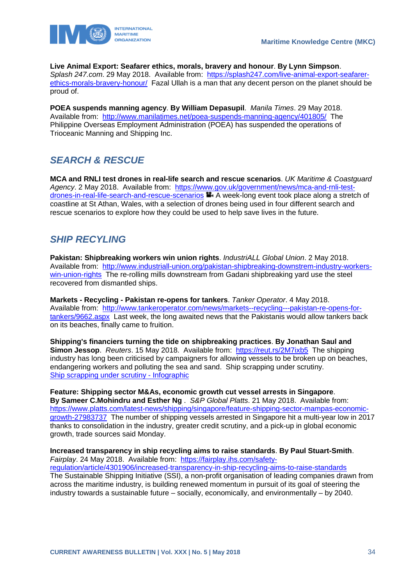



**Live Animal Export: Seafarer ethics, morals, bravery and honour**. **By Lynn Simpson**. *Splash 247.com*. 29 May 2018. Available from: [https://splash247.com/live-animal-export-seafarer](https://splash247.com/live-animal-export-seafarer-ethics-morals-bravery-honour/)[ethics-morals-bravery-honour/](https://splash247.com/live-animal-export-seafarer-ethics-morals-bravery-honour/) Fazal Ullah is a man that any decent person on the planet should be proud of.

**POEA suspends manning agency**. **By William Depasupil**. *Manila Times*. 29 May 2018. Available from: <http://www.manilatimes.net/poea-suspends-manning-agency/401805/>The Philippine Overseas Employment Administration (POEA) has suspended the operations of Trioceanic Manning and Shipping Inc.

# <span id="page-34-0"></span>*SEARCH & RESCUE*

**MCA and RNLI test drones in real-life search and rescue scenarios**. *UK Maritime & Coastguard Agency*. 2 May 2018. Available from: [https://www.gov.uk/government/news/mca-and-rnli-test](https://www.gov.uk/government/news/mca-and-rnli-test-drones-in-real-life-search-and-rescue-scenarios)[drones-in-real-life-search-and-rescue-scenarios](https://www.gov.uk/government/news/mca-and-rnli-test-drones-in-real-life-search-and-rescue-scenarios)  $\blacksquare$  A week-long event took place along a stretch of coastline at St Athan, Wales, with a selection of drones being used in four different search and rescue scenarios to explore how they could be used to help save lives in the future.

# <span id="page-34-1"></span>*SHIP RECYLING*

**Pakistan: Shipbreaking workers win union rights**. *IndustriALL Global Union*. 2 May 2018. Available from: [http://www.industriall-union.org/pakistan-shipbreaking-downstrem-industry-workers](http://www.industriall-union.org/pakistan-shipbreaking-downstrem-industry-workers-win-union-rights)[win-union-rights](http://www.industriall-union.org/pakistan-shipbreaking-downstrem-industry-workers-win-union-rights) The re-rolling mills downstream from Gadani shipbreaking yard use the steel recovered from dismantled ships.

**Markets - Recycling - Pakistan re-opens for tankers**. *Tanker Operator*. 4 May 2018. Available from: [http://www.tankeroperator.com/news/markets--recycling---pakistan-re-opens-for](http://www.tankeroperator.com/news/markets--recycling---pakistan-re-opens-for-tankers/9662.aspx)[tankers/9662.aspx](http://www.tankeroperator.com/news/markets--recycling---pakistan-re-opens-for-tankers/9662.aspx) Last week, the long awaited news that the Pakistanis would allow tankers back on its beaches, finally came to fruition.

**Shipping's financiers turning the tide on shipbreaking practices**. **By Jonathan Saul and Simon Jessop**. *Reuters*. 15 May 2018. Available from: <https://reut.rs/2M7ixb5> The shipping industry has long been criticised by campaigners for allowing vessels to be broken up on beaches, endangering workers and polluting the sea and sand. Ship scrapping under scrutiny. [Ship scrapping under scrutiny -](http://fingfx.thomsonreuters.com/gfx/rngs/SHIPPING-INVESTMENT-SCRAPPING/010061982P1/SHIPPING-INVESTMENT-SCRAPPING.jpg) Infographic

**Feature: Shipping sector M&As, economic growth cut vessel arrests in Singapore**. **By Sameer C.Mohindru and Esther Ng** . *S&P Global Platts*. 21 May 2018. Available from: [https://www.platts.com/latest-news/shipping/singapore/feature-shipping-sector-mampas-economic](https://www.platts.com/latest-news/shipping/singapore/feature-shipping-sector-mampas-economic-growth-27983737)[growth-27983737](https://www.platts.com/latest-news/shipping/singapore/feature-shipping-sector-mampas-economic-growth-27983737) The number of shipping vessels arrested in Singapore hit a multi-year low in 2017 thanks to consolidation in the industry, greater credit scrutiny, and a pick-up in global economic growth, trade sources said Monday.

**Increased transparency in ship recycling aims to raise standards**. **By Paul Stuart-Smith**. *Fairplay*. 24 May 2018. Available from: [https://fairplay.ihs.com/safety](https://fairplay.ihs.com/safety-regulation/article/4301906/increased-transparency-in-ship-recycling-aims-to-raise-standards)[regulation/article/4301906/increased-transparency-in-ship-recycling-aims-to-raise-standards](https://fairplay.ihs.com/safety-regulation/article/4301906/increased-transparency-in-ship-recycling-aims-to-raise-standards)  The Sustainable Shipping Initiative (SSI), a non-profit organisation of leading companies drawn from across the maritime industry, is building renewed momentum in pursuit of its goal of steering the industry towards a sustainable future – socially, economically, and environmentally – by 2040.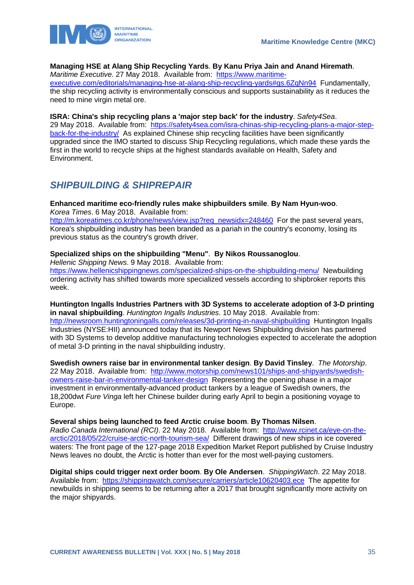

### **Managing HSE at Alang Ship Recycling Yards**. **By Kanu Priya Jain and Anand Hiremath**.

*Maritime Executive*. 27 May 2018. Available from: [https://www.maritime-](https://www.maritime-executive.com/editorials/managing-hse-at-alang-ship-recycling-yards#gs.6ZqNn94)

[executive.com/editorials/managing-hse-at-alang-ship-recycling-yards#gs.6ZqNn94](https://www.maritime-executive.com/editorials/managing-hse-at-alang-ship-recycling-yards#gs.6ZqNn94) Fundamentally, the ship recycling activity is environmentally conscious and supports sustainability as it reduces the need to mine virgin metal ore.

#### **ISRA: China's ship recycling plans a 'major step back' for the industry**. *Safety4Sea*.

29 May 2018. Available from: [https://safety4sea.com/isra-chinas-ship-recycling-plans-a-major-step](https://safety4sea.com/isra-chinas-ship-recycling-plans-a-major-step-back-for-the-industry/)[back-for-the-industry/](https://safety4sea.com/isra-chinas-ship-recycling-plans-a-major-step-back-for-the-industry/) As explained Chinese ship recycling facilities have been significantly upgraded since the IMO started to discuss Ship Recycling regulations, which made these yards the first in the world to recycle ships at the highest standards available on Health, Safety and Environment.

### <span id="page-35-0"></span>*SHIPBUILDING & SHIPREPAIR*

### **Enhanced maritime eco-friendly rules make shipbuilders smile**. **By Nam Hyun-woo**.

*Korea Times*. 6 May 2018. Available from: [http://m.koreatimes.co.kr/phone/news/view.jsp?req\\_newsidx=248460](http://m.koreatimes.co.kr/phone/news/view.jsp?req_newsidx=248460) For the past several years, Korea's shipbuilding industry has been branded as a pariah in the country's economy, losing its previous status as the country's growth driver.

### **Specialized ships on the shipbuilding "Menu"**. **By Nikos Roussanoglou**.

*Hellenic Shipping News*. 9 May 2018. Available from: <https://www.hellenicshippingnews.com/specialized-ships-on-the-shipbuilding-menu/>Newbuilding ordering activity has shifted towards more specialized vessels according to shipbroker reports this week.

### **Huntington Ingalls Industries Partners with 3D Systems to accelerate adoption of 3-D printing in naval shipbuilding**. *Huntington Ingalls Industries*. 10 May 2018. Available from: <http://newsroom.huntingtoningalls.com/releases/3d-printing-in-naval-shipbuilding>Huntington Ingalls Industries (NYSE:HII) announced today that its Newport News Shipbuilding division has partnered with 3D Systems to develop additive manufacturing technologies expected to accelerate the adoption of metal 3-D printing in the naval shipbuilding industry.

**Swedish owners raise bar in environmental tanker design**. **By David Tinsley**. *The Motorship*. 22 May 2018. Available from: [http://www.motorship.com/news101/ships-and-shipyards/swedish](http://www.motorship.com/news101/ships-and-shipyards/swedish-owners-raise-bar-in-environmental-tanker-design)[owners-raise-bar-in-environmental-tanker-design](http://www.motorship.com/news101/ships-and-shipyards/swedish-owners-raise-bar-in-environmental-tanker-design) Representing the opening phase in a major investment in environmentally-advanced product tankers by a league of Swedish owners, the 18,200dwt *Fure Vinga* left her Chinese builder during early April to begin a positioning voyage to Europe.

### **Several ships being launched to feed Arctic cruise boom**. **By Thomas Nilsen**.

*Radio Canada International (RCI)*. 22 May 2018. Available from: [http://www.rcinet.ca/eye-on-the](http://www.rcinet.ca/eye-on-the-arctic/2018/05/22/cruise-arctic-north-tourism-sea/)[arctic/2018/05/22/cruise-arctic-north-tourism-sea/](http://www.rcinet.ca/eye-on-the-arctic/2018/05/22/cruise-arctic-north-tourism-sea/) Different drawings of new ships in ice covered waters: The front page of the 127-page 2018 Expedition Market Report published by Cruise Industry News leaves no doubt, the Arctic is hotter than ever for the most well-paying customers.

**Digital ships could trigger next order boom**. **By Ole Andersen**. *ShippingWatch*. 22 May 2018. Available from: <https://shippingwatch.com/secure/carriers/article10620403.ece>The appetite for newbuilds in shipping seems to be returning after a 2017 that brought significantly more activity on the major shipyards.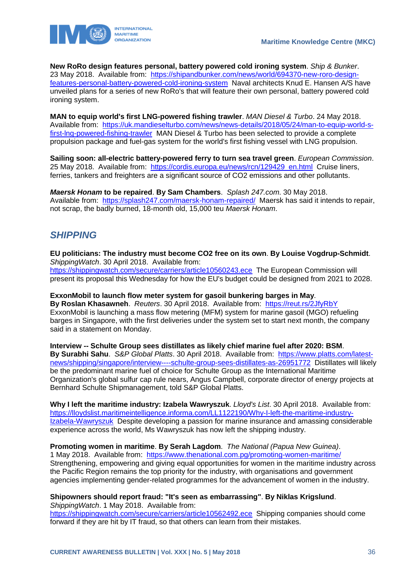

**New RoRo design features personal, battery powered cold ironing system**. *Ship & Bunker*. 23 May 2018. Available from: [https://shipandbunker.com/news/world/694370-new-roro-design](https://shipandbunker.com/news/world/694370-new-roro-design-features-personal-battery-powered-cold-ironing-system)[features-personal-battery-powered-cold-ironing-system](https://shipandbunker.com/news/world/694370-new-roro-design-features-personal-battery-powered-cold-ironing-system) Naval architects Knud E. Hansen A/S have unveiled plans for a series of new RoRo's that will feature their own personal, battery powered cold ironing system.

**MAN to equip world's first LNG-powered fishing trawler**. *MAN Diesel & Turbo*. 24 May 2018. Available from: [https://uk.mandieselturbo.com/news/news-details/2018/05/24/man-to-equip-world-s](https://uk.mandieselturbo.com/news/news-details/2018/05/24/man-to-equip-world-s-first-lng-powered-fishing-trawler)[first-lng-powered-fishing-trawler](https://uk.mandieselturbo.com/news/news-details/2018/05/24/man-to-equip-world-s-first-lng-powered-fishing-trawler) MAN Diesel & Turbo has been selected to provide a complete propulsion package and fuel-gas system for the world's first fishing vessel with LNG propulsion.

**Sailing soon: all-electric battery-powered ferry to turn sea travel green**. *European Commission*. 25 May 2018. Available from: [https://cordis.europa.eu/news/rcn/129429\\_en.html](https://cordis.europa.eu/news/rcn/129429_en.html) Cruise liners, ferries, tankers and freighters are a significant source of CO2 emissions and other pollutants.

*Maersk Honam* **to be repaired**. **By Sam Chambers**. *Splash 247.com*. 30 May 2018. Available from: <https://splash247.com/maersk-honam-repaired/>Maersk has said it intends to repair, not scrap, the badly burned, 18-month old, 15,000 teu *Maersk Honam*.

### <span id="page-36-0"></span>*SHIPPING*

**EU politicians: The industry must become CO2 free on its own**. **By Louise Vogdrup-Schmidt**. *ShippingWatch*. 30 April 2018. Available from: <https://shippingwatch.com/secure/carriers/article10560243.ece>The European Commission will present its proposal this Wednesday for how the EU's budget could be designed from 2021 to 2028.

**ExxonMobil to launch flow meter system for gasoil bunkering barges in May**. **By Roslan Khasawneh**. *Reuters*. 30 April 2018. Available from: <https://reut.rs/2JfyRbY> ExxonMobil is launching a mass flow metering (MFM) system for marine gasoil (MGO) refueling barges in Singapore, with the first deliveries under the system set to start next month, the company said in a statement on Monday.

**Interview -- Schulte Group sees distillates as likely chief marine fuel after 2020: BSM**. **By Surabhi Sahu**. *S&P Global Platts*. 30 April 2018. Available from: [https://www.platts.com/latest](https://www.platts.com/latest-news/shipping/singapore/interview----schulte-group-sees-distillates-as-26951772)[news/shipping/singapore/interview----schulte-group-sees-distillates-as-26951772](https://www.platts.com/latest-news/shipping/singapore/interview----schulte-group-sees-distillates-as-26951772) Distillates will likely be the predominant marine fuel of choice for Schulte Group as the International Maritime Organization's global sulfur cap rule nears, Angus Campbell, corporate director of energy projects at Bernhard Schulte Shipmanagement, told S&P Global Platts.

**Why I left the maritime industry: Izabela Wawryszuk**. *Lloyd's List*. 30 April 2018. Available from: [https://lloydslist.maritimeintelligence.informa.com/LL1122190/Why-I-left-the-maritime-industry-](https://lloydslist.maritimeintelligence.informa.com/LL1122190/Why-I-left-the-maritime-industry-Izabela-Wawryszuk)[Izabela-Wawryszuk](https://lloydslist.maritimeintelligence.informa.com/LL1122190/Why-I-left-the-maritime-industry-Izabela-Wawryszuk) Despite developing a passion for marine insurance and amassing considerable experience across the world, Ms Wawryszuk has now left the shipping industry.

**Promoting women in maritime**. **By Serah Lagdom**. *The National (Papua New Guinea)*. 1 May 2018. Available from: <https://www.thenational.com.pg/promoting-women-maritime/> Strengthening, empowering and giving equal opportunities for women in the maritime industry across the Pacific Region remains the top priority for the industry, with organisations and government agencies implementing gender-related programmes for the advancement of women in the industry.

#### **Shipowners should report fraud: "It's seen as embarrassing"**. **By Niklas Krigslund**. *ShippingWatch*. 1 May 2018. Available from:

<https://shippingwatch.com/secure/carriers/article10562492.ece>Shipping companies should come forward if they are hit by IT fraud, so that others can learn from their mistakes.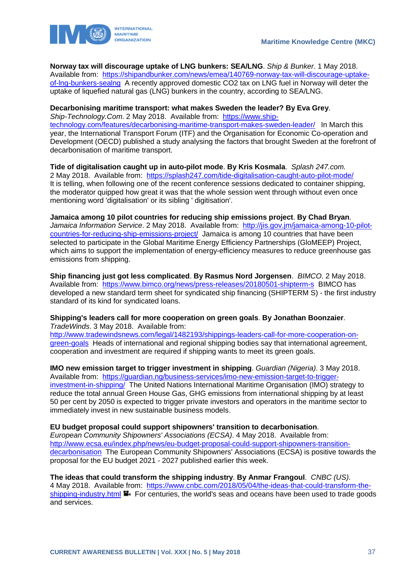

**Norway tax will discourage uptake of LNG bunkers: SEA/LNG**. *Ship & Bunker*. 1 May 2018. Available from: [https://shipandbunker.com/news/emea/140769-norway-tax-will-discourage-uptake](https://shipandbunker.com/news/emea/140769-norway-tax-will-discourage-uptake-of-lng-bunkers-sealng)[of-lng-bunkers-sealng](https://shipandbunker.com/news/emea/140769-norway-tax-will-discourage-uptake-of-lng-bunkers-sealng) A recently approved domestic CO2 tax on LNG fuel in Norway will deter the uptake of liquefied natural gas (LNG) bunkers in the country, according to SEA/LNG.

### **Decarbonising maritime transport: what makes Sweden the leader? By Eva Grey**.

*Ship-Technology.Com*. 2 May 2018. Available from: [https://www.ship](https://www.ship-technology.com/features/decarbonising-maritime-transport-makes-sweden-leader/)[technology.com/features/decarbonising-maritime-transport-makes-sweden-leader/](https://www.ship-technology.com/features/decarbonising-maritime-transport-makes-sweden-leader/) In March this year, the International Transport Forum (ITF) and the Organisation for Economic Co-operation and Development (OECD) published a study analysing the factors that brought Sweden at the forefront of decarbonisation of maritime transport.

**Tide of digitalisation caught up in auto-pilot mode**. **By Kris Kosmala**. *Splash 247.com*. 2 May 2018. Available from: <https://splash247.com/tide-digitalisation-caught-auto-pilot-mode/> It is telling, when following one of the recent conference sessions dedicated to container shipping, the moderator quipped how great it was that the whole session went through without even once mentioning word 'digitalisation' or its sibling ' digitisation'.

**Jamaica among 10 pilot countries for reducing ship emissions project**. **By Chad Bryan**. *Jamaica Information Service*. 2 May 2018. Available from: [http://jis.gov.jm/jamaica-among-10-pilot](http://jis.gov.jm/jamaica-among-10-pilot-countries-for-reducing-ship-emissions-project/)[countries-for-reducing-ship-emissions-project/](http://jis.gov.jm/jamaica-among-10-pilot-countries-for-reducing-ship-emissions-project/) Jamaica is among 10 countries that have been selected to participate in the Global Maritime Energy Efficiency Partnerships (GloMEEP) Project, which aims to support the implementation of energy-efficiency measures to reduce greenhouse gas emissions from shipping.

**Ship financing just got less complicated**. **By Rasmus Nord Jorgensen**. *BIMCO*. 2 May 2018. Available from: <https://www.bimco.org/news/press-releases/20180501-shipterm-s>BIMCO has developed a new standard term sheet for syndicated ship financing (SHIPTERM S) - the first industry standard of its kind for syndicated loans.

**Shipping's leaders call for more cooperation on green goals**. **By Jonathan Boonzaier**. *TradeWinds*. 3 May 2018. Available from:

[http://www.tradewindsnews.com/legal/1482193/shippings-leaders-call-for-more-cooperation-on](http://www.tradewindsnews.com/legal/1482193/shippings-leaders-call-for-more-cooperation-on-green-goals)[green-goals](http://www.tradewindsnews.com/legal/1482193/shippings-leaders-call-for-more-cooperation-on-green-goals) Heads of international and regional shipping bodies say that international agreement, cooperation and investment are required if shipping wants to meet its green goals.

**IMO new emission target to trigger investment in shipping**. *Guardian (Nigeria)*. 3 May 2018. Available from: [https://guardian.ng/business-services/imo-new-emission-target-to-trigger](https://guardian.ng/business-services/imo-new-emission-target-to-trigger-investment-in-shipping/)[investment-in-shipping/](https://guardian.ng/business-services/imo-new-emission-target-to-trigger-investment-in-shipping/) The United Nations International Maritime Organisation (IMO) strategy to reduce the total annual Green House Gas, GHG emissions from international shipping by at least 50 per cent by 2050 is expected to trigger private investors and operators in the maritime sector to immediately invest in new sustainable business models.

### **EU budget proposal could support shipowners' transition to decarbonisation**.

*European Community Shipowners' Associations (ECSA)*. 4 May 2018. Available from: [http://www.ecsa.eu/index.php/news/eu-budget-proposal-could-support-shipowners-transition](http://www.ecsa.eu/index.php/news/eu-budget-proposal-could-support-shipowners-transition-decarbonisation)[decarbonisation](http://www.ecsa.eu/index.php/news/eu-budget-proposal-could-support-shipowners-transition-decarbonisation) The European Community Shipowners' Associations (ECSA) is positive towards the proposal for the EU budget 2021 - 2027 published earlier this week.

**The ideas that could transform the shipping industry**. **By Anmar Frangoul**. *CNBC (US)*. 4 May 2018. Available from: [https://www.cnbc.com/2018/05/04/the-ideas-that-could-transform-the](https://www.cnbc.com/2018/05/04/the-ideas-that-could-transform-the-shipping-industry.html)[shipping-industry.html](https://www.cnbc.com/2018/05/04/the-ideas-that-could-transform-the-shipping-industry.html)  $\blacksquare$ . For centuries, the world's seas and oceans have been used to trade goods and services.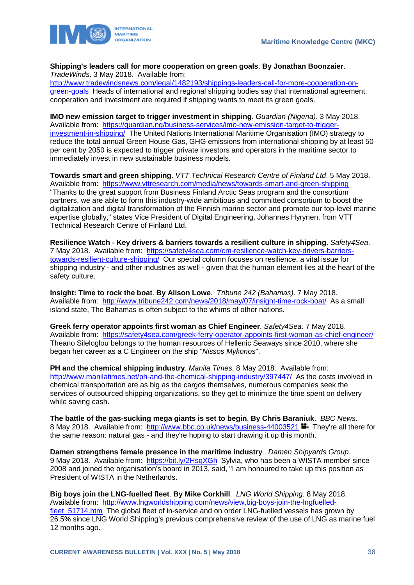

#### **Shipping's leaders call for more cooperation on green goals**. **By Jonathan Boonzaier**. *TradeWinds*. 3 May 2018. Available from:

[http://www.tradewindsnews.com/legal/1482193/shippings-leaders-call-for-more-cooperation-on](http://www.tradewindsnews.com/legal/1482193/shippings-leaders-call-for-more-cooperation-on-green-goals)[green-goals](http://www.tradewindsnews.com/legal/1482193/shippings-leaders-call-for-more-cooperation-on-green-goals) Heads of international and regional shipping bodies say that international agreement, cooperation and investment are required if shipping wants to meet its green goals.

**IMO new emission target to trigger investment in shipping**. *Guardian (Nigeria)*. 3 May 2018. Available from: [https://guardian.ng/business-services/imo-new-emission-target-to-trigger](https://guardian.ng/business-services/imo-new-emission-target-to-trigger-investment-in-shipping/)[investment-in-shipping/](https://guardian.ng/business-services/imo-new-emission-target-to-trigger-investment-in-shipping/) The United Nations International Maritime Organisation (IMO) strategy to reduce the total annual Green House Gas, GHG emissions from international shipping by at least 50 per cent by 2050 is expected to trigger private investors and operators in the maritime sector to immediately invest in new sustainable business models.

**Towards smart and green shipping**. *VTT Technical Research Centre of Finland Ltd*. 5 May 2018. Available from: <https://www.vttresearch.com/media/news/towards-smart-and-green-shipping> "Thanks to the great support from Business Finland Arctic Seas program and the consortium partners, we are able to form this industry-wide ambitious and committed consortium to boost the digitalization and digital transformation of the Finnish marine sector and promote our top-level marine expertise globally," states Vice President of Digital Engineering, Johannes Hyrynen, from VTT Technical Research Centre of Finland Ltd.

**Resilience Watch - Key drivers & barriers towards a resilient culture in shipping**. *Safety4Sea*. 7 May 2018. Available from: [https://safety4sea.com/cm-resilience-watch-key-drivers-barriers](https://safety4sea.com/cm-resilience-watch-key-drivers-barriers-towards-resilient-culture-shipping/)[towards-resilient-culture-shipping/](https://safety4sea.com/cm-resilience-watch-key-drivers-barriers-towards-resilient-culture-shipping/) Our special column focuses on resilience, a vital issue for shipping industry - and other industries as well - given that the human element lies at the heart of the safety culture.

**Insight: Time to rock the boat**. **By Alison Lowe**. *Tribune 242 (Bahamas)*. 7 May 2018. Available from: <http://www.tribune242.com/news/2018/may/07/insight-time-rock-boat/>As a small island state, The Bahamas is often subject to the whims of other nations.

**Greek ferry operator appoints first woman as Chief Engineer**. *Safety4Sea*. 7 May 2018. Available from: <https://safety4sea.com/greek-ferry-operator-appoints-first-woman-as-chief-engineer/> Theano Sileloglou belongs to the human resources of Hellenic Seaways since 2010, where she began her career as a C Engineer on the ship "*Nissos Mykonos*".

**PH and the chemical shipping industry**. *Manila Times*. 8 May 2018. Available from: <http://www.manilatimes.net/ph-and-the-chemical-shipping-industry/397447/>As the costs involved in chemical transportation are as big as the cargos themselves, numerous companies seek the services of outsourced shipping organizations, so they get to minimize the time spent on delivery while saving cash.

**The battle of the gas-sucking mega giants is set to begin**. **By Chris Baraniuk**. *BBC News*. 8 May 2018. Available from: <http://www.bbc.co.uk/news/business-44003521> They're all there for the same reason: natural gas - and they're hoping to start drawing it up this month.

**Damen strengthens female presence in the maritime industry** . *Damen Shipyards Group*. 9 May 2018. Available from: <https://bit.ly/2HsqXGh> Sylvia, who has been a WISTA member since 2008 and joined the organisation's board in 2013, said, "I am honoured to take up this position as President of WISTA in the Netherlands.

**Big boys join the LNG-fuelled fleet**. **By Mike Corkhill**. *LNG World Shipping*. 8 May 2018. Available from: [http://www.lngworldshipping.com/news/view,big-boys-join-the-lngfuelled](http://www.lngworldshipping.com/news/view,big-boys-join-the-lngfuelled-fleet_51714.htm)fleet 51714.htm The global fleet of in-service and on order LNG-fuelled vessels has grown by 26.5% since LNG World Shipping's previous comprehensive review of the use of LNG as marine fuel 12 months ago.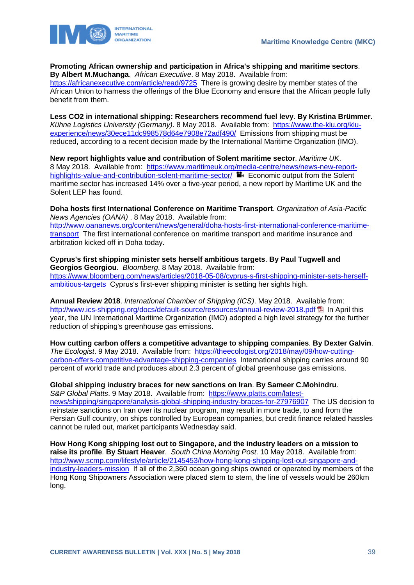



**Promoting African ownership and participation in Africa's shipping and maritime sectors**. **By Albert M.Muchanga**. *African Executive*. 8 May 2018. Available from:

<https://africanexecutive.com/article/read/9725>There is growing desire by member states of the African Union to harness the offerings of the Blue Economy and ensure that the African people fully benefit from them.

**Less CO2 in international shipping: Researchers recommend fuel levy**. **By Kristina Brümmer**. *Kühne Logistics University (Germany)*. 8 May 2018. Available from: [https://www.the-klu.org/klu](https://www.the-klu.org/klu-experience/news/30ece11dc998578d64e7908e72adf490/)[experience/news/30ece11dc998578d64e7908e72adf490/](https://www.the-klu.org/klu-experience/news/30ece11dc998578d64e7908e72adf490/) Emissions from shipping must be reduced, according to a recent decision made by the International Maritime Organization (IMO).

**New report highlights value and contribution of Solent maritime sector**. *Maritime UK*. 8 May 2018. Available from: [https://www.maritimeuk.org/media-centre/news/news-new-report](https://www.maritimeuk.org/media-centre/news/news-new-report-highlights-value-and-contribution-solent-maritime-sector/)[highlights-value-and-contribution-solent-maritime-sector/](https://www.maritimeuk.org/media-centre/news/news-new-report-highlights-value-and-contribution-solent-maritime-sector/) **E** Economic output from the Solent maritime sector has increased 14% over a five-year period, a new report by Maritime UK and the Solent LEP has found.

**Doha hosts first International Conference on Maritime Transport**. *Organization of Asia-Pacific News Agencies (OANA)* . 8 May 2018. Available from: [http://www.oananews.org/content/news/general/doha-hosts-first-international-conference-maritime](http://www.oananews.org/content/news/general/doha-hosts-first-international-conference-maritime-transport)[transport](http://www.oananews.org/content/news/general/doha-hosts-first-international-conference-maritime-transport) The first international conference on maritime transport and maritime insurance and arbitration kicked off in Doha today.

**Cyprus's first shipping minister sets herself ambitious targets**. **By Paul Tugwell and Georgios Georgiou**. *Bloomberg*. 8 May 2018. Available from: [https://www.bloomberg.com/news/articles/2018-05-08/cyprus-s-first-shipping-minister-sets-herself](https://www.bloomberg.com/news/articles/2018-05-08/cyprus-s-first-shipping-minister-sets-herself-ambitious-targets)[ambitious-targets](https://www.bloomberg.com/news/articles/2018-05-08/cyprus-s-first-shipping-minister-sets-herself-ambitious-targets) Cyprus's first-ever shipping minister is setting her sights high.

**Annual Review 2018**. *International Chamber of Shipping (ICS)*. May 2018. Available from: <http://www.ics-shipping.org/docs/default-source/resources/annual-review-2018.pdf>  $E$  In April this year, the UN International Maritime Organization (IMO) adopted a high level strategy for the further reduction of shipping's greenhouse gas emissions.

**How cutting carbon offers a competitive advantage to shipping companies**. **By Dexter Galvin**. *The Ecologist*. 9 May 2018. Available from: [https://theecologist.org/2018/may/09/how-cutting](https://theecologist.org/2018/may/09/how-cutting-carbon-offers-competitive-advantage-shipping-companies)[carbon-offers-competitive-advantage-shipping-companies](https://theecologist.org/2018/may/09/how-cutting-carbon-offers-competitive-advantage-shipping-companies) International shipping carries around 90 percent of world trade and produces about 2.3 percent of global greenhouse gas emissions.

**Global shipping industry braces for new sanctions on Iran**. **By Sameer C.Mohindru**. *S&P Global Platts*. 9 May 2018. Available from: [https://www.platts.com/latest-](https://www.platts.com/latest-news/shipping/singapore/analysis-global-shipping-industry-braces-for-27976907)

[news/shipping/singapore/analysis-global-shipping-industry-braces-for-27976907](https://www.platts.com/latest-news/shipping/singapore/analysis-global-shipping-industry-braces-for-27976907) The US decision to reinstate sanctions on Iran over its nuclear program, may result in more trade, to and from the Persian Gulf country, on ships controlled by European companies, but credit finance related hassles cannot be ruled out, market participants Wednesday said.

**How Hong Kong shipping lost out to Singapore, and the industry leaders on a mission to raise its profile**. **By Stuart Heaver**. *South China Morning Post*. 10 May 2018. Available from: [http://www.scmp.com/lifestyle/article/2145453/how-hong-kong-shipping-lost-out-singapore-and](http://www.scmp.com/lifestyle/article/2145453/how-hong-kong-shipping-lost-out-singapore-and-industry-leaders-mission)[industry-leaders-mission](http://www.scmp.com/lifestyle/article/2145453/how-hong-kong-shipping-lost-out-singapore-and-industry-leaders-mission) If all of the 2,360 ocean going ships owned or operated by members of the Hong Kong Shipowners Association were placed stem to stern, the line of vessels would be 260km long.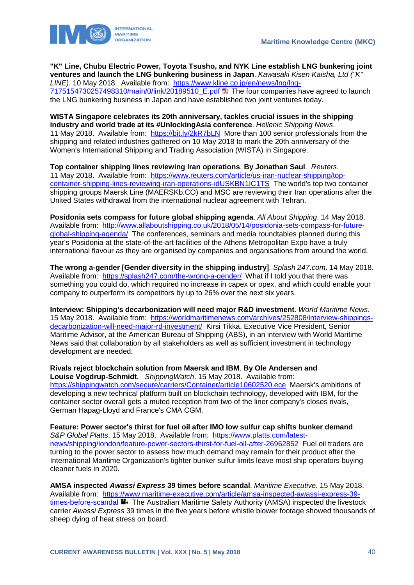

**"K" Line, Chubu Electric Power, Toyota Tsusho, and NYK Line establish LNG bunkering joint ventures and launch the LNG bunkering business in Japan**. *Kawasaki Kisen Kaisha, Ltd ("K" LINE)*. 10 May 2018. Available from: [https://www.kline.co.jp/en/news/lng/lng-](https://www.kline.co.jp/en/news/lng/lng-7175154730257498310/main/0/link/20189510_E.pdf)[7175154730257498310/main/0/link/20189510\\_E.pdf](https://www.kline.co.jp/en/news/lng/lng-7175154730257498310/main/0/link/20189510_E.pdf) The four companies have agreed to launch the LNG bunkering business in Japan and have established two joint ventures today.

**WISTA Singapore celebrates its 20th anniversary, tackles crucial issues in the shipping industry and world trade at its #UnlockingAsia conference**. *Hellenic Shipping News*. 11 May 2018. Available from:<https://bit.ly/2kR7bLN>More than 100 senior professionals from the shipping and related industries gathered on 10 May 2018 to mark the 20th anniversary of the Women's International Shipping and Trading Association (WISTA) in Singapore.

**Top container shipping lines reviewing Iran operations**. **By Jonathan Saul**. *Reuters*. 11 May 2018. Available from: [https://www.reuters.com/article/us-iran-nuclear-shipping/top](https://www.reuters.com/article/us-iran-nuclear-shipping/top-container-shipping-lines-reviewing-iran-operations-idUSKBN1IC1TS)[container-shipping-lines-reviewing-iran-operations-idUSKBN1IC1TS](https://www.reuters.com/article/us-iran-nuclear-shipping/top-container-shipping-lines-reviewing-iran-operations-idUSKBN1IC1TS) The world's top two container shipping groups Maersk Line (MAERSKb.CO) and MSC are reviewing their Iran operations after the United States withdrawal from the international nuclear agreement with Tehran.

**Posidonia sets compass for future global shipping agenda**. *All About Shipping*. 14 May 2018. Available from: [http://www.allaboutshipping.co.uk/2018/05/14/posidonia-sets-compass-for-future](http://www.allaboutshipping.co.uk/2018/05/14/posidonia-sets-compass-for-future-global-shipping-agenda/)[global-shipping-agenda/](http://www.allaboutshipping.co.uk/2018/05/14/posidonia-sets-compass-for-future-global-shipping-agenda/) The conferences, seminars and media roundtables planned during this year's Posidonia at the state-of-the-art facilities of the Athens Metropolitan Expo have a truly international flavour as they are organised by companies and organisations from around the world.

**The wrong a-gender [Gender diversity in the shipping industry]**. *Splash 247.com*. 14 May 2018. Available from: <https://splash247.com/the-wrong-a-gender/>What if I told you that there was something you could do, which required no increase in capex or opex, and which could enable your company to outperform its competitors by up to 26% over the next six years.

**Interview: Shipping's decarbonization will need major R&D investment**. *World Maritime News*. 15 May 2018. Available from: [https://worldmaritimenews.com/archives/252808/interview-shippings](https://worldmaritimenews.com/archives/252808/interview-shippings-decarbonization-will-need-major-rd-investment/)[decarbonization-will-need-major-rd-investment/](https://worldmaritimenews.com/archives/252808/interview-shippings-decarbonization-will-need-major-rd-investment/) Kirsi Tikka, Executive Vice President, Senior Maritime Advisor, at the American Bureau of Shipping (ABS), in an interview with World Maritime News said that collaboration by all stakeholders as well as sufficient investment in technology development are needed.

**Rivals reject blockchain solution from Maersk and IBM**. **By Ole Andersen and Louise Vogdrup-Schmidt**. *ShippingWatch*. 15 May 2018. Available from: <https://shippingwatch.com/secure/carriers/Container/article10602520.ece>Maersk's ambitions of developing a new technical platform built on blockchain technology, developed with IBM, for the container sector overall gets a muted reception from two of the liner company's closes rivals, German Hapag-Lloyd and France's CMA CGM.

**Feature: Power sector's thirst for fuel oil after IMO low sulfur cap shifts bunker demand**. *S&P Global Platts*. 15 May 2018. Available from: [https://www.platts.com/latest](https://www.platts.com/latest-news/shipping/london/feature-power-sectors-thirst-for-fuel-oil-after-26962852)[news/shipping/london/feature-power-sectors-thirst-for-fuel-oil-after-26962852](https://www.platts.com/latest-news/shipping/london/feature-power-sectors-thirst-for-fuel-oil-after-26962852) Fuel oil traders are turning to the power sector to assess how much demand may remain for their product after the International Maritime Organization's tighter bunker sulfur limits leave most ship operators buying cleaner fuels in 2020.

**AMSA inspected** *Awassi Express* **39 times before scandal**. *Maritime Executive*. 15 May 2018. Available from: [https://www.maritime-executive.com/article/amsa-inspected-awassi-express-39](https://www.maritime-executive.com/article/amsa-inspected-awassi-express-39-times-before-scandal) [times-before-scandal](https://www.maritime-executive.com/article/amsa-inspected-awassi-express-39-times-before-scandal) **The Australian Maritime Safety Authority (AMSA)** inspected the livestock carrier *Awassi Express* 39 times in the five years before whistle blower footage showed thousands of sheep dying of heat stress on board.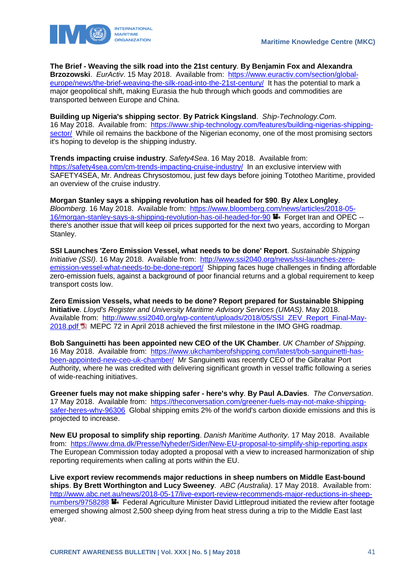

**The Brief - Weaving the silk road into the 21st century**. **By Benjamin Fox and Alexandra Brzozowski**. *EurActiv*. 15 May 2018. Available from: [https://www.euractiv.com/section/global](https://www.euractiv.com/section/global-europe/news/the-brief-weaving-the-silk-road-into-the-21st-century/)[europe/news/the-brief-weaving-the-silk-road-into-the-21st-century/](https://www.euractiv.com/section/global-europe/news/the-brief-weaving-the-silk-road-into-the-21st-century/) It has the potential to mark a major geopolitical shift, making Eurasia the hub through which goods and commodities are transported between Europe and China.

**Building up Nigeria's shipping sector**. **By Patrick Kingsland**. *Ship-Technology.Com*. 16 May 2018. Available from: [https://www.ship-technology.com/features/building-nigerias-shipping](https://www.ship-technology.com/features/building-nigerias-shipping-sector/)[sector/](https://www.ship-technology.com/features/building-nigerias-shipping-sector/) While oil remains the backbone of the Nigerian economy, one of the most promising sectors it's hoping to develop is the shipping industry.

**Trends impacting cruise industry**. *Safety4Sea*. 16 May 2018. Available from: <https://safety4sea.com/cm-trends-impacting-cruise-industry/>In an exclusive interview with SAFETY4SEA, Mr. Andreas Chrysostomou, just few days before joining Tototheo Maritime, provided an overview of the cruise industry.

**Morgan Stanley says a shipping revolution has oil headed for \$90**. **By Alex Longley**. *Bloomberg*. 16 May 2018. Available from: [https://www.bloomberg.com/news/articles/2018-05-](https://www.bloomberg.com/news/articles/2018-05-16/morgan-stanley-says-a-shipping-revolution-has-oil-headed-for-90) [16/morgan-stanley-says-a-shipping-revolution-has-oil-headed-for-90](https://www.bloomberg.com/news/articles/2018-05-16/morgan-stanley-says-a-shipping-revolution-has-oil-headed-for-90) Forget Iran and OPEC -there's another issue that will keep oil prices supported for the next two years, according to Morgan Stanley.

**SSI Launches 'Zero Emission Vessel, what needs to be done' Report**. *Sustainable Shipping Initiative (SSI)*. 16 May 2018. Available from: [http://www.ssi2040.org/news/ssi-launches-zero](http://www.ssi2040.org/news/ssi-launches-zero-emission-vessel-what-needs-to-be-done-report/)[emission-vessel-what-needs-to-be-done-report/](http://www.ssi2040.org/news/ssi-launches-zero-emission-vessel-what-needs-to-be-done-report/) Shipping faces huge challenges in finding affordable zero-emission fuels, against a background of poor financial returns and a global requirement to keep transport costs low.

**Zero Emission Vessels, what needs to be done? Report prepared for Sustainable Shipping Initiative**. *Lloyd's Register and University Maritime Advisory Services (UMAS)*. May 2018. Available from: [http://www.ssi2040.org/wp-content/uploads/2018/05/SSI\\_ZEV\\_Report\\_Final-May-](http://www.ssi2040.org/wp-content/uploads/2018/05/SSI_ZEV_Report_Final-May-2018.pdf)[2018.pdf](http://www.ssi2040.org/wp-content/uploads/2018/05/SSI_ZEV_Report_Final-May-2018.pdf) MEPC 72 in April 2018 achieved the first milestone in the IMO GHG roadmap.

**Bob Sanguinetti has been appointed new CEO of the UK Chamber**. *UK Chamber of Shipping*. 16 May 2018. Available from: [https://www.ukchamberofshipping.com/latest/bob-sanguinetti-has](https://www.ukchamberofshipping.com/latest/bob-sanguinetti-has-been-appointed-new-ceo-uk-chamber/)[been-appointed-new-ceo-uk-chamber/](https://www.ukchamberofshipping.com/latest/bob-sanguinetti-has-been-appointed-new-ceo-uk-chamber/) Mr Sanguinetti was recently CEO of the Gibraltar Port Authority, where he was credited with delivering significant growth in vessel traffic following a series of wide-reaching initiatives.

**Greener fuels may not make shipping safer - here's why**. **By Paul A.Davies**. *The Conversation*. 17 May 2018. Available from: [https://theconversation.com/greener-fuels-may-not-make-shipping](https://theconversation.com/greener-fuels-may-not-make-shipping-safer-heres-why-96306)[safer-heres-why-96306](https://theconversation.com/greener-fuels-may-not-make-shipping-safer-heres-why-96306) Global shipping emits 2% of the world's carbon dioxide emissions and this is projected to increase.

**New EU proposal to simplify ship reporting**. *Danish Maritime Authority*. 17 May 2018. Available from: <https://www.dma.dk/Presse/Nyheder/Sider/New-EU-proposal-to-simplify-ship-reporting.aspx> The European Commission today adopted a proposal with a view to increased harmonization of ship reporting requirements when calling at ports within the EU.

**Live export review recommends major reductions in sheep numbers on Middle East-bound ships**. **By Brett Worthington and Lucy Sweeney**. *ABC (Australia)*. 17 May 2018. Available from: [http://www.abc.net.au/news/2018-05-17/live-export-review-recommends-major-reductions-in-sheep](http://www.abc.net.au/news/2018-05-17/live-export-review-recommends-major-reductions-in-sheep-numbers/9758288)[numbers/9758288](http://www.abc.net.au/news/2018-05-17/live-export-review-recommends-major-reductions-in-sheep-numbers/9758288)  $\blacksquare$  Federal Agriculture Minister David Littleproud initiated the review after footage emerged showing almost 2,500 sheep dying from heat stress during a trip to the Middle East last year.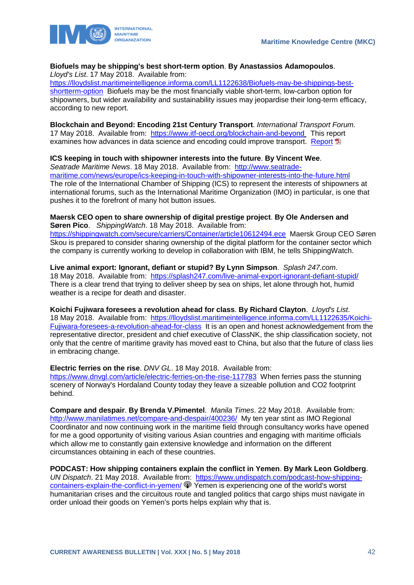

#### **Biofuels may be shipping's best short-term option**. **By Anastassios Adamopoulos**. *Lloyd's List*. 17 May 2018. Available from:

[https://lloydslist.maritimeintelligence.informa.com/LL1122638/Biofuels-may-be-shippings-best](https://lloydslist.maritimeintelligence.informa.com/LL1122638/Biofuels-may-be-shippings-best-shortterm-option)[shortterm-option](https://lloydslist.maritimeintelligence.informa.com/LL1122638/Biofuels-may-be-shippings-best-shortterm-option) Biofuels may be the most financially viable short-term, low-carbon option for shipowners, but wider availability and sustainability issues may jeopardise their long-term efficacy, according to new report.

**Blockchain and Beyond: Encoding 21st Century Transport**. *International Transport Forum*. 17 May 2018. Available from:<https://www.itf-oecd.org/blockchain-and-beyond> This report examines how advances in data science and encoding could improve transport. [Report](https://www.itf-oecd.org/sites/default/files/docs/blockchain-and-beyond-encoding-21st-century-transport.pdf) E

**ICS keeping in touch with shipowner interests into the future**. **By Vincent Wee**. *Seatrade Maritime News*. 18 May 2018. Available from: [http://www.seatrade](http://www.seatrade-maritime.com/news/europe/ics-keeping-in-touch-with-shipowner-interests-into-the-future.html)[maritime.com/news/europe/ics-keeping-in-touch-with-shipowner-interests-into-the-future.html](http://www.seatrade-maritime.com/news/europe/ics-keeping-in-touch-with-shipowner-interests-into-the-future.html)  The role of the International Chamber of Shipping (ICS) to represent the interests of shipowners at international forums, such as the International Maritime Organization (IMO) in particular, is one that pushes it to the forefront of many hot button issues.

**Maersk CEO open to share ownership of digital prestige project**. **By Ole Andersen and Søren Pico**. *ShippingWatch*. 18 May 2018. Available from: <https://shippingwatch.com/secure/carriers/Container/article10612494.ece>Maersk Group CEO Søren Skou is prepared to consider sharing ownership of the digital platform for the container sector which the company is currently working to develop in collaboration with IBM, he tells ShippingWatch.

**Live animal export: Ignorant, defiant or stupid? By Lynn Simpson**. *Splash 247.com*. 18 May 2018. Available from:<https://splash247.com/live-animal-export-ignorant-defiant-stupid/> There is a clear trend that trying to deliver sheep by sea on ships, let alone through hot, humid weather is a recipe for death and disaster.

**Koichi Fujiwara foresees a revolution ahead for class**. **By Richard Clayton**. *Lloyd's List*. 18 May 2018. Available from: [https://lloydslist.maritimeintelligence.informa.com/LL1122635/Koichi-](https://lloydslist.maritimeintelligence.informa.com/LL1122635/Koichi-Fujiwara-foresees-a-revolution-ahead-for-class)[Fujiwara-foresees-a-revolution-ahead-for-class](https://lloydslist.maritimeintelligence.informa.com/LL1122635/Koichi-Fujiwara-foresees-a-revolution-ahead-for-class) It is an open and honest acknowledgement from the representative director, president and chief executive of ClassNK, the ship classification society, not only that the centre of maritime gravity has moved east to China, but also that the future of class lies in embracing change.

**Electric ferries on the rise**. *DNV GL*. 18 May 2018. Available from: <https://www.dnvgl.com/article/electric-ferries-on-the-rise-117783>When ferries pass the stunning scenery of Norway's Hordaland County today they leave a sizeable pollution and CO2 footprint behind.

**Compare and despair**. **By Brenda V.Pimentel**. *Manila Times*. 22 May 2018. Available from: <http://www.manilatimes.net/compare-and-despair/400236/>My ten year stint as IMO Regional Coordinator and now continuing work in the maritime field through consultancy works have opened for me a good opportunity of visiting various Asian countries and engaging with maritime officials which allow me to constantly gain extensive knowledge and information on the different circumstances obtaining in each of these countries.

**PODCAST: How shipping containers explain the conflict in Yemen**. **By Mark Leon Goldberg**. *UN Dispatch*. 21 May 2018. Available from: [https://www.undispatch.com/podcast-how-shipping](https://www.undispatch.com/podcast-how-shipping-containers-explain-the-conflict-in-yemen/)[containers-explain-the-conflict-in-yemen/](https://www.undispatch.com/podcast-how-shipping-containers-explain-the-conflict-in-yemen/)  $\circledast$  Yemen is experiencing one of the world's worst humanitarian crises and the circuitous route and tangled politics that cargo ships must navigate in order unload their goods on Yemen's ports helps explain why that is.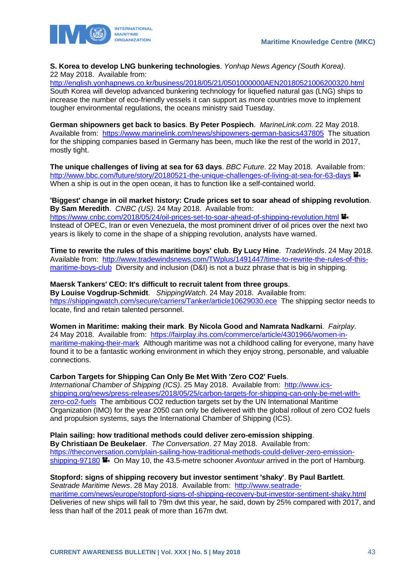

**S. Korea to develop LNG bunkering technologies**. *Yonhap News Agency (South Korea)*.

22 May 2018. Available from:

<http://english.yonhapnews.co.kr/business/2018/05/21/0501000000AEN20180521006200320.html> South Korea will develop advanced bunkering technology for liquefied natural gas (LNG) ships to increase the number of eco-friendly vessels it can support as more countries move to implement tougher environmental regulations, the oceans ministry said Tuesday.

**German shipowners get back to basics**. **By Peter Pospiech**. *MarineLink.com*. 22 May 2018. Available from: <https://www.marinelink.com/news/shipowners-german-basics437805>The situation for the shipping companies based in Germany has been, much like the rest of the world in 2017, mostly tight.

**The unique challenges of living at sea for 63 days**. *BBC Future*. 22 May 2018. Available from: <http://www.bbc.com/future/story/20180521-the-unique-challenges-of-living-at-sea-for-63-days>  $\blacksquare$ When a ship is out in the open ocean, it has to function like a self-contained world.

### **'Biggest' change in oil market history: Crude prices set to soar ahead of shipping revolution**. **By Sam Meredith**. *CNBC (US)*. 24 May 2018. Available from:

<https://www.cnbc.com/2018/05/24/oil-prices-set-to-soar-ahead-of-shipping-revolution.html> Instead of OPEC, Iran or even Venezuela, the most prominent driver of oil prices over the next two years is likely to come in the shape of a shipping revolution, analysts have warned.

**Time to rewrite the rules of this maritime boys' club**. **By Lucy Hine**. *TradeWinds*. 24 May 2018. Available from: [http://www.tradewindsnews.com/TWplus/1491447/time-to-rewrite-the-rules-of-this](http://www.tradewindsnews.com/TWplus/1491447/time-to-rewrite-the-rules-of-this-maritime-boys-club)[maritime-boys-club](http://www.tradewindsnews.com/TWplus/1491447/time-to-rewrite-the-rules-of-this-maritime-boys-club) Diversity and inclusion (D&I) is not a buzz phrase that is big in shipping.

### **Maersk Tankers' CEO: It's difficult to recruit talent from three groups**.

**By Louise Vogdrup-Schmidt**. *ShippingWatch*. 24 May 2018. Available from: <https://shippingwatch.com/secure/carriers/Tanker/article10629030.ece>The shipping sector needs to locate, find and retain talented personnel.

**Women in Maritime: making their mark**. **By Nicola Good and Namrata Nadkarni**. *Fairplay*. 24 May 2018. Available from: [https://fairplay.ihs.com/commerce/article/4301966/women-in](https://fairplay.ihs.com/commerce/article/4301966/women-in-maritime-making-their-mark)[maritime-making-their-mark](https://fairplay.ihs.com/commerce/article/4301966/women-in-maritime-making-their-mark) Although maritime was not a childhood calling for everyone, many have found it to be a fantastic working environment in which they enjoy strong, personable, and valuable connections.

### **Carbon Targets for Shipping Can Only Be Met With 'Zero CO2' Fuels**.

*International Chamber of Shipping (ICS)*. 25 May 2018. Available from: [http://www.ics](http://www.ics-shipping.org/news/press-releases/2018/05/25/carbon-targets-for-shipping-can-only-be-met-with-zero-co2-fuels)[shipping.org/news/press-releases/2018/05/25/carbon-targets-for-shipping-can-only-be-met-with](http://www.ics-shipping.org/news/press-releases/2018/05/25/carbon-targets-for-shipping-can-only-be-met-with-zero-co2-fuels)[zero-co2-fuels](http://www.ics-shipping.org/news/press-releases/2018/05/25/carbon-targets-for-shipping-can-only-be-met-with-zero-co2-fuels) The ambitious CO2 reduction targets set by the UN International Maritime Organization (IMO) for the year 2050 can only be delivered with the global rollout of zero CO2 fuels and propulsion systems, says the International Chamber of Shipping (ICS).

**Plain sailing: how traditional methods could deliver zero-emission shipping**. **By Christiaan De Beukelaer**. *The Conversation*. 27 May 2018. Available from: [https://theconversation.com/plain-sailing-how-traditional-methods-could-deliver-zero-emission](https://theconversation.com/plain-sailing-how-traditional-methods-could-deliver-zero-emission-shipping-97180)[shipping-97180](https://theconversation.com/plain-sailing-how-traditional-methods-could-deliver-zero-emission-shipping-97180) <sup>1</sup> On May 10, the 43.5-metre schooner *Avontuur* arrived in the port of Hamburg.

### **Stopford: signs of shipping recovery but investor sentiment 'shaky'**. **By Paul Bartlett**.

*Seatrade Maritime News*. 28 May 2018. Available from: [http://www.seatrade](http://www.seatrade-maritime.com/news/europe/stopford-signs-of-shipping-recovery-but-investor-sentiment-shaky.html)[maritime.com/news/europe/stopford-signs-of-shipping-recovery-but-investor-sentiment-shaky.html](http://www.seatrade-maritime.com/news/europe/stopford-signs-of-shipping-recovery-but-investor-sentiment-shaky.html) Deliveries of new ships will fall to 79m dwt this year, he said, down by 25% compared with 2017, and less than half of the 2011 peak of more than 167m dwt.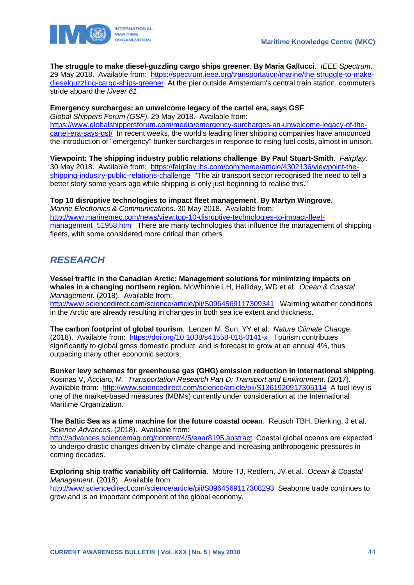

**The struggle to make diesel-guzzling cargo ships greener**. **By Maria Gallucci**. *IEEE Spectrum*. 29 May 2018. Available from: [https://spectrum.ieee.org/transportation/marine/the-struggle-to-make](https://spectrum.ieee.org/transportation/marine/the-struggle-to-make-dieselguzzling-cargo-ships-greener)[dieselguzzling-cargo-ships-greener](https://spectrum.ieee.org/transportation/marine/the-struggle-to-make-dieselguzzling-cargo-ships-greener) At the pier outside Amsterdam's central train station, commuters stride aboard the *IJveer 61*.

### **Emergency surcharges: an unwelcome legacy of the cartel era, says GSF**.

*Global Shippers Forum (GSF)*. 29 May 2018. Available from: [https://www.globalshippersforum.com/media/emergency-surcharges-an-unwelcome-legacy-of-the](https://www.globalshippersforum.com/media/emergency-surcharges-an-unwelcome-legacy-of-the-cartel-era-says-gsf/)[cartel-era-says-gsf/](https://www.globalshippersforum.com/media/emergency-surcharges-an-unwelcome-legacy-of-the-cartel-era-says-gsf/) In recent weeks, the world's leading liner shipping companies have announced the introduction of "emergency" bunker surcharges in response to rising fuel costs, almost in unison.

**Viewpoint: The shipping industry public relations challenge**. **By Paul Stuart-Smith**. *Fairplay*. 30 May 2018. Available from: [https://fairplay.ihs.com/commerce/article/4302136/viewpoint-the](https://fairplay.ihs.com/commerce/article/4302136/viewpoint-the-shipping-industry-public-relations-challenge)[shipping-industry-public-relations-challenge](https://fairplay.ihs.com/commerce/article/4302136/viewpoint-the-shipping-industry-public-relations-challenge) "The air transport sector recognised the need to tell a better story some years ago while shipping is only just beginning to realise this."

**Top 10 disruptive technologies to impact fleet management**. **By Martyn Wingrove**. *Marine Electronics & Communications*. 30 May 2018. Available from: [http://www.marinemec.com/news/view,top-10-disruptive-technologies-to-impact-fleet](http://www.marinemec.com/news/view,top-10-disruptive-technologies-to-impact-fleet-management_51958.htm)management 51958.htm There are many technologies that influence the management of shipping fleets, with some considered more critical than others.

## <span id="page-44-0"></span>*RESEARCH*

**Vessel traffic in the Canadian Arctic: Management solutions for minimizing impacts on whales in a changing northern region.** McWhinnie LH, Halliday, WD et al. *Ocean & Coastal Management*. (2018). Available from: <http://www.sciencedirect.com/science/article/pii/S0964569117309341> Warming weather conditions

in the Arctic are already resulting in changes in both sea ice extent and thickness.

**The carbon footprint of global tourism**. Lenzen M, Sun, YY et al. *Nature Climate Change*. (2018). Available from: <https://doi.org/10.1038/s41558-018-0141-x> Tourism contributes significantly to global gross domestic product, and is forecast to grow at an annual 4%, thus outpacing many other economic sectors.

**Bunker levy schemes for greenhouse gas (GHG) emission reduction in international shipping**. Kosmas V, Acciaro, M. *Transportation Research Part D: Transport and Environment*. (2017). Available from: <http://www.sciencedirect.com/science/article/pii/S1361920917305114> A fuel levy is one of the market-based measures (MBMs) currently under consideration at the International Maritime Organization.

**The Baltic Sea as a time machine for the future coastal ocean**. Reusch TBH, Dierking, J et al. *Science Advances*. (2018). Available from:

<http://advances.sciencemag.org/content/4/5/eaar8195.abstract> Coastal global oceans are expected to undergo drastic changes driven by climate change and increasing anthropogenic pressures in coming decades.

**Exploring ship traffic variability off California**. Moore TJ, Redfern, JV et al. *Ocean & Coastal Management*. (2018). Available from: <http://www.sciencedirect.com/science/article/pii/S0964569117308293> Seaborne trade continues to grow and is an important component of the global economy.